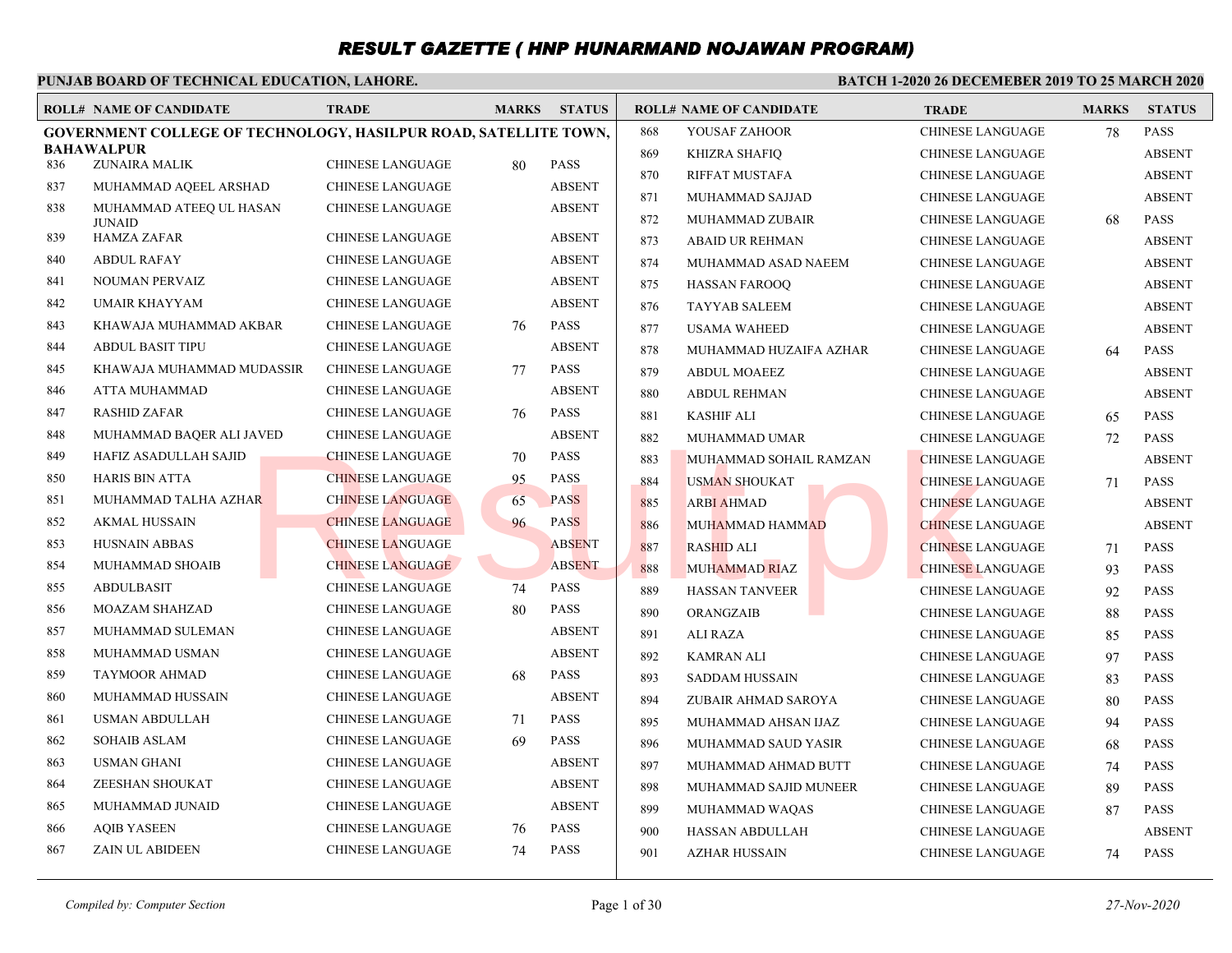#### **PUNJAB BOARD OF TECHNICAL EDUCATION, LAHORE. BATCH 1-2020 26 DECEMEBER 2019 TO 25 MARCH 2020 ROLL# NAME OF CANDIDATE TRADE MARKS STATUS ROLL# NAME OF CANDIDATE TRADE MARKS STATUS GOVERNMENT COLLEGE OF TECHNOLOGY, HASILPUR ROAD, SATELLITE TOWN, BAHAWALPUR** 836 ZUNAIRA MALIK CHINESE LANGUAGE 80 PASS 837 MUHAMMAD AQEEL ARSHAD CHINESE LANGUAGE ABSENT MUHAMMAD ATEEQ UL HASAN CHINESE LANGUAGE ABSENT JUNAID<br>HAMZA ZAFAR 838 839 HAMZA ZAFAR CHINESE LANGUAGE ABSENT 840 ABDUL RAFAY CHINESE LANGUAGE ABSENT 841 NOUMAN PERVAIZ CHINESE LANGUAGE ABSENT 842 UMAIR KHAYYAM CHINESE LANGUAGE ABSENT 843 KHAWAJA MUHAMMAD AKBAR CHINESE LANGUAGE 76 PASS 844 ABDUL BASIT TIPU CHINESE LANGUAGE ABSENT 845 KHAWAJA MUHAMMAD MUDASSIR CHINESE LANGUAGE 77 PASS 846 ATTA MUHAMMAD CHINESE LANGUAGE ABSENT 847 RASHID ZAFAR CHINESE LANGUAGE 76 PASS 848 MUHAMMAD BAOER ALI JAVED CHINESE LANGUAGE ABSENT 849 HAFIZ ASADULLAH SAJID **CHINESE LANGUAGE** 70 PASS 850 HARIS BIN ATTA CHINESE LANGUAGE 95 PASS 851 MUHAMMAD TALHA AZHAR CHINESE LANGUAGE 65 PASS 852 AKMAL HUSSAIN CHINESE LANGUAGE 96 PASS 853 HUSNAIN ABBAS CHINESE LANGUAGE ABSENT 854 MUHAMMAD SHOAIB CHINESE LANGUAGE ABSENT 855 ABDULBASIT CHINESE LANGUAGE 74 PASS 856 MOAZAM SHAHZAD CHINESE LANGUAGE 80 PASS 857 MUHAMMAD SULEMAN CHINESE LANGUAGE ABSENT 858 MUHAMMAD USMAN CHINESE LANGUAGE ABSENT 859 TAYMOOR AHMAD CHINESE LANGUAGE 68 PASS 860 MUHAMMAD HUSSAIN CHINESE LANGUAGE ABSENT 861 USMAN ABDULLAH CHINESE LANGUAGE 71 PASS 862 SOHAIB ASLAM CHINESE LANGUAGE 69 PASS 863 USMAN GHANI CHINESE LANGUAGE ABSENT 864 ZEESHAN SHOUKAT CHINESE LANGUAGE ABSENT 865 MUHAMMAD JUNAID CHINESE LANGUAGE ABSENT 866 AQIB YASEEN CHINESE LANGUAGE 76 PASS 867 ZAIN UL ABIDEEN CHINESE LANGUAGE 74 PASS 868 YOUSAF ZAHOOR CHINESE LANGUAGE 78 PASS 869 KHIZRA SHAFIQ CHINESE LANGUAGE ABSENT 870 RIFFAT MUSTAFA CHINESE LANGUAGE ABSENT 871 MUHAMMAD SAJJAD CHINESE LANGUAGE ABSENT 872 MUHAMMAD ZUBAIR CHINESE LANGUAGE 68 PASS 873 ABAID UR REHMAN CHINESE LANGUAGE ABSENT 874 MUHAMMAD ASAD NAEEM CHINESE LANGUAGE ABSENT 875 HASSAN FAROOQ CHINESE LANGUAGE ABSENT 876 TAYYAB SALEEM CHINESE LANGUAGE ABSENT 877 USAMA WAHEED CHINESE LANGUAGE ABSENT 878 MUHAMMAD HUZAIFA AZHAR CHINESE LANGUAGE 64 PASS 879 ABDUL MOAEEZ CHINESE LANGUAGE ABSENT 880 ABDUL REHMAN CHINESE LANGUAGE ABSENT 881 KASHIF ALI CHINESE LANGUAGE 65 PASS 882 MUHAMMAD UMAR CHINESE LANGUAGE 72 PASS 883 MUHAMMAD SOHAIL RAMZAN CHINESE LANGUAGE ABSENT 884 USMAN SHOUKAT CHINESE LANGUAGE 71 PASS 885 ARBI AHMAD CHINESE LANGUAGE ABSENT 886 MUHAMMAD HAMMAD CHINESE LANGUAGE ABSENT 887 RASHID ALI CHINESE LANGUAGE 71 PASS 888 MUHAMMAD RIAZ CHINESE LANGUAGE 93 PASS 889 HASSAN TANVEER CHINESE LANGUAGE 92 PASS 890 ORANGZAIB **CHINESE LANGUAGE** 88 PASS 891 ALI RAZA CHINESE LANGUAGE 85 PASS 892 KAMRAN ALI CHINESE LANGUAGE 97 PASS 893 SADDAM HUSSAIN CHINESE LANGUAGE 83 PASS 894 ZUBAIR AHMAD SAROYA CHINESE LANGUAGE 80 PASS 895 MUHAMMAD AHSAN IJAZ CHINESE LANGUAGE 94 PASS 896 MUHAMMAD SAUD YASIR CHINESE LANGUAGE 68 PASS 897 MUHAMMAD AHMAD BUTT CHINESE LANGUAGE 74 PASS 898 MUHAMMAD SAJID MUNEER CHINESE LANGUAGE 89 PASS 899 MUHAMMAD WAQAS CHINESE LANGUAGE 87 PASS 900 HASSAN ABDULLAH CHINESE LANGUAGE ABSENT 901 AZHAR HUSSAIN CHINESE LANGUAGE 74 PASS ENTRESE LANGUAGE (THINESE LANGUAGE CHINESE LANGUAGE CHINESE LANGUAGE CHINESE LANGUAGE ABSENT CHINESE LANGUAGE ABSENT CHINESE LANGUAGE CHINESE LANGUAGE ABSENT CHINESE LANGUAGE ABSENT CHINESE LANGUAGE ABSENT CHINESE LANGUAGE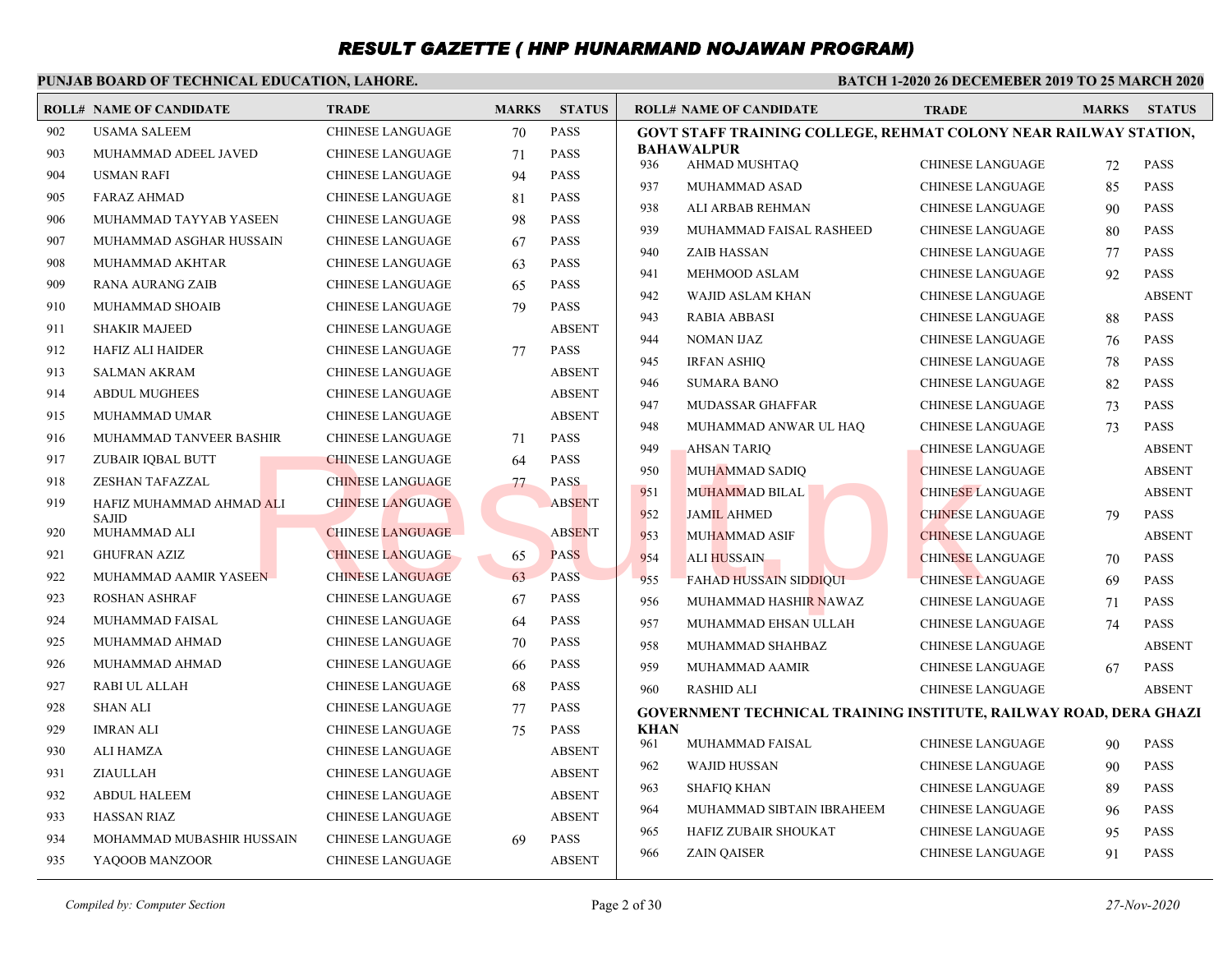## **PUNJAB BOARD OF TECHNICAL EDUCATION, LAHORE.**

|     | <b>ROLL# NAME OF CANDIDATE</b> | <b>TRADE</b>            | <b>MARKS</b> | <b>STATUS</b> |             | <b>ROLL# NAME OF CANDIDATE</b>                                    | <b>TRADE</b>                                       | <b>MARKS</b> | <b>STATUS</b> |
|-----|--------------------------------|-------------------------|--------------|---------------|-------------|-------------------------------------------------------------------|----------------------------------------------------|--------------|---------------|
| 902 | <b>USAMA SALEEM</b>            | <b>CHINESE LANGUAGE</b> | 70           | <b>PASS</b>   |             | GOVT STAFF TRAINING COLLEGE, REHMAT COLONY NEAR RAILWAY STATION,  |                                                    |              |               |
| 903 | MUHAMMAD ADEEL JAVED           | <b>CHINESE LANGUAGE</b> | 71           | <b>PASS</b>   | 936         | <b>BAHAWALPUR</b><br>AHMAD MUSHTAQ                                | <b>CHINESE LANGUAGE</b>                            |              | <b>PASS</b>   |
| 904 | <b>USMAN RAFI</b>              | <b>CHINESE LANGUAGE</b> | 94           | <b>PASS</b>   | 937         |                                                                   |                                                    | 72           | <b>PASS</b>   |
| 905 | <b>FARAZ AHMAD</b>             | <b>CHINESE LANGUAGE</b> | 81           | <b>PASS</b>   | 938         | MUHAMMAD ASAD<br><b>ALI ARBAB REHMAN</b>                          | <b>CHINESE LANGUAGE</b><br><b>CHINESE LANGUAGE</b> | 85           | <b>PASS</b>   |
| 906 | MUHAMMAD TAYYAB YASEEN         | <b>CHINESE LANGUAGE</b> | 98           | <b>PASS</b>   | 939         | MUHAMMAD FAISAL RASHEED                                           |                                                    | 90           | <b>PASS</b>   |
| 907 | MUHAMMAD ASGHAR HUSSAIN        | CHINESE LANGUAGE        | 67           | <b>PASS</b>   | 940         |                                                                   | <b>CHINESE LANGUAGE</b><br><b>CHINESE LANGUAGE</b> | 80           | <b>PASS</b>   |
| 908 | MUHAMMAD AKHTAR                | <b>CHINESE LANGUAGE</b> | 63           | <b>PASS</b>   |             | <b>ZAIB HASSAN</b>                                                |                                                    | 77           |               |
| 909 | <b>RANA AURANG ZAIB</b>        | <b>CHINESE LANGUAGE</b> | 65           | <b>PASS</b>   | 941         | MEHMOOD ASLAM                                                     | <b>CHINESE LANGUAGE</b>                            | 92           | <b>PASS</b>   |
| 910 | MUHAMMAD SHOAIB                | <b>CHINESE LANGUAGE</b> | 79           | <b>PASS</b>   | 942         | WAJID ASLAM KHAN                                                  | <b>CHINESE LANGUAGE</b>                            |              | <b>ABSENT</b> |
| 911 | <b>SHAKIR MAJEED</b>           | <b>CHINESE LANGUAGE</b> |              | <b>ABSENT</b> | 943         | <b>RABIA ABBASI</b>                                               | <b>CHINESE LANGUAGE</b>                            | 88           | <b>PASS</b>   |
| 912 | <b>HAFIZ ALI HAIDER</b>        | CHINESE LANGUAGE        | 77           | <b>PASS</b>   | 944         | <b>NOMAN IJAZ</b>                                                 | <b>CHINESE LANGUAGE</b>                            | 76           | <b>PASS</b>   |
| 913 | <b>SALMAN AKRAM</b>            | <b>CHINESE LANGUAGE</b> |              | <b>ABSENT</b> | 945         | <b>IRFAN ASHIQ</b>                                                | <b>CHINESE LANGUAGE</b>                            | 78           | <b>PASS</b>   |
| 914 | <b>ABDUL MUGHEES</b>           | <b>CHINESE LANGUAGE</b> |              | <b>ABSENT</b> | 946         | <b>SUMARA BANO</b>                                                | <b>CHINESE LANGUAGE</b>                            | 82           | <b>PASS</b>   |
| 915 | <b>MUHAMMAD UMAR</b>           | <b>CHINESE LANGUAGE</b> |              | <b>ABSENT</b> | 947         | MUDASSAR GHAFFAR                                                  | <b>CHINESE LANGUAGE</b>                            | 73           | <b>PASS</b>   |
| 916 | MUHAMMAD TANVEER BASHIR        | <b>CHINESE LANGUAGE</b> | 71           | <b>PASS</b>   | 948         | MUHAMMAD ANWAR UL HAQ                                             | CHINESE LANGUAGE                                   | 73           | <b>PASS</b>   |
| 917 | ZUBAIR IQBAL BUTT              | <b>CHINESE LANGUAGE</b> | 64           | <b>PASS</b>   | 949         | <b>AHSAN TARIQ</b>                                                | <b>CHINESE LANGUAGE</b>                            |              | <b>ABSENT</b> |
| 918 | ZESHAN TAFAZZAL                | <b>CHINESE LANGUAGE</b> | 77           | <b>PASS</b>   | 950         | <b>MUHAMMAD SADIQ</b>                                             | <b>CHINESE LANGUAGE</b>                            |              | <b>ABSENT</b> |
| 919 | HAFIZ MUHAMMAD AHMAD ALI       | <b>CHINESE LANGUAGE</b> |              | <b>ABSENT</b> | 951         | MUHAMMAD BILAL                                                    | <b>CHINESE LANGUAGE</b>                            |              | <b>ABSENT</b> |
| 920 | <b>SAJID</b><br>MUHAMMAD ALI   | <b>CHINESE LANGUAGE</b> |              | <b>ABSENT</b> | 952         | <b>JAMIL AHMED</b>                                                | <b>CHINESE LANGUAGE</b>                            | 79           | <b>PASS</b>   |
| 921 | <b>GHUFRAN AZIZ</b>            | <b>CHINESE LANGUAGE</b> | 65           | <b>PASS</b>   | 953         | <b>MUHAMMAD ASIF</b>                                              | <b>CHINESE LANGUAGE</b>                            |              | <b>ABSENT</b> |
| 922 | MUHAMMAD AAMIR YASEEN          | <b>CHINESE LANGUAGE</b> |              | <b>PASS</b>   | 954         | <b>ALI HUSSAIN</b>                                                | <b>CHINESE LANGUAGE</b>                            | 70           | <b>PASS</b>   |
| 923 | <b>ROSHAN ASHRAF</b>           | <b>CHINESE LANGUAGE</b> | 63           | <b>PASS</b>   | 955         | <b>FAHAD HUSSAIN SIDDIQUI</b>                                     | <b>CHINESE LANGUAGE</b>                            | 69           | <b>PASS</b>   |
| 924 | MUHAMMAD FAISAL                | <b>CHINESE LANGUAGE</b> | 67           | <b>PASS</b>   | 956         | MUHAMMAD HASHIR NAWAZ                                             | <b>CHINESE LANGUAGE</b>                            | 71           | <b>PASS</b>   |
|     |                                |                         | 64           | <b>PASS</b>   | 957         | MUHAMMAD EHSAN ULLAH                                              | <b>CHINESE LANGUAGE</b>                            | 74           | <b>PASS</b>   |
| 925 | MUHAMMAD AHMAD                 | <b>CHINESE LANGUAGE</b> | 70           | <b>PASS</b>   | 958         | MUHAMMAD SHAHBAZ                                                  | <b>CHINESE LANGUAGE</b>                            |              | <b>ABSENT</b> |
| 926 | MUHAMMAD AHMAD                 | <b>CHINESE LANGUAGE</b> | 66           |               | 959         | MUHAMMAD AAMIR                                                    | <b>CHINESE LANGUAGE</b>                            | 67           | <b>PASS</b>   |
| 927 | RABI UL ALLAH                  | <b>CHINESE LANGUAGE</b> | 68           | <b>PASS</b>   | 960         | <b>RASHID ALI</b>                                                 | <b>CHINESE LANGUAGE</b>                            |              | <b>ABSENT</b> |
| 928 | <b>SHAN ALI</b>                | <b>CHINESE LANGUAGE</b> | 77           | <b>PASS</b>   |             | GOVERNMENT TECHNICAL TRAINING INSTITUTE, RAILWAY ROAD, DERA GHAZI |                                                    |              |               |
| 929 | <b>IMRAN ALI</b>               | <b>CHINESE LANGUAGE</b> | 75           | <b>PASS</b>   | KHAN<br>961 | MUHAMMAD FAISAL                                                   | <b>CHINESE LANGUAGE</b>                            | 90           | <b>PASS</b>   |
| 930 | ALI HAMZA                      | <b>CHINESE LANGUAGE</b> |              | <b>ABSENT</b> | 962         | <b>WAJID HUSSAN</b>                                               | <b>CHINESE LANGUAGE</b>                            | 90           | <b>PASS</b>   |
| 931 | ZIAULLAH                       | <b>CHINESE LANGUAGE</b> |              | <b>ABSENT</b> | 963         | <b>SHAFIQ KHAN</b>                                                | <b>CHINESE LANGUAGE</b>                            | 89           | <b>PASS</b>   |
| 932 | <b>ABDUL HALEEM</b>            | <b>CHINESE LANGUAGE</b> |              | <b>ABSENT</b> | 964         | MUHAMMAD SIBTAIN IBRAHEEM                                         | <b>CHINESE LANGUAGE</b>                            | 96           | <b>PASS</b>   |
| 933 | <b>HASSAN RIAZ</b>             | <b>CHINESE LANGUAGE</b> |              | <b>ABSENT</b> | 965         | <b>HAFIZ ZUBAIR SHOUKAT</b>                                       | <b>CHINESE LANGUAGE</b>                            | 95           | <b>PASS</b>   |
| 934 | MOHAMMAD MUBASHIR HUSSAIN      | <b>CHINESE LANGUAGE</b> | 69           | <b>PASS</b>   | 966         | <b>ZAIN QAISER</b>                                                | <b>CHINESE LANGUAGE</b>                            | 91           | <b>PASS</b>   |
| 935 | YAQOOB MANZOOR                 | <b>CHINESE LANGUAGE</b> |              | <b>ABSENT</b> |             |                                                                   |                                                    |              |               |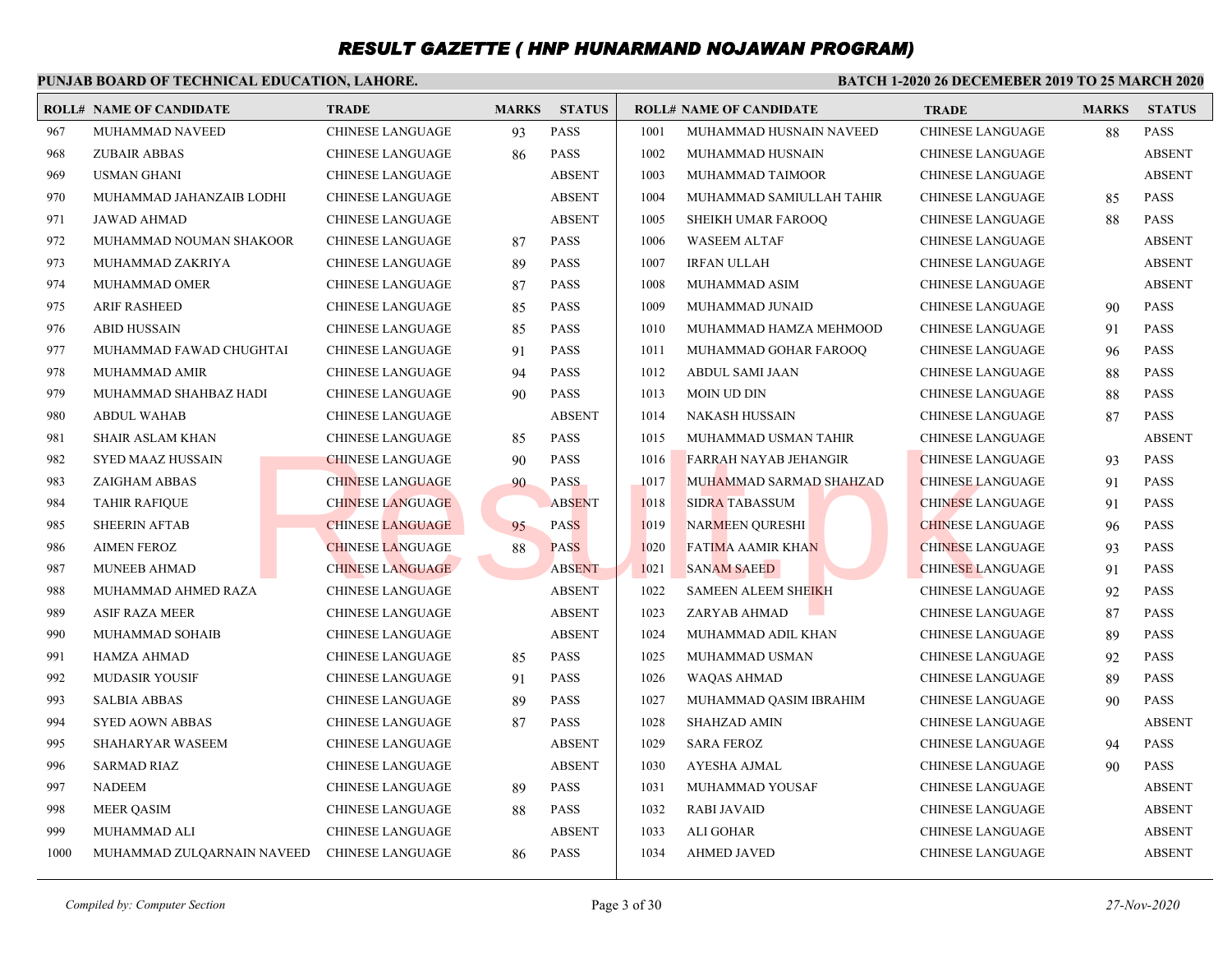## **PUNJAB BOARD OF TECHNICAL EDUCATION, LAHORE.**

|      | <b>ROLL# NAME OF CANDIDATE</b> | <b>TRADE</b>            | <b>MARKS</b> | <b>STATUS</b> |      | <b>ROLL# NAME OF CANDIDATE</b> | <b>TRADE</b>            | <b>MARKS</b> | <b>STATUS</b> |
|------|--------------------------------|-------------------------|--------------|---------------|------|--------------------------------|-------------------------|--------------|---------------|
| 967  | MUHAMMAD NAVEED                | <b>CHINESE LANGUAGE</b> | 93           | <b>PASS</b>   | 1001 | MUHAMMAD HUSNAIN NAVEED        | <b>CHINESE LANGUAGE</b> | 88           | <b>PASS</b>   |
| 968  | <b>ZUBAIR ABBAS</b>            | <b>CHINESE LANGUAGE</b> | 86           | <b>PASS</b>   | 1002 | MUHAMMAD HUSNAIN               | <b>CHINESE LANGUAGE</b> |              | <b>ABSENT</b> |
| 969  | <b>USMAN GHANI</b>             | <b>CHINESE LANGUAGE</b> |              | <b>ABSENT</b> | 1003 | MUHAMMAD TAIMOOR               | <b>CHINESE LANGUAGE</b> |              | <b>ABSENT</b> |
| 970  | MUHAMMAD JAHANZAIB LODHI       | <b>CHINESE LANGUAGE</b> |              | <b>ABSENT</b> | 1004 | MUHAMMAD SAMIULLAH TAHIR       | <b>CHINESE LANGUAGE</b> | 85           | <b>PASS</b>   |
| 971  | JAWAD AHMAD                    | <b>CHINESE LANGUAGE</b> |              | <b>ABSENT</b> | 1005 | SHEIKH UMAR FAROOQ             | CHINESE LANGUAGE        | 88           | <b>PASS</b>   |
| 972  | MUHAMMAD NOUMAN SHAKOOR        | <b>CHINESE LANGUAGE</b> | 87           | <b>PASS</b>   | 1006 | <b>WASEEM ALTAF</b>            | <b>CHINESE LANGUAGE</b> |              | <b>ABSENT</b> |
| 973  | MUHAMMAD ZAKRIYA               | <b>CHINESE LANGUAGE</b> | 89           | <b>PASS</b>   | 1007 | <b>IRFAN ULLAH</b>             | <b>CHINESE LANGUAGE</b> |              | <b>ABSENT</b> |
| 974  | MUHAMMAD OMER                  | <b>CHINESE LANGUAGE</b> | 87           | <b>PASS</b>   | 1008 | MUHAMMAD ASIM                  | <b>CHINESE LANGUAGE</b> |              | <b>ABSENT</b> |
| 975  | <b>ARIF RASHEED</b>            | <b>CHINESE LANGUAGE</b> | 85           | <b>PASS</b>   | 1009 | MUHAMMAD JUNAID                | <b>CHINESE LANGUAGE</b> | 90           | <b>PASS</b>   |
| 976  | <b>ABID HUSSAIN</b>            | <b>CHINESE LANGUAGE</b> | 85           | <b>PASS</b>   | 1010 | MUHAMMAD HAMZA MEHMOOD         | <b>CHINESE LANGUAGE</b> | 91           | <b>PASS</b>   |
| 977  | MUHAMMAD FAWAD CHUGHTAI        | CHINESE LANGUAGE        | 91           | <b>PASS</b>   | 1011 | MUHAMMAD GOHAR FAROOQ          | <b>CHINESE LANGUAGE</b> | 96           | <b>PASS</b>   |
| 978  | <b>MUHAMMAD AMIR</b>           | <b>CHINESE LANGUAGE</b> | 94           | <b>PASS</b>   | 1012 | ABDUL SAMI JAAN                | <b>CHINESE LANGUAGE</b> | 88           | <b>PASS</b>   |
| 979  | MUHAMMAD SHAHBAZ HADI          | <b>CHINESE LANGUAGE</b> | 90           | <b>PASS</b>   | 1013 | MOIN UD DIN                    | <b>CHINESE LANGUAGE</b> | 88           | <b>PASS</b>   |
| 980  | <b>ABDUL WAHAB</b>             | <b>CHINESE LANGUAGE</b> |              | <b>ABSENT</b> | 1014 | NAKASH HUSSAIN                 | <b>CHINESE LANGUAGE</b> | 87           | <b>PASS</b>   |
| 981  | <b>SHAIR ASLAM KHAN</b>        | <b>CHINESE LANGUAGE</b> | 85           | <b>PASS</b>   | 1015 | MUHAMMAD USMAN TAHIR           | <b>CHINESE LANGUAGE</b> |              | <b>ABSENT</b> |
| 982  | <b>SYED MAAZ HUSSAIN</b>       | <b>CHINESE LANGUAGE</b> | 90           | <b>PASS</b>   | 1016 | <b>FARRAH NAYAB JEHANGIR</b>   | <b>CHINESE LANGUAGE</b> | 93           | <b>PASS</b>   |
| 983  | ZAIGHAM ABBAS                  | <b>CHINESE LANGUAGE</b> | 90           | <b>PASS</b>   | 1017 | MUHAMMAD SARMAD SHAHZAD        | <b>CHINESE LANGUAGE</b> | 91           | <b>PASS</b>   |
| 984  | <b>TAHIR RAFIQUE</b>           | <b>CHINESE LANGUAGE</b> |              | <b>ABSENT</b> | 1018 | <b>SIDRA TABASSUM</b>          | <b>CHINESE LANGUAGE</b> | 91           | <b>PASS</b>   |
| 985  | <b>SHEERIN AFTAB</b>           | <b>CHINESE LANGUAGE</b> | 95           | <b>PASS</b>   | 1019 | NARMEEN QURESHI                | <b>CHINESE LANGUAGE</b> | 96           | <b>PASS</b>   |
| 986  | <b>AIMEN FEROZ</b>             | <b>CHINESE LANGUAGE</b> | 88           | <b>PASS</b>   | 1020 | <b>FATIMA AAMIR KHAN</b>       | <b>CHINESE LANGUAGE</b> | 93           | <b>PASS</b>   |
| 987  | <b>MUNEEB AHMAD</b>            | <b>CHINESE LANGUAGE</b> |              | <b>ABSENT</b> | 1021 | <b>SANAM SAEED</b>             | <b>CHINESE LANGUAGE</b> | 91           | <b>PASS</b>   |
| 988  | MUHAMMAD AHMED RAZA            | CHINESE LANGUAGE        |              | <b>ABSENT</b> | 1022 | <b>SAMEEN ALEEM SHEIKH</b>     | <b>CHINESE LANGUAGE</b> | 92           | <b>PASS</b>   |
| 989  | <b>ASIF RAZA MEER</b>          | <b>CHINESE LANGUAGE</b> |              | <b>ABSENT</b> | 1023 | ZARYAB AHMAD                   | <b>CHINESE LANGUAGE</b> | 87           | <b>PASS</b>   |
| 990  | MUHAMMAD SOHAIB                | <b>CHINESE LANGUAGE</b> |              | <b>ABSENT</b> | 1024 | MUHAMMAD ADIL KHAN             | <b>CHINESE LANGUAGE</b> | 89           | <b>PASS</b>   |
| 991  | <b>HAMZA AHMAD</b>             | <b>CHINESE LANGUAGE</b> | 85           | <b>PASS</b>   | 1025 | MUHAMMAD USMAN                 | <b>CHINESE LANGUAGE</b> | 92           | <b>PASS</b>   |
| 992  | <b>MUDASIR YOUSIF</b>          | CHINESE LANGUAGE        | 91           | <b>PASS</b>   | 1026 | <b>WAQAS AHMAD</b>             | <b>CHINESE LANGUAGE</b> | 89           | <b>PASS</b>   |
| 993  | <b>SALBIA ABBAS</b>            | CHINESE LANGUAGE        | 89           | <b>PASS</b>   | 1027 | MUHAMMAD QASIM IBRAHIM         | <b>CHINESE LANGUAGE</b> | 90           | <b>PASS</b>   |
| 994  | <b>SYED AOWN ABBAS</b>         | <b>CHINESE LANGUAGE</b> | 87           | <b>PASS</b>   | 1028 | <b>SHAHZAD AMIN</b>            | <b>CHINESE LANGUAGE</b> |              | <b>ABSENT</b> |
| 995  | SHAHARYAR WASEEM               | CHINESE LANGUAGE        |              | <b>ABSENT</b> | 1029 | <b>SARA FEROZ</b>              | <b>CHINESE LANGUAGE</b> | 94           | <b>PASS</b>   |
| 996  | <b>SARMAD RIAZ</b>             | <b>CHINESE LANGUAGE</b> |              | <b>ABSENT</b> | 1030 | AYESHA AJMAL                   | <b>CHINESE LANGUAGE</b> | 90           | <b>PASS</b>   |
| 997  | <b>NADEEM</b>                  | <b>CHINESE LANGUAGE</b> | 89           | <b>PASS</b>   | 1031 | MUHAMMAD YOUSAF                | <b>CHINESE LANGUAGE</b> |              | <b>ABSENT</b> |
| 998  | <b>MEER QASIM</b>              | <b>CHINESE LANGUAGE</b> | 88           | <b>PASS</b>   | 1032 | <b>RABI JAVAID</b>             | <b>CHINESE LANGUAGE</b> |              | <b>ABSENT</b> |
| 999  | MUHAMMAD ALI                   | CHINESE LANGUAGE        |              | <b>ABSENT</b> | 1033 | <b>ALI GOHAR</b>               | <b>CHINESE LANGUAGE</b> |              | <b>ABSENT</b> |
| 1000 | MUHAMMAD ZULQARNAIN NAVEED     | <b>CHINESE LANGUAGE</b> | 86           | <b>PASS</b>   | 1034 | <b>AHMED JAVED</b>             | <b>CHINESE LANGUAGE</b> |              | <b>ABSENT</b> |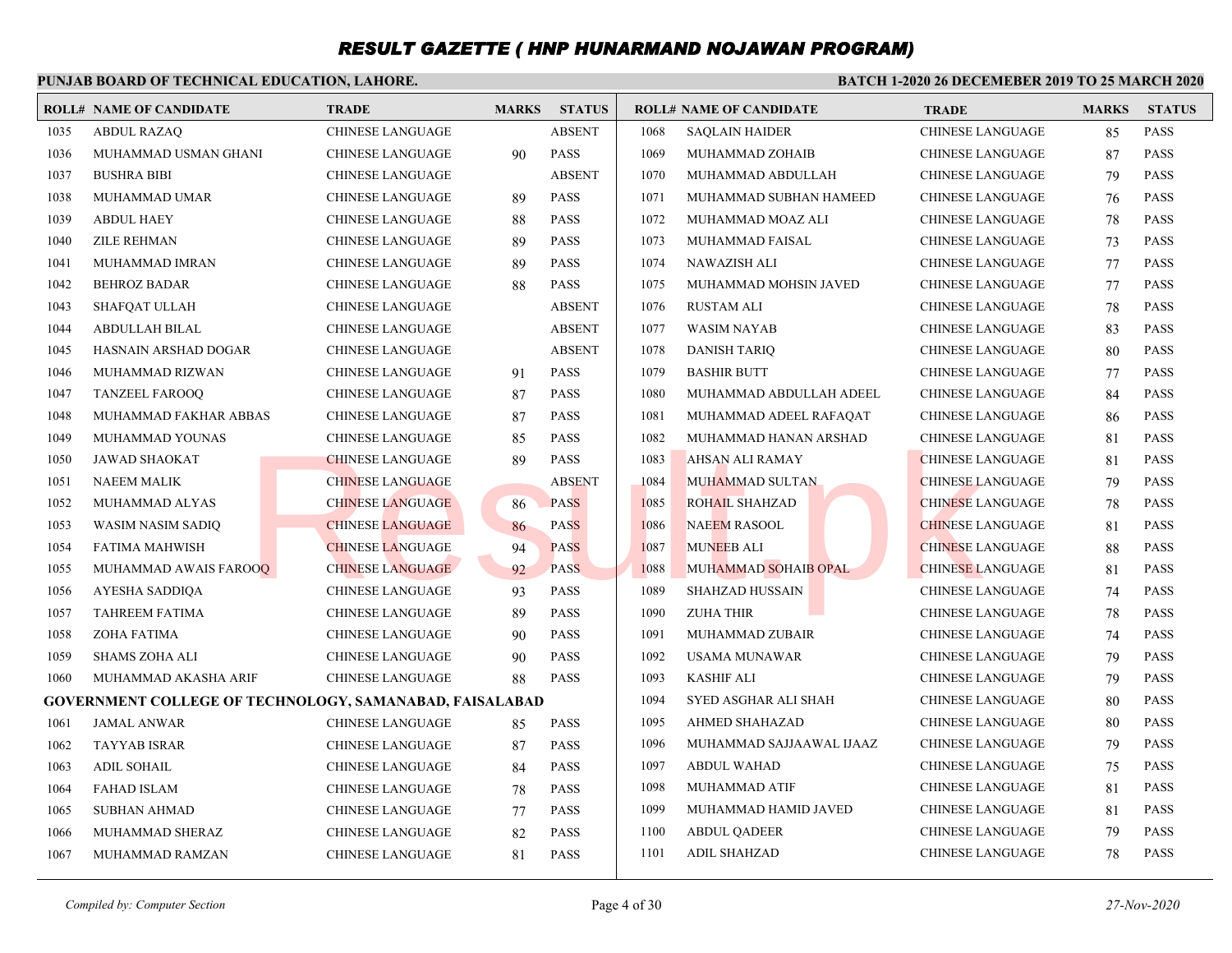## **PUNJAB BOARD OF TECHNICAL EDUCATION, LAHORE.**

|      | <b>ROLL# NAME OF CANDIDATE</b> | <b>TRADE</b>                                                   | <b>MARKS</b> | <b>STATUS</b> |      | <b>ROLL# NAME OF CANDIDATE</b> | <b>TRADE</b>            | <b>MARKS</b> | <b>STATUS</b> |
|------|--------------------------------|----------------------------------------------------------------|--------------|---------------|------|--------------------------------|-------------------------|--------------|---------------|
| 1035 | <b>ABDUL RAZAO</b>             | <b>CHINESE LANGUAGE</b>                                        |              | <b>ABSENT</b> | 1068 | <b>SAQLAIN HAIDER</b>          | <b>CHINESE LANGUAGE</b> | 85           | <b>PASS</b>   |
| 1036 | MUHAMMAD USMAN GHANI           | CHINESE LANGUAGE                                               | 90           | <b>PASS</b>   | 1069 | MUHAMMAD ZOHAIB                | <b>CHINESE LANGUAGE</b> | 87           | <b>PASS</b>   |
| 1037 | <b>BUSHRA BIBI</b>             | <b>CHINESE LANGUAGE</b>                                        |              | <b>ABSENT</b> | 1070 | MUHAMMAD ABDULLAH              | <b>CHINESE LANGUAGE</b> | 79           | <b>PASS</b>   |
| 1038 | MUHAMMAD UMAR                  | <b>CHINESE LANGUAGE</b>                                        | 89           | <b>PASS</b>   | 1071 | MUHAMMAD SUBHAN HAMEED         | <b>CHINESE LANGUAGE</b> | 76           | <b>PASS</b>   |
| 1039 | <b>ABDUL HAEY</b>              | <b>CHINESE LANGUAGE</b>                                        | 88           | <b>PASS</b>   | 1072 | MUHAMMAD MOAZ ALI              | <b>CHINESE LANGUAGE</b> | 78           | <b>PASS</b>   |
| 1040 | <b>ZILE REHMAN</b>             | <b>CHINESE LANGUAGE</b>                                        | 89           | <b>PASS</b>   | 1073 | MUHAMMAD FAISAL                | <b>CHINESE LANGUAGE</b> | 73           | <b>PASS</b>   |
| 1041 | MUHAMMAD IMRAN                 | <b>CHINESE LANGUAGE</b>                                        | 89           | <b>PASS</b>   | 1074 | NAWAZISH ALI                   | <b>CHINESE LANGUAGE</b> | 77           | <b>PASS</b>   |
| 1042 | <b>BEHROZ BADAR</b>            | <b>CHINESE LANGUAGE</b>                                        | 88           | <b>PASS</b>   | 1075 | MUHAMMAD MOHSIN JAVED          | <b>CHINESE LANGUAGE</b> | 77           | <b>PASS</b>   |
| 1043 | <b>SHAFQAT ULLAH</b>           | <b>CHINESE LANGUAGE</b>                                        |              | <b>ABSENT</b> | 1076 | <b>RUSTAM ALI</b>              | <b>CHINESE LANGUAGE</b> | 78           | <b>PASS</b>   |
| 1044 | ABDULLAH BILAL                 | <b>CHINESE LANGUAGE</b>                                        |              | <b>ABSENT</b> | 1077 | <b>WASIM NAYAB</b>             | <b>CHINESE LANGUAGE</b> | 83           | <b>PASS</b>   |
| 1045 | HASNAIN ARSHAD DOGAR           | <b>CHINESE LANGUAGE</b>                                        |              | <b>ABSENT</b> | 1078 | <b>DANISH TARIQ</b>            | <b>CHINESE LANGUAGE</b> | 80           | <b>PASS</b>   |
| 1046 | <b>MUHAMMAD RIZWAN</b>         | <b>CHINESE LANGUAGE</b>                                        | 91           | <b>PASS</b>   | 1079 | <b>BASHIR BUTT</b>             | <b>CHINESE LANGUAGE</b> | 77           | <b>PASS</b>   |
| 1047 | <b>TANZEEL FAROOQ</b>          | <b>CHINESE LANGUAGE</b>                                        | 87           | <b>PASS</b>   | 1080 | MUHAMMAD ABDULLAH ADEEL        | <b>CHINESE LANGUAGE</b> | 84           | <b>PASS</b>   |
| 1048 | MUHAMMAD FAKHAR ABBAS          | CHINESE LANGUAGE                                               | 87           | <b>PASS</b>   | 1081 | MUHAMMAD ADEEL RAFAQAT         | <b>CHINESE LANGUAGE</b> | 86           | <b>PASS</b>   |
| 1049 | MUHAMMAD YOUNAS                | CHINESE LANGUAGE                                               | 85           | <b>PASS</b>   | 1082 | MUHAMMAD HANAN ARSHAD          | <b>CHINESE LANGUAGE</b> | 81           | <b>PASS</b>   |
| 1050 | <b>JAWAD SHAOKAT</b>           | <b>CHINESE LANGUAGE</b>                                        | 89           | <b>PASS</b>   | 1083 | AHSAN ALI RAMAY                | <b>CHINESE LANGUAGE</b> | 81           | <b>PASS</b>   |
| 1051 | <b>NAEEM MALIK</b>             | <b>CHINESE LANGUAGE</b>                                        |              | <b>ABSENT</b> | 1084 | MUHAMMAD SULTAN                | <b>CHINESE LANGUAGE</b> | 79           | <b>PASS</b>   |
| 1052 | MUHAMMAD ALYAS                 | <b>CHINESE LANGUAGE</b>                                        | 86           | <b>PASS</b>   | 1085 | <b>ROHAIL SHAHZAD</b>          | <b>CHINESE LANGUAGE</b> | 78           | <b>PASS</b>   |
| 1053 | WASIM NASIM SADIQ              | <b>CHINESE LANGUAGE</b>                                        | 86           | <b>PASS</b>   | 1086 | <b>NAEEM RASOOL</b>            | <b>CHINESE LANGUAGE</b> | 81           | <b>PASS</b>   |
| 1054 | <b>FATIMA MAHWISH</b>          | <b>CHINESE LANGUAGE</b>                                        | 94           | <b>PASS</b>   | 1087 | <b>MUNEEB ALI</b>              | <b>CHINESE LANGUAGE</b> | 88           | <b>PASS</b>   |
| 1055 | MUHAMMAD AWAIS FAROOQ          | <b>CHINESE LANGUAGE</b>                                        | 92           | <b>PASS</b>   | 1088 | MUHAMMAD SOHAIB OPAL           | <b>CHINESE LANGUAGE</b> | 81           | <b>PASS</b>   |
| 1056 | AYESHA SADDIQA                 | <b>CHINESE LANGUAGE</b>                                        | 93           | <b>PASS</b>   | 1089 | <b>SHAHZAD HUSSAIN</b>         | <b>CHINESE LANGUAGE</b> | 74           | <b>PASS</b>   |
| 1057 | TAHREEM FATIMA                 | <b>CHINESE LANGUAGE</b>                                        | 89           | <b>PASS</b>   | 1090 | <b>ZUHA THIR</b>               | <b>CHINESE LANGUAGE</b> | 78           | <b>PASS</b>   |
| 1058 | ZOHA FATIMA                    | <b>CHINESE LANGUAGE</b>                                        | 90           | <b>PASS</b>   | 1091 | <b>MUHAMMAD ZUBAIR</b>         | <b>CHINESE LANGUAGE</b> | 74           | <b>PASS</b>   |
| 1059 | <b>SHAMS ZOHA ALI</b>          | <b>CHINESE LANGUAGE</b>                                        | 90           | <b>PASS</b>   | 1092 | USAMA MUNAWAR                  | <b>CHINESE LANGUAGE</b> | 79           | <b>PASS</b>   |
| 1060 | MUHAMMAD AKASHA ARIF           | <b>CHINESE LANGUAGE</b>                                        | 88           | <b>PASS</b>   | 1093 | <b>KASHIF ALI</b>              | <b>CHINESE LANGUAGE</b> | 79           | <b>PASS</b>   |
|      |                                | <b>GOVERNMENT COLLEGE OF TECHNOLOGY, SAMANABAD, FAISALABAD</b> |              |               | 1094 | SYED ASGHAR ALI SHAH           | <b>CHINESE LANGUAGE</b> | 80           | <b>PASS</b>   |
| 1061 | <b>JAMAL ANWAR</b>             | <b>CHINESE LANGUAGE</b>                                        | 85           | <b>PASS</b>   | 1095 | AHMED SHAHAZAD                 | <b>CHINESE LANGUAGE</b> | 80           | <b>PASS</b>   |
| 1062 | <b>TAYYAB ISRAR</b>            | <b>CHINESE LANGUAGE</b>                                        | 87           | <b>PASS</b>   | 1096 | MUHAMMAD SAJJAAWAL IJAAZ       | <b>CHINESE LANGUAGE</b> | 79           | <b>PASS</b>   |
| 1063 | ADIL SOHAIL                    | CHINESE LANGUAGE                                               | 84           | <b>PASS</b>   | 1097 | <b>ABDUL WAHAD</b>             | <b>CHINESE LANGUAGE</b> | 75           | <b>PASS</b>   |
| 1064 | <b>FAHAD ISLAM</b>             | <b>CHINESE LANGUAGE</b>                                        | 78           | <b>PASS</b>   | 1098 | MUHAMMAD ATIF                  | CHINESE LANGUAGE        | 81           | <b>PASS</b>   |
| 1065 | <b>SUBHAN AHMAD</b>            | CHINESE LANGUAGE                                               | 77           | <b>PASS</b>   | 1099 | MUHAMMAD HAMID JAVED           | <b>CHINESE LANGUAGE</b> | 81           | <b>PASS</b>   |
| 1066 | MUHAMMAD SHERAZ                | <b>CHINESE LANGUAGE</b>                                        | 82           | <b>PASS</b>   | 1100 | <b>ABDUL QADEER</b>            | <b>CHINESE LANGUAGE</b> | 79           | <b>PASS</b>   |
| 1067 | <b>MUHAMMAD RAMZAN</b>         | <b>CHINESE LANGUAGE</b>                                        | 81           | <b>PASS</b>   | 1101 | <b>ADIL SHAHZAD</b>            | <b>CHINESE LANGUAGE</b> | 78           | <b>PASS</b>   |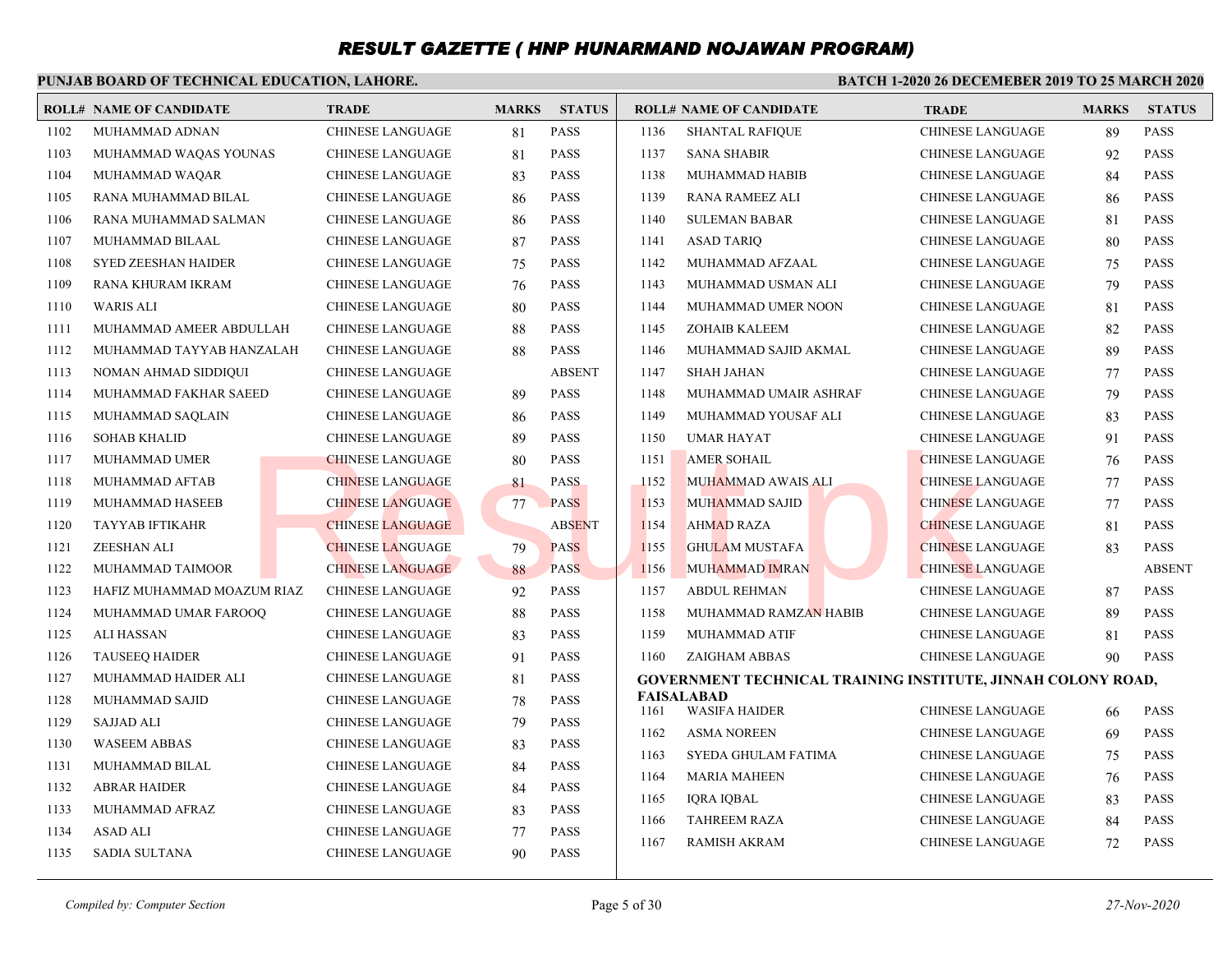## **PUNJAB BOARD OF TECHNICAL EDUCATION, LAHORE.**

|      | <b>ROLL# NAME OF CANDIDATE</b> | <b>TRADE</b>            | <b>MARKS</b> | <b>STATUS</b> |      | <b>ROLL# NAME OF CANDIDATE</b>                               | <b>TRADE</b>            | <b>MARKS</b> | <b>STATUS</b> |
|------|--------------------------------|-------------------------|--------------|---------------|------|--------------------------------------------------------------|-------------------------|--------------|---------------|
| 1102 | MUHAMMAD ADNAN                 | <b>CHINESE LANGUAGE</b> | 81           | <b>PASS</b>   | 1136 | <b>SHANTAL RAFIQUE</b>                                       | <b>CHINESE LANGUAGE</b> | 89           | <b>PASS</b>   |
| 1103 | MUHAMMAD WAQAS YOUNAS          | <b>CHINESE LANGUAGE</b> | 81           | <b>PASS</b>   | 1137 | <b>SANA SHABIR</b>                                           | <b>CHINESE LANGUAGE</b> | 92           | <b>PASS</b>   |
| 1104 | MUHAMMAD WAQAR                 | <b>CHINESE LANGUAGE</b> | 83           | <b>PASS</b>   | 1138 | MUHAMMAD HABIB                                               | <b>CHINESE LANGUAGE</b> | 84           | <b>PASS</b>   |
| 1105 | RANA MUHAMMAD BILAL            | <b>CHINESE LANGUAGE</b> | 86           | <b>PASS</b>   | 1139 | RANA RAMEEZ ALI                                              | <b>CHINESE LANGUAGE</b> | 86           | <b>PASS</b>   |
| 1106 | RANA MUHAMMAD SALMAN           | <b>CHINESE LANGUAGE</b> | 86           | <b>PASS</b>   | 1140 | <b>SULEMAN BABAR</b>                                         | <b>CHINESE LANGUAGE</b> | 81           | <b>PASS</b>   |
| 1107 | MUHAMMAD BILAAL                | <b>CHINESE LANGUAGE</b> | 87           | <b>PASS</b>   | 1141 | <b>ASAD TARIQ</b>                                            | <b>CHINESE LANGUAGE</b> | 80           | <b>PASS</b>   |
| 1108 | <b>SYED ZEESHAN HAIDER</b>     | <b>CHINESE LANGUAGE</b> | 75           | <b>PASS</b>   | 1142 | MUHAMMAD AFZAAL                                              | <b>CHINESE LANGUAGE</b> | 75           | <b>PASS</b>   |
| 1109 | RANA KHURAM IKRAM              | <b>CHINESE LANGUAGE</b> | 76           | <b>PASS</b>   | 1143 | MUHAMMAD USMAN ALI                                           | <b>CHINESE LANGUAGE</b> | 79           | <b>PASS</b>   |
| 1110 | <b>WARIS ALI</b>               | <b>CHINESE LANGUAGE</b> | 80           | <b>PASS</b>   | 1144 | MUHAMMAD UMER NOON                                           | <b>CHINESE LANGUAGE</b> | 81           | <b>PASS</b>   |
| 1111 | MUHAMMAD AMEER ABDULLAH        | <b>CHINESE LANGUAGE</b> | 88           | <b>PASS</b>   | 1145 | <b>ZOHAIB KALEEM</b>                                         | <b>CHINESE LANGUAGE</b> | 82           | <b>PASS</b>   |
| 1112 | MUHAMMAD TAYYAB HANZALAH       | <b>CHINESE LANGUAGE</b> | 88           | <b>PASS</b>   | 1146 | MUHAMMAD SAJID AKMAL                                         | <b>CHINESE LANGUAGE</b> | 89           | <b>PASS</b>   |
| 1113 | NOMAN AHMAD SIDDIOUI           | <b>CHINESE LANGUAGE</b> |              | <b>ABSENT</b> | 1147 | SHAH JAHAN                                                   | <b>CHINESE LANGUAGE</b> | 77           | <b>PASS</b>   |
| 1114 | MUHAMMAD FAKHAR SAEED          | <b>CHINESE LANGUAGE</b> | 89           | <b>PASS</b>   | 1148 | MUHAMMAD UMAIR ASHRAF                                        | <b>CHINESE LANGUAGE</b> | 79           | <b>PASS</b>   |
| 1115 | MUHAMMAD SAQLAIN               | <b>CHINESE LANGUAGE</b> | 86           | <b>PASS</b>   | 1149 | MUHAMMAD YOUSAF ALI                                          | <b>CHINESE LANGUAGE</b> | 83           | <b>PASS</b>   |
| 1116 | <b>SOHAB KHALID</b>            | <b>CHINESE LANGUAGE</b> | 89           | <b>PASS</b>   | 1150 | UMAR HAYAT                                                   | <b>CHINESE LANGUAGE</b> | 91           | <b>PASS</b>   |
| 1117 | MUHAMMAD UMER                  | <b>CHINESE LANGUAGE</b> | 80           | <b>PASS</b>   | 1151 | <b>AMER SOHAIL</b>                                           | <b>CHINESE LANGUAGE</b> | 76           | <b>PASS</b>   |
| 1118 | MUHAMMAD AFTAB                 | <b>CHINESE LANGUAGE</b> | 81           | <b>PASS</b>   | 1152 | MUHAMMAD AWAIS ALI                                           | <b>CHINESE LANGUAGE</b> | 77           | <b>PASS</b>   |
| 1119 | MUHAMMAD HASEEB                | <b>CHINESE LANGUAGE</b> | 77           | <b>PASS</b>   | 1153 | MUHAMMAD SAJID                                               | <b>CHINESE LANGUAGE</b> | 77           | <b>PASS</b>   |
| 1120 | TAYYAB IFTIKAHR                | <b>CHINESE LANGUAGE</b> |              | <b>ABSENT</b> | 1154 | <b>AHMAD RAZA</b>                                            | <b>CHINESE LANGUAGE</b> | 81           | <b>PASS</b>   |
| 1121 | <b>ZEESHAN ALI</b>             | <b>CHINESE LANGUAGE</b> | 79           | <b>PASS</b>   | 1155 | <b>GHULAM MUSTAFA</b>                                        | <b>CHINESE LANGUAGE</b> | 83           | <b>PASS</b>   |
| 1122 | MUHAMMAD TAIMOOR               | <b>CHINESE LANGUAGE</b> | 88           | <b>PASS</b>   | 1156 | <b>MUHAMMAD IMRAN</b>                                        | <b>CHINESE LANGUAGE</b> |              | <b>ABSENT</b> |
| 1123 | HAFIZ MUHAMMAD MOAZUM RIAZ     | <b>CHINESE LANGUAGE</b> | 92           | <b>PASS</b>   | 1157 | <b>ABDUL REHMAN</b>                                          | <b>CHINESE LANGUAGE</b> | 87           | <b>PASS</b>   |
| 1124 | MUHAMMAD UMAR FAROOQ           | <b>CHINESE LANGUAGE</b> | 88           | <b>PASS</b>   | 1158 | MUHAMMAD RAMZAN HABIB                                        | <b>CHINESE LANGUAGE</b> | -89          | <b>PASS</b>   |
| 1125 | <b>ALI HASSAN</b>              | <b>CHINESE LANGUAGE</b> | 83           | <b>PASS</b>   | 1159 | MUHAMMAD ATIF                                                | <b>CHINESE LANGUAGE</b> | 81           | <b>PASS</b>   |
| 1126 | <b>TAUSEEO HAIDER</b>          | <b>CHINESE LANGUAGE</b> | 91           | <b>PASS</b>   | 1160 | ZAIGHAM ABBAS                                                | <b>CHINESE LANGUAGE</b> | 90           | <b>PASS</b>   |
| 1127 | MUHAMMAD HAIDER ALI            | <b>CHINESE LANGUAGE</b> | 81           | <b>PASS</b>   |      | GOVERNMENT TECHNICAL TRAINING INSTITUTE, JINNAH COLONY ROAD, |                         |              |               |
| 1128 | MUHAMMAD SAJID                 | <b>CHINESE LANGUAGE</b> | 78           | <b>PASS</b>   |      | FAISALABAD                                                   |                         |              |               |
| 1129 | SAJJAD ALI                     | <b>CHINESE LANGUAGE</b> | 79           | <b>PASS</b>   | 1161 | <b>WASIFA HAIDER</b>                                         | <b>CHINESE LANGUAGE</b> | 66           | <b>PASS</b>   |
| 1130 | <b>WASEEM ABBAS</b>            | <b>CHINESE LANGUAGE</b> | 83           | <b>PASS</b>   | 1162 | <b>ASMA NOREEN</b>                                           | <b>CHINESE LANGUAGE</b> | 69           | <b>PASS</b>   |
| 1131 | MUHAMMAD BILAL                 | <b>CHINESE LANGUAGE</b> | 84           | <b>PASS</b>   | 1163 | SYEDA GHULAM FATIMA                                          | <b>CHINESE LANGUAGE</b> | 75           | <b>PASS</b>   |
| 1132 | <b>ABRAR HAIDER</b>            | <b>CHINESE LANGUAGE</b> | 84           | <b>PASS</b>   | 1164 | <b>MARIA MAHEEN</b>                                          | <b>CHINESE LANGUAGE</b> | 76           | <b>PASS</b>   |
| 1133 | MUHAMMAD AFRAZ                 | <b>CHINESE LANGUAGE</b> | 83           | <b>PASS</b>   | 1165 | <b>IQRA IQBAL</b>                                            | <b>CHINESE LANGUAGE</b> | 83           | <b>PASS</b>   |
| 1134 | ASAD ALI                       | <b>CHINESE LANGUAGE</b> | 77           | <b>PASS</b>   | 1166 | <b>TAHREEM RAZA</b>                                          | <b>CHINESE LANGUAGE</b> | 84           | <b>PASS</b>   |
| 1135 | <b>SADIA SULTANA</b>           | CHINESE LANGUAGE        | 90           | <b>PASS</b>   | 1167 | <b>RAMISH AKRAM</b>                                          | <b>CHINESE LANGUAGE</b> | 72           | <b>PASS</b>   |
|      |                                |                         |              |               |      |                                                              |                         |              |               |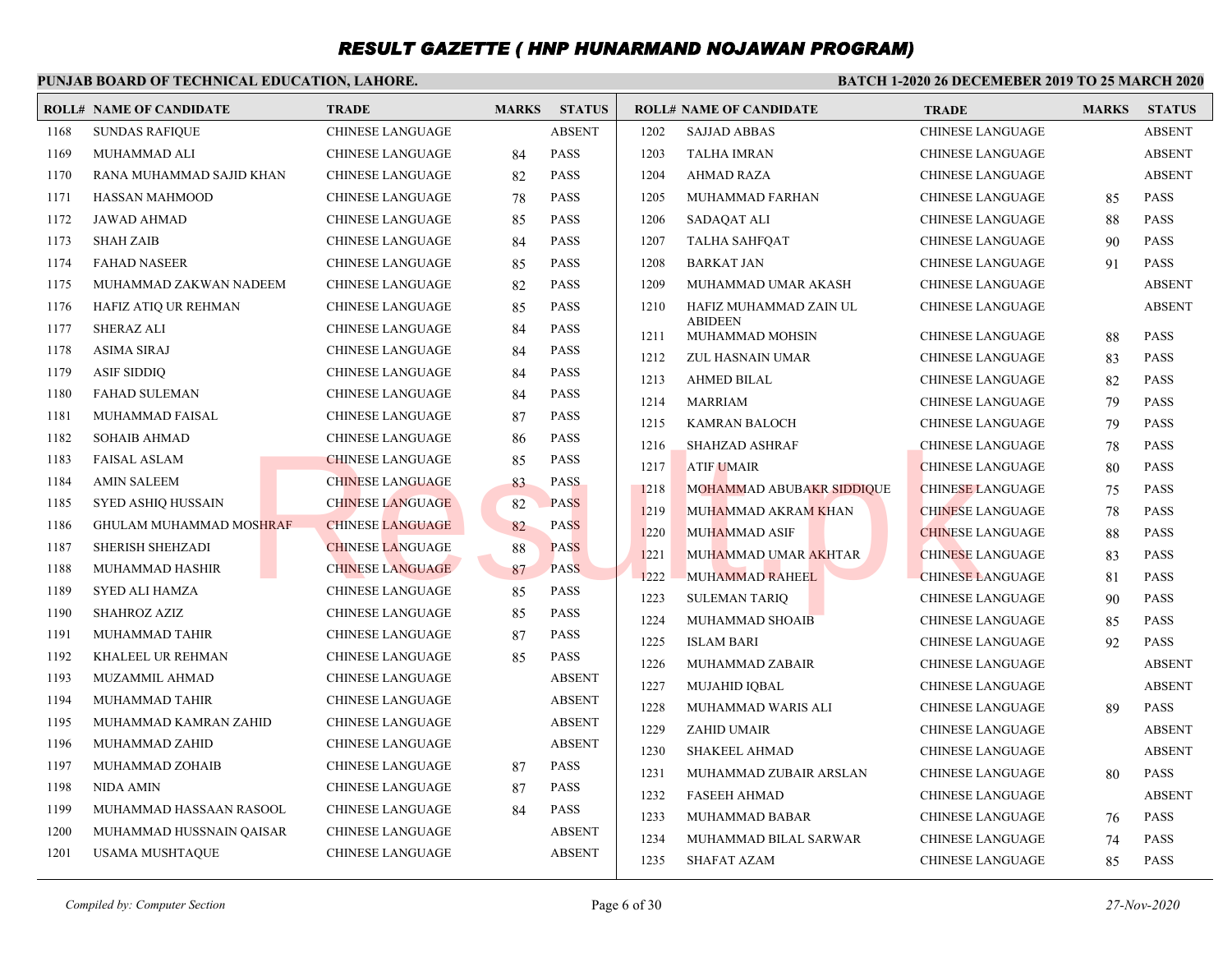## **PUNJAB BOARD OF TECHNICAL EDUCATION, LAHORE.**

|      | <b>ROLL# NAME OF CANDIDATE</b> | <b>TRADE</b>            |    | <b>MARKS STATUS</b> |      | <b>ROLL# NAME OF CANDIDATE</b>    | <b>TRADE</b>            | <b>MARKS</b> | <b>STATUS</b> |
|------|--------------------------------|-------------------------|----|---------------------|------|-----------------------------------|-------------------------|--------------|---------------|
| 1168 | <b>SUNDAS RAFIQUE</b>          | <b>CHINESE LANGUAGE</b> |    | <b>ABSENT</b>       | 1202 | <b>SAJJAD ABBAS</b>               | <b>CHINESE LANGUAGE</b> |              | <b>ABSENT</b> |
| 1169 | MUHAMMAD ALI                   | <b>CHINESE LANGUAGE</b> | 84 | <b>PASS</b>         | 1203 | TALHA IMRAN                       | <b>CHINESE LANGUAGE</b> |              | <b>ABSENT</b> |
| 1170 | RANA MUHAMMAD SAJID KHAN       | <b>CHINESE LANGUAGE</b> | 82 | <b>PASS</b>         | 1204 | AHMAD RAZA                        | <b>CHINESE LANGUAGE</b> |              | <b>ABSENT</b> |
| 1171 | HASSAN MAHMOOD                 | <b>CHINESE LANGUAGE</b> | 78 | <b>PASS</b>         | 1205 | MUHAMMAD FARHAN                   | <b>CHINESE LANGUAGE</b> | 85           | <b>PASS</b>   |
| 1172 | JAWAD AHMAD                    | <b>CHINESE LANGUAGE</b> | 85 | <b>PASS</b>         | 1206 | SADAQAT ALI                       | <b>CHINESE LANGUAGE</b> | 88           | <b>PASS</b>   |
| 1173 | <b>SHAH ZAIB</b>               | <b>CHINESE LANGUAGE</b> | 84 | <b>PASS</b>         | 1207 | TALHA SAHFQAT                     | <b>CHINESE LANGUAGE</b> | 90           | <b>PASS</b>   |
| 1174 | <b>FAHAD NASEER</b>            | CHINESE LANGUAGE        | 85 | <b>PASS</b>         | 1208 | <b>BARKAT JAN</b>                 | <b>CHINESE LANGUAGE</b> | 91           | <b>PASS</b>   |
| 1175 | MUHAMMAD ZAKWAN NADEEM         | <b>CHINESE LANGUAGE</b> | 82 | <b>PASS</b>         | 1209 | MUHAMMAD UMAR AKASH               | <b>CHINESE LANGUAGE</b> |              | <b>ABSENT</b> |
| 1176 | HAFIZ ATIQ UR REHMAN           | <b>CHINESE LANGUAGE</b> | 85 | <b>PASS</b>         | 1210 | HAFIZ MUHAMMAD ZAIN UL            | <b>CHINESE LANGUAGE</b> |              | <b>ABSENT</b> |
| 1177 | <b>SHERAZ ALI</b>              | <b>CHINESE LANGUAGE</b> | 84 | <b>PASS</b>         | 1211 | <b>ABIDEEN</b><br>MUHAMMAD MOHSIN | <b>CHINESE LANGUAGE</b> | 88           | <b>PASS</b>   |
| 1178 | <b>ASIMA SIRAJ</b>             | <b>CHINESE LANGUAGE</b> | 84 | <b>PASS</b>         | 1212 | ZUL HASNAIN UMAR                  | <b>CHINESE LANGUAGE</b> | 83           | <b>PASS</b>   |
| 1179 | <b>ASIF SIDDIO</b>             | <b>CHINESE LANGUAGE</b> | 84 | <b>PASS</b>         | 1213 | <b>AHMED BILAL</b>                | <b>CHINESE LANGUAGE</b> | 82           | <b>PASS</b>   |
| 1180 | <b>FAHAD SULEMAN</b>           | <b>CHINESE LANGUAGE</b> | 84 | <b>PASS</b>         | 1214 | <b>MARRIAM</b>                    | <b>CHINESE LANGUAGE</b> | 79           | <b>PASS</b>   |
| 1181 | <b>MUHAMMAD FAISAL</b>         | <b>CHINESE LANGUAGE</b> | 87 | <b>PASS</b>         | 1215 | <b>KAMRAN BALOCH</b>              | <b>CHINESE LANGUAGE</b> | 79           | <b>PASS</b>   |
| 1182 | <b>SOHAIB AHMAD</b>            | <b>CHINESE LANGUAGE</b> | 86 | <b>PASS</b>         | 1216 | <b>SHAHZAD ASHRAF</b>             | <b>CHINESE LANGUAGE</b> | 78           | <b>PASS</b>   |
| 1183 | <b>FAISAL ASLAM</b>            | <b>CHINESE LANGUAGE</b> | 85 | <b>PASS</b>         | 1217 | <b>ATIF UMAIR</b>                 | <b>CHINESE LANGUAGE</b> | 80           | <b>PASS</b>   |
| 1184 | <b>AMIN SALEEM</b>             | <b>CHINESE LANGUAGE</b> | 83 | <b>PASS</b>         | 1218 | MOHAMMAD ABUBAKR SIDDIQUE         | <b>CHINESE LANGUAGE</b> | 75           | <b>PASS</b>   |
| 1185 | <b>SYED ASHIQ HUSSAIN</b>      | <b>CHINESE LANGUAGE</b> | 82 | <b>PASS</b>         | 1219 | MUHAMMAD AKRAM KHAN               | <b>CHINESE LANGUAGE</b> | 78           | <b>PASS</b>   |
| 1186 | GHULAM MUHAMMAD MOSHRAF        | <b>CHINESE LANGUAGE</b> | 82 | <b>PASS</b>         | 1220 | <b>MUHAMMAD ASIF</b>              | <b>CHINESE LANGUAGE</b> | 88           | <b>PASS</b>   |
| 1187 | <b>SHERISH SHEHZADI</b>        | <b>CHINESE LANGUAGE</b> | 88 | <b>PASS</b>         | 1221 | MUHAMMAD UMAR AKHTAR              | <b>CHINESE LANGUAGE</b> | 83           | <b>PASS</b>   |
| 1188 | MUHAMMAD HASHIR                | <b>CHINESE LANGUAGE</b> | 87 | <b>PASS</b>         | 1222 | <b>MUHAMMAD RAHEEL</b>            | <b>CHINESE LANGUAGE</b> | 81           | <b>PASS</b>   |
| 1189 | SYED ALI HAMZA                 | <b>CHINESE LANGUAGE</b> | 85 | <b>PASS</b>         | 1223 | <b>SULEMAN TARIQ</b>              | <b>CHINESE LANGUAGE</b> | 90           | <b>PASS</b>   |
| 1190 | <b>SHAHROZ AZIZ</b>            | <b>CHINESE LANGUAGE</b> | 85 | <b>PASS</b>         | 1224 | MUHAMMAD SHOAIB                   | <b>CHINESE LANGUAGE</b> | 85           | <b>PASS</b>   |
| 1191 | MUHAMMAD TAHIR                 | <b>CHINESE LANGUAGE</b> | 87 | <b>PASS</b>         | 1225 | <b>ISLAM BARI</b>                 | <b>CHINESE LANGUAGE</b> | 92           | <b>PASS</b>   |
| 1192 | KHALEEL UR REHMAN              | <b>CHINESE LANGUAGE</b> | 85 | <b>PASS</b>         | 1226 | MUHAMMAD ZABAIR                   | <b>CHINESE LANGUAGE</b> |              | <b>ABSENT</b> |
| 1193 | <b>MUZAMMIL AHMAD</b>          | <b>CHINESE LANGUAGE</b> |    | <b>ABSENT</b>       | 1227 | MUJAHID IQBAL                     | CHINESE LANGUAGE        |              | <b>ABSENT</b> |
| 1194 | MUHAMMAD TAHIR                 | <b>CHINESE LANGUAGE</b> |    | <b>ABSENT</b>       | 1228 | MUHAMMAD WARIS ALI                | <b>CHINESE LANGUAGE</b> | 89           | <b>PASS</b>   |
| 1195 | MUHAMMAD KAMRAN ZAHID          | CHINESE LANGUAGE        |    | <b>ABSENT</b>       | 1229 | <b>ZAHID UMAIR</b>                | <b>CHINESE LANGUAGE</b> |              | <b>ABSENT</b> |
| 1196 | MUHAMMAD ZAHID                 | <b>CHINESE LANGUAGE</b> |    | <b>ABSENT</b>       | 1230 | <b>SHAKEEL AHMAD</b>              | <b>CHINESE LANGUAGE</b> |              | <b>ABSENT</b> |
| 1197 | MUHAMMAD ZOHAIB                | CHINESE LANGUAGE        | 87 | <b>PASS</b>         | 1231 | MUHAMMAD ZUBAIR ARSLAN            | <b>CHINESE LANGUAGE</b> | 80           | <b>PASS</b>   |
| 1198 | NIDA AMIN                      | <b>CHINESE LANGUAGE</b> | 87 | <b>PASS</b>         | 1232 | <b>FASEEH AHMAD</b>               | <b>CHINESE LANGUAGE</b> |              | <b>ABSENT</b> |
| 1199 | MUHAMMAD HASSAAN RASOOL        | <b>CHINESE LANGUAGE</b> | 84 | <b>PASS</b>         | 1233 | MUHAMMAD BABAR                    | <b>CHINESE LANGUAGE</b> | 76           | <b>PASS</b>   |
| 1200 | MUHAMMAD HUSSNAIN QAISAR       | <b>CHINESE LANGUAGE</b> |    | <b>ABSENT</b>       | 1234 | MUHAMMAD BILAL SARWAR             | <b>CHINESE LANGUAGE</b> | 74           | <b>PASS</b>   |
| 1201 | <b>USAMA MUSHTAQUE</b>         | <b>CHINESE LANGUAGE</b> |    | <b>ABSENT</b>       | 1235 | <b>SHAFAT AZAM</b>                | <b>CHINESE LANGUAGE</b> | 85           | <b>PASS</b>   |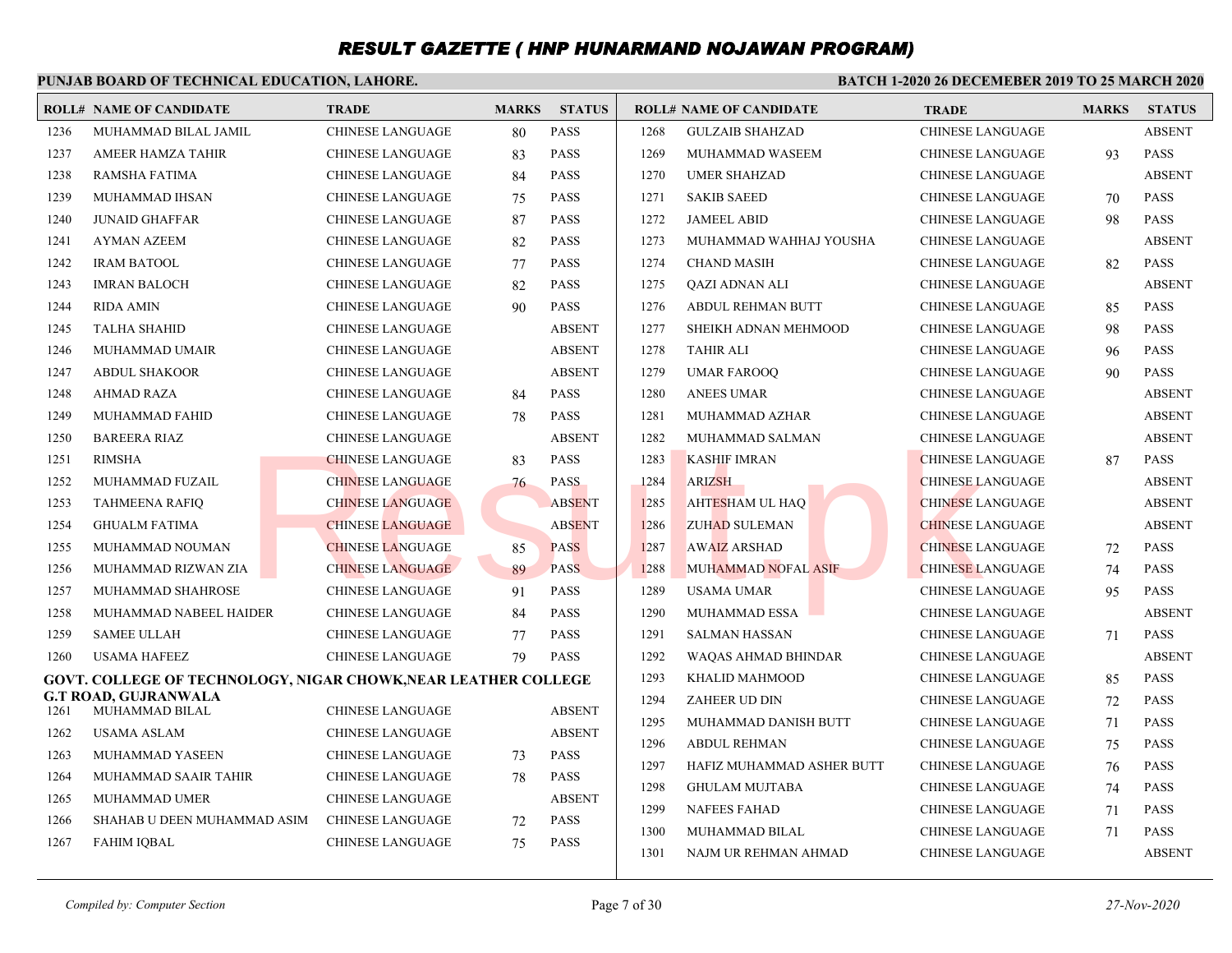## **PUNJAB BOARD OF TECHNICAL EDUCATION, LAHORE.**

|              | <b>ROLL# NAME OF CANDIDATE</b>                                 | <b>TRADE</b>                                       | <b>MARKS</b> | <b>STATUS</b>                |      | <b>ROLL# NAME OF CANDIDATE</b> | <b>TRADE</b>            | <b>MARKS</b> | <b>STATUS</b> |
|--------------|----------------------------------------------------------------|----------------------------------------------------|--------------|------------------------------|------|--------------------------------|-------------------------|--------------|---------------|
| 1236         | MUHAMMAD BILAL JAMIL                                           | <b>CHINESE LANGUAGE</b>                            | 80           | <b>PASS</b>                  | 1268 | <b>GULZAIB SHAHZAD</b>         | <b>CHINESE LANGUAGE</b> |              | <b>ABSENT</b> |
| 1237         | AMEER HAMZA TAHIR                                              | <b>CHINESE LANGUAGE</b>                            | 83           | <b>PASS</b>                  | 1269 | MUHAMMAD WASEEM                | <b>CHINESE LANGUAGE</b> | 93           | <b>PASS</b>   |
| 1238         | RAMSHA FATIMA                                                  | <b>CHINESE LANGUAGE</b>                            | 84           | <b>PASS</b>                  | 1270 | <b>UMER SHAHZAD</b>            | <b>CHINESE LANGUAGE</b> |              | <b>ABSENT</b> |
| 1239         | MUHAMMAD IHSAN                                                 | <b>CHINESE LANGUAGE</b>                            | 75           | <b>PASS</b>                  | 1271 | <b>SAKIB SAEED</b>             | <b>CHINESE LANGUAGE</b> | 70           | <b>PASS</b>   |
| 1240         | <b>JUNAID GHAFFAR</b>                                          | <b>CHINESE LANGUAGE</b>                            | 87           | <b>PASS</b>                  | 1272 | <b>JAMEEL ABID</b>             | <b>CHINESE LANGUAGE</b> | 98           | <b>PASS</b>   |
| 1241         | <b>AYMAN AZEEM</b>                                             | <b>CHINESE LANGUAGE</b>                            | 82           | <b>PASS</b>                  | 1273 | MUHAMMAD WAHHAJ YOUSHA         | <b>CHINESE LANGUAGE</b> |              | <b>ABSENT</b> |
| 1242         | <b>IRAM BATOOL</b>                                             | <b>CHINESE LANGUAGE</b>                            | 77           | <b>PASS</b>                  | 1274 | <b>CHAND MASIH</b>             | <b>CHINESE LANGUAGE</b> | 82           | <b>PASS</b>   |
| 1243         | <b>IMRAN BALOCH</b>                                            | CHINESE LANGUAGE                                   | 82           | <b>PASS</b>                  | 1275 | QAZI ADNAN ALI                 | <b>CHINESE LANGUAGE</b> |              | <b>ABSENT</b> |
| 1244         | RIDA AMIN                                                      | <b>CHINESE LANGUAGE</b>                            | 90           | <b>PASS</b>                  | 1276 | <b>ABDUL REHMAN BUTT</b>       | <b>CHINESE LANGUAGE</b> | 85           | <b>PASS</b>   |
| 1245         | <b>TALHA SHAHID</b>                                            | <b>CHINESE LANGUAGE</b>                            |              | <b>ABSENT</b>                | 1277 | SHEIKH ADNAN MEHMOOD           | <b>CHINESE LANGUAGE</b> | 98           | <b>PASS</b>   |
| 1246         | MUHAMMAD UMAIR                                                 | <b>CHINESE LANGUAGE</b>                            |              | <b>ABSENT</b>                | 1278 | TAHIR ALI                      | <b>CHINESE LANGUAGE</b> | 96           | <b>PASS</b>   |
| 1247         | <b>ABDUL SHAKOOR</b>                                           | <b>CHINESE LANGUAGE</b>                            |              | <b>ABSENT</b>                | 1279 | <b>UMAR FAROOQ</b>             | <b>CHINESE LANGUAGE</b> | 90           | <b>PASS</b>   |
| 1248         | <b>AHMAD RAZA</b>                                              | <b>CHINESE LANGUAGE</b>                            | 84           | <b>PASS</b>                  | 1280 | <b>ANEES UMAR</b>              | <b>CHINESE LANGUAGE</b> |              | <b>ABSENT</b> |
| 1249         | <b>MUHAMMAD FAHID</b>                                          | <b>CHINESE LANGUAGE</b>                            | 78           | <b>PASS</b>                  | 1281 | MUHAMMAD AZHAR                 | <b>CHINESE LANGUAGE</b> |              | <b>ABSENT</b> |
| 1250         | <b>BAREERA RIAZ</b>                                            | CHINESE LANGUAGE                                   |              | <b>ABSENT</b>                | 1282 | MUHAMMAD SALMAN                | <b>CHINESE LANGUAGE</b> |              | <b>ABSENT</b> |
| 1251         | <b>RIMSHA</b>                                                  | <b>CHINESE LANGUAGE</b>                            | 83           | <b>PASS</b>                  | 1283 | <b>KASHIF IMRAN</b>            | <b>CHINESE LANGUAGE</b> | 87           | <b>PASS</b>   |
| 1252         | MUHAMMAD FUZAIL                                                | <b>CHINESE LANGUAGE</b>                            | 76           | <b>PASS</b>                  | 1284 | <b>ARIZSH</b>                  | <b>CHINESE LANGUAGE</b> |              | <b>ABSENT</b> |
| 1253         | <b>TAHMEENA RAFIO</b>                                          | <b>CHINESE LANGUAGE</b>                            |              | <b>ABSENT</b>                | 1285 | <b>AHTESHAM UL HAO</b>         | <b>CHINESE LANGUAGE</b> |              | <b>ABSENT</b> |
| 1254         | <b>GHUALM FATIMA</b>                                           | <b>CHINESE LANGUAGE</b>                            |              | <b>ABSENT</b>                | 1286 | <b>ZUHAD SULEMAN</b>           | <b>CHINESE LANGUAGE</b> |              | <b>ABSENT</b> |
| 1255         | MUHAMMAD NOUMAN                                                | <b>CHINESE LANGUAGE</b>                            | 85           | <b>PASS</b>                  | 1287 | <b>AWAIZ ARSHAD</b>            | <b>CHINESE LANGUAGE</b> | 72           | <b>PASS</b>   |
| 1256         | MUHAMMAD RIZWAN ZIA                                            | <b>CHINESE LANGUAGE</b>                            | 89           | <b>PASS</b>                  | 1288 | MUHAMMAD NOFAL ASIF            | <b>CHINESE LANGUAGE</b> | 74           | <b>PASS</b>   |
| 1257         | MUHAMMAD SHAHROSE                                              | <b>CHINESE LANGUAGE</b>                            | 91           | <b>PASS</b>                  | 1289 | <b>USAMA UMAR</b>              | <b>CHINESE LANGUAGE</b> | 95           | <b>PASS</b>   |
| 1258         | MUHAMMAD NABEEL HAIDER                                         | <b>CHINESE LANGUAGE</b>                            | 84           | <b>PASS</b>                  | 1290 | MUHAMMAD ESSA                  | <b>CHINESE LANGUAGE</b> |              | <b>ABSENT</b> |
| 1259         | <b>SAMEE ULLAH</b>                                             | <b>CHINESE LANGUAGE</b>                            | 77           | <b>PASS</b>                  | 1291 | <b>SALMAN HASSAN</b>           | <b>CHINESE LANGUAGE</b> | 71           | <b>PASS</b>   |
| 1260         | <b>USAMA HAFEEZ</b>                                            | <b>CHINESE LANGUAGE</b>                            | 79           | <b>PASS</b>                  | 1292 | WAQAS AHMAD BHINDAR            | <b>CHINESE LANGUAGE</b> |              | <b>ABSENT</b> |
|              | GOVT. COLLEGE OF TECHNOLOGY, NIGAR CHOWK, NEAR LEATHER COLLEGE |                                                    |              |                              | 1293 | KHALID MAHMOOD                 | <b>CHINESE LANGUAGE</b> | 85           | <b>PASS</b>   |
| 1261         | <b>G.T ROAD, GUJRANWALA</b><br>MUHAMMAD BILAL                  |                                                    |              | <b>ABSENT</b>                | 1294 | <b>ZAHEER UD DIN</b>           | <b>CHINESE LANGUAGE</b> | 72           | <b>PASS</b>   |
|              |                                                                | <b>CHINESE LANGUAGE</b>                            |              |                              | 1295 | MUHAMMAD DANISH BUTT           | <b>CHINESE LANGUAGE</b> | 71           | <b>PASS</b>   |
| 1262<br>1263 | <b>USAMA ASLAM</b><br>MUHAMMAD YASEEN                          | CHINESE LANGUAGE<br><b>CHINESE LANGUAGE</b>        |              | <b>ABSENT</b><br><b>PASS</b> | 1296 | <b>ABDUL REHMAN</b>            | <b>CHINESE LANGUAGE</b> | 75           | <b>PASS</b>   |
|              |                                                                |                                                    | 73           |                              | 1297 | HAFIZ MUHAMMAD ASHER BUTT      | <b>CHINESE LANGUAGE</b> | 76           | <b>PASS</b>   |
| 1264<br>1265 | MUHAMMAD SAAIR TAHIR<br>MUHAMMAD UMER                          | <b>CHINESE LANGUAGE</b><br><b>CHINESE LANGUAGE</b> | 78           | <b>PASS</b><br><b>ABSENT</b> | 1298 | <b>GHULAM MUJTABA</b>          | <b>CHINESE LANGUAGE</b> | 74           | <b>PASS</b>   |
| 1266         | SHAHAB U DEEN MUHAMMAD ASIM                                    | <b>CHINESE LANGUAGE</b>                            |              | <b>PASS</b>                  | 1299 | <b>NAFEES FAHAD</b>            | <b>CHINESE LANGUAGE</b> | 71           | <b>PASS</b>   |
|              |                                                                |                                                    | 72           | <b>PASS</b>                  | 1300 | MUHAMMAD BILAL                 | <b>CHINESE LANGUAGE</b> | 71           | <b>PASS</b>   |
| 1267         | <b>FAHIM IQBAL</b>                                             | <b>CHINESE LANGUAGE</b>                            | 75           |                              | 1301 | NAJM UR REHMAN AHMAD           | <b>CHINESE LANGUAGE</b> |              | <b>ABSENT</b> |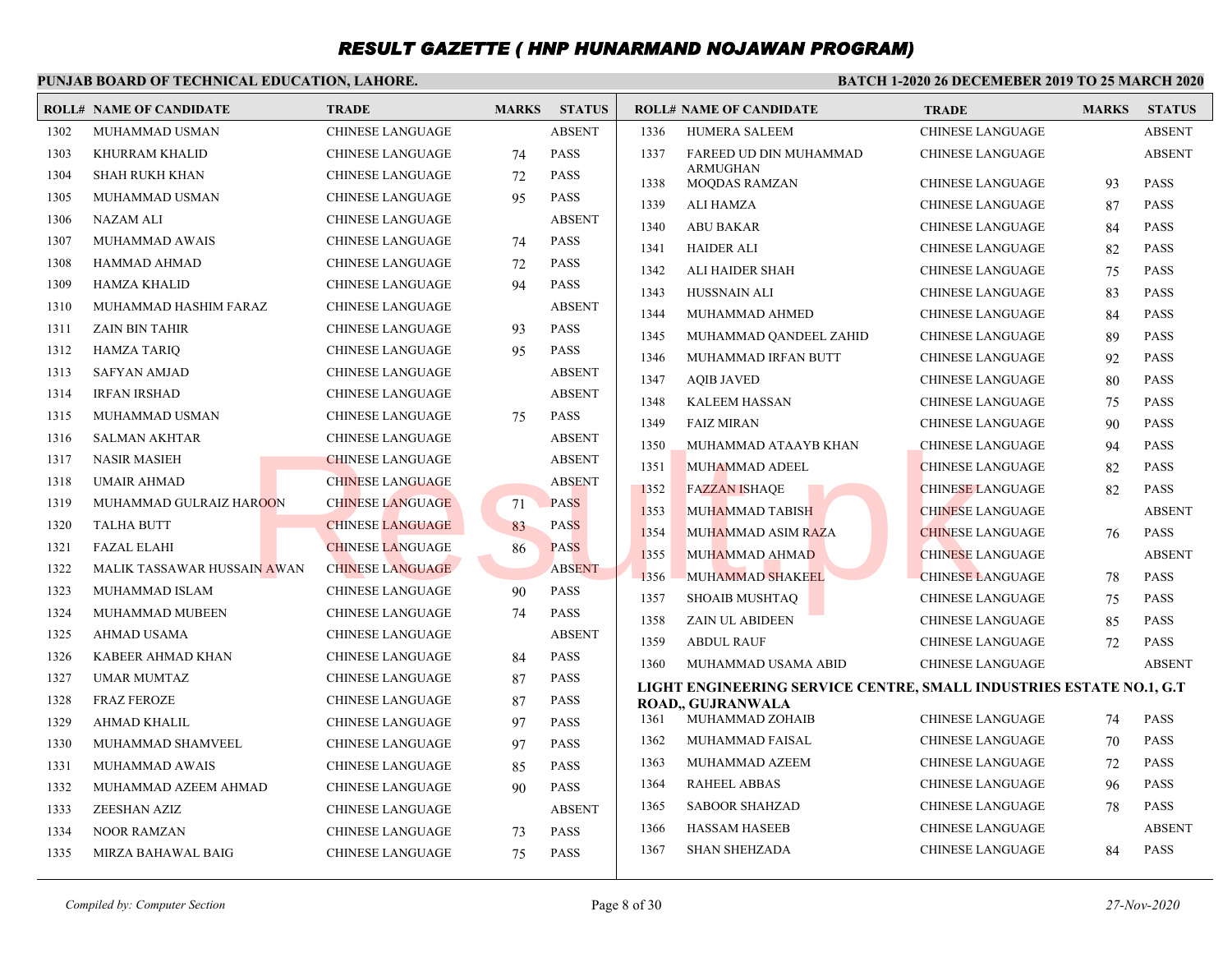### **PUNJAB BOARD OF TECHNICAL EDUCATION, LAHORE.**

|      | <b>ROLL# NAME OF CANDIDATE</b> | <b>TRADE</b>            | <b>MARKS</b> | <b>STATUS</b> |      | <b>ROLL# NAME OF CANDIDATE</b>                                      | <b>TRADE</b>            | <b>MARKS</b> | <b>STATUS</b> |
|------|--------------------------------|-------------------------|--------------|---------------|------|---------------------------------------------------------------------|-------------------------|--------------|---------------|
| 1302 | MUHAMMAD USMAN                 | <b>CHINESE LANGUAGE</b> |              | <b>ABSENT</b> | 1336 | <b>HUMERA SALEEM</b>                                                | <b>CHINESE LANGUAGE</b> |              | <b>ABSENT</b> |
| 1303 | KHURRAM KHALID                 | <b>CHINESE LANGUAGE</b> | 74           | <b>PASS</b>   | 1337 | FAREED UD DIN MUHAMMAD                                              | <b>CHINESE LANGUAGE</b> |              | <b>ABSENT</b> |
| 1304 | <b>SHAH RUKH KHAN</b>          | <b>CHINESE LANGUAGE</b> | 72           | <b>PASS</b>   | 1338 | <b>ARMUGHAN</b><br><b>MOQDAS RAMZAN</b>                             | <b>CHINESE LANGUAGE</b> | 93           | <b>PASS</b>   |
| 1305 | MUHAMMAD USMAN                 | CHINESE LANGUAGE        | 95           | <b>PASS</b>   | 1339 | <b>ALI HAMZA</b>                                                    | <b>CHINESE LANGUAGE</b> | 87           | <b>PASS</b>   |
| 1306 | <b>NAZAM ALI</b>               | <b>CHINESE LANGUAGE</b> |              | <b>ABSENT</b> | 1340 | <b>ABU BAKAR</b>                                                    | <b>CHINESE LANGUAGE</b> | 84           | <b>PASS</b>   |
| 1307 | <b>MUHAMMAD AWAIS</b>          | <b>CHINESE LANGUAGE</b> | 74           | <b>PASS</b>   | 1341 | <b>HAIDER ALI</b>                                                   | <b>CHINESE LANGUAGE</b> | 82           | <b>PASS</b>   |
| 1308 | <b>HAMMAD AHMAD</b>            | <b>CHINESE LANGUAGE</b> | 72           | <b>PASS</b>   | 1342 | ALI HAIDER SHAH                                                     | <b>CHINESE LANGUAGE</b> | 75           | <b>PASS</b>   |
| 1309 | <b>HAMZA KHALID</b>            | <b>CHINESE LANGUAGE</b> | 94           | <b>PASS</b>   | 1343 | <b>HUSSNAIN ALI</b>                                                 | <b>CHINESE LANGUAGE</b> | 83           | <b>PASS</b>   |
| 1310 | MUHAMMAD HASHIM FARAZ          | <b>CHINESE LANGUAGE</b> |              | <b>ABSENT</b> | 1344 | MUHAMMAD AHMED                                                      | <b>CHINESE LANGUAGE</b> | 84           | <b>PASS</b>   |
| 1311 | <b>ZAIN BIN TAHIR</b>          | <b>CHINESE LANGUAGE</b> | 93           | <b>PASS</b>   | 1345 | MUHAMMAD QANDEEL ZAHID                                              | <b>CHINESE LANGUAGE</b> | 89           | <b>PASS</b>   |
| 1312 | <b>HAMZA TARIQ</b>             | <b>CHINESE LANGUAGE</b> | 95           | <b>PASS</b>   | 1346 | MUHAMMAD IRFAN BUTT                                                 | <b>CHINESE LANGUAGE</b> | 92           | <b>PASS</b>   |
| 1313 | <b>SAFYAN AMJAD</b>            | <b>CHINESE LANGUAGE</b> |              | <b>ABSENT</b> | 1347 | <b>AQIB JAVED</b>                                                   | <b>CHINESE LANGUAGE</b> | 80           | <b>PASS</b>   |
| 1314 | <b>IRFAN IRSHAD</b>            | <b>CHINESE LANGUAGE</b> |              | <b>ABSENT</b> | 1348 | <b>KALEEM HASSAN</b>                                                | <b>CHINESE LANGUAGE</b> | 75           | <b>PASS</b>   |
| 1315 | MUHAMMAD USMAN                 | CHINESE LANGUAGE        | 75           | <b>PASS</b>   | 1349 | <b>FAIZ MIRAN</b>                                                   | <b>CHINESE LANGUAGE</b> | 90           | <b>PASS</b>   |
| 1316 | <b>SALMAN AKHTAR</b>           | <b>CHINESE LANGUAGE</b> |              | <b>ABSENT</b> | 1350 | MUHAMMAD ATAAYB KHAN                                                | <b>CHINESE LANGUAGE</b> | 94           | <b>PASS</b>   |
| 1317 | <b>NASIR MASIEH</b>            | <b>CHINESE LANGUAGE</b> |              | <b>ABSENT</b> | 1351 | MUHAMMAD ADEEL                                                      | <b>CHINESE LANGUAGE</b> | 82           | <b>PASS</b>   |
| 1318 | <b>UMAIR AHMAD</b>             | <b>CHINESE LANGUAGE</b> |              | <b>ABSENT</b> | 1352 | <b>FAZZAN ISHAOE</b>                                                | <b>CHINESE LANGUAGE</b> | 82           | <b>PASS</b>   |
| 1319 | MUHAMMAD GULRAIZ HAROON        | <b>CHINESE LANGUAGE</b> | 71           | <b>PASS</b>   | 1353 | MUHAMMAD TABISH                                                     | <b>CHINESE LANGUAGE</b> |              | <b>ABSENT</b> |
| 1320 | <b>TALHA BUTT</b>              | <b>CHINESE LANGUAGE</b> | 83           | <b>PASS</b>   | 1354 | <b>MUHAMMAD ASIM RAZA</b>                                           | <b>CHINESE LANGUAGE</b> | 76           | <b>PASS</b>   |
| 1321 | <b>FAZAL ELAHI</b>             | <b>CHINESE LANGUAGE</b> | 86           | <b>PASS</b>   | 1355 | MUHAMMAD AHMAD                                                      | <b>CHINESE LANGUAGE</b> |              | <b>ABSENT</b> |
| 1322 | MALIK TASSAWAR HUSSAIN AWAN    | <b>CHINESE LANGUAGE</b> |              | <b>ABSENT</b> | 1356 | MUHAMMAD SHAKEEL                                                    | <b>CHINESE LANGUAGE</b> | 78           | <b>PASS</b>   |
| 1323 | <b>MUHAMMAD ISLAM</b>          | <b>CHINESE LANGUAGE</b> | 90           | <b>PASS</b>   | 1357 | <b>SHOAIB MUSHTAQ</b>                                               | <b>CHINESE LANGUAGE</b> | 75           | <b>PASS</b>   |
| 1324 | MUHAMMAD MUBEEN                | CHINESE LANGUAGE        | 74           | <b>PASS</b>   | 1358 | ZAIN UL ABIDEEN                                                     | <b>CHINESE LANGUAGE</b> | 85           | <b>PASS</b>   |
| 1325 | AHMAD USAMA                    | CHINESE LANGUAGE        |              | <b>ABSENT</b> | 1359 | <b>ABDUL RAUF</b>                                                   | <b>CHINESE LANGUAGE</b> | 72           | <b>PASS</b>   |
| 1326 | KABEER AHMAD KHAN              | CHINESE LANGUAGE        | 84           | <b>PASS</b>   | 1360 | MUHAMMAD USAMA ABID                                                 | <b>CHINESE LANGUAGE</b> |              | <b>ABSENT</b> |
| 1327 | <b>UMAR MUMTAZ</b>             | <b>CHINESE LANGUAGE</b> | 87           | <b>PASS</b>   |      | LIGHT ENGINEERING SERVICE CENTRE, SMALL INDUSTRIES ESTATE NO.1, G.T |                         |              |               |
| 1328 | <b>FRAZ FEROZE</b>             | <b>CHINESE LANGUAGE</b> | 87           | <b>PASS</b>   |      | ROAD., GUJRANWALA                                                   |                         |              |               |
| 1329 | AHMAD KHALIL                   | <b>CHINESE LANGUAGE</b> | 97           | <b>PASS</b>   | 1361 | MUHAMMAD ZOHAIB                                                     | <b>CHINESE LANGUAGE</b> | 74           | <b>PASS</b>   |
| 1330 | MUHAMMAD SHAMVEEL              | CHINESE LANGUAGE        | 97           | <b>PASS</b>   | 1362 | MUHAMMAD FAISAL                                                     | <b>CHINESE LANGUAGE</b> | 70           | <b>PASS</b>   |
| 1331 | MUHAMMAD AWAIS                 | <b>CHINESE LANGUAGE</b> | 85           | <b>PASS</b>   | 1363 | MUHAMMAD AZEEM                                                      | <b>CHINESE LANGUAGE</b> | 72           | <b>PASS</b>   |
| 1332 | MUHAMMAD AZEEM AHMAD           | CHINESE LANGUAGE        | 90           | <b>PASS</b>   | 1364 | <b>RAHEEL ABBAS</b>                                                 | <b>CHINESE LANGUAGE</b> | 96           | <b>PASS</b>   |
| 1333 | ZEESHAN AZIZ                   | <b>CHINESE LANGUAGE</b> |              | <b>ABSENT</b> | 1365 | <b>SABOOR SHAHZAD</b>                                               | <b>CHINESE LANGUAGE</b> | 78           | <b>PASS</b>   |
| 1334 | <b>NOOR RAMZAN</b>             | <b>CHINESE LANGUAGE</b> | 73           | <b>PASS</b>   | 1366 | <b>HASSAM HASEEB</b>                                                | <b>CHINESE LANGUAGE</b> |              | <b>ABSENT</b> |
| 1335 | MIRZA BAHAWAL BAIG             | <b>CHINESE LANGUAGE</b> | 75           | <b>PASS</b>   | 1367 | <b>SHAN SHEHZADA</b>                                                | <b>CHINESE LANGUAGE</b> | 84           | <b>PASS</b>   |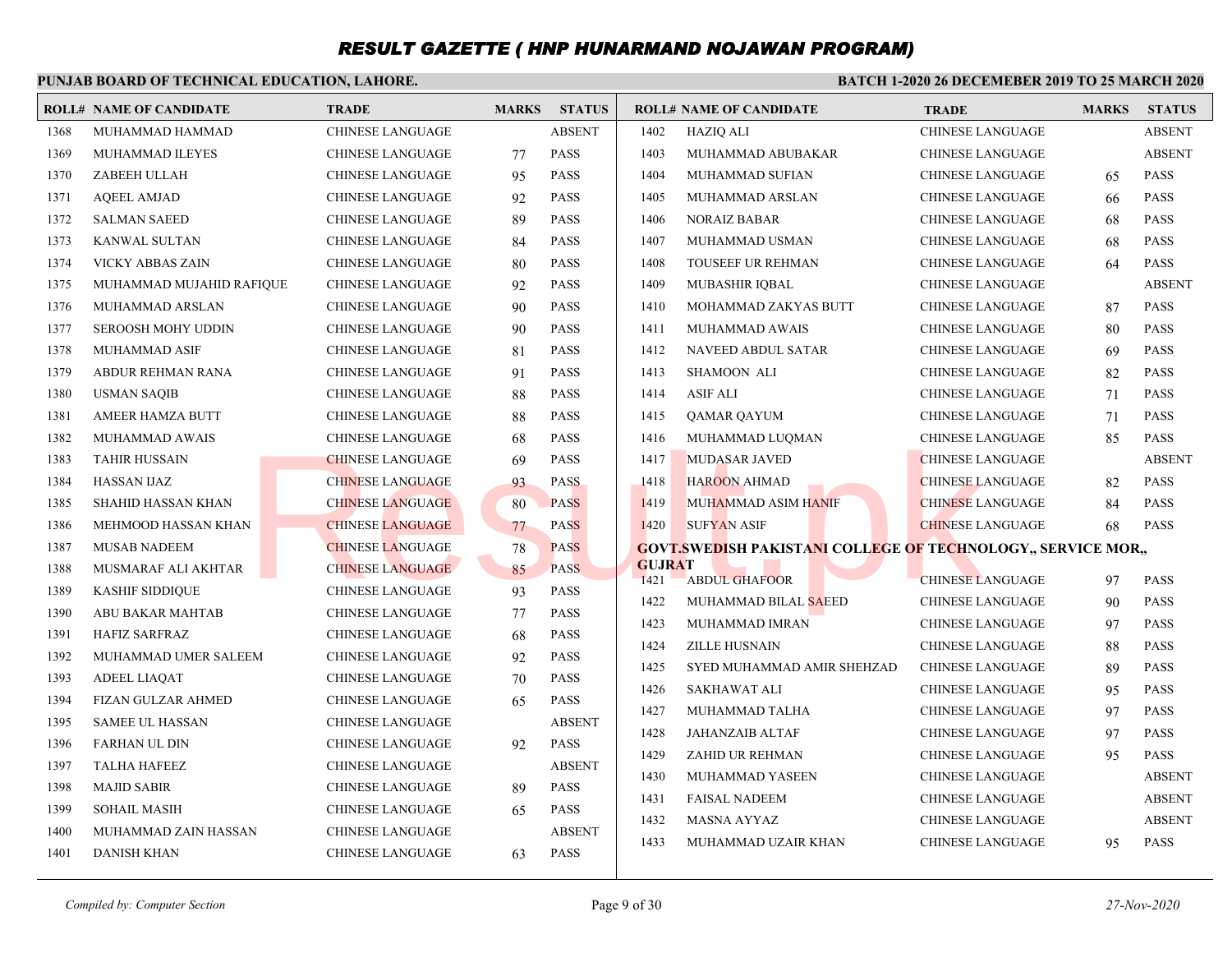## **PUNJAB BOARD OF TECHNICAL EDUCATION, LAHORE.**

|      | <b>ROLL# NAME OF CANDIDATE</b> | <b>TRADE</b>            | <b>MARKS</b> | <b>STATUS</b> |                       | <b>ROLL# NAME OF CANDIDATE</b>                                      | <b>TRADE</b>            | <b>MARKS</b> | <b>STATUS</b> |
|------|--------------------------------|-------------------------|--------------|---------------|-----------------------|---------------------------------------------------------------------|-------------------------|--------------|---------------|
| 1368 | MUHAMMAD HAMMAD                | <b>CHINESE LANGUAGE</b> |              | <b>ABSENT</b> | 1402                  | <b>HAZIO ALI</b>                                                    | <b>CHINESE LANGUAGE</b> |              | <b>ABSENT</b> |
| 1369 | MUHAMMAD ILEYES                | CHINESE LANGUAGE        | 77           | <b>PASS</b>   | 1403                  | MUHAMMAD ABUBAKAR                                                   | <b>CHINESE LANGUAGE</b> |              | <b>ABSENT</b> |
| 1370 | ZABEEH ULLAH                   | <b>CHINESE LANGUAGE</b> | 95           | <b>PASS</b>   | 1404                  | MUHAMMAD SUFIAN                                                     | <b>CHINESE LANGUAGE</b> | 65           | <b>PASS</b>   |
| 1371 | <b>AQEEL AMJAD</b>             | CHINESE LANGUAGE        | 92           | <b>PASS</b>   | 1405                  | MUHAMMAD ARSLAN                                                     | <b>CHINESE LANGUAGE</b> | 66           | <b>PASS</b>   |
| 1372 | <b>SALMAN SAEED</b>            | <b>CHINESE LANGUAGE</b> | 89           | <b>PASS</b>   | 1406                  | <b>NORAIZ BABAR</b>                                                 | <b>CHINESE LANGUAGE</b> | 68           | <b>PASS</b>   |
| 1373 | KANWAL SULTAN                  | <b>CHINESE LANGUAGE</b> | 84           | <b>PASS</b>   | 1407                  | MUHAMMAD USMAN                                                      | <b>CHINESE LANGUAGE</b> | 68           | <b>PASS</b>   |
| 1374 | <b>VICKY ABBAS ZAIN</b>        | CHINESE LANGUAGE        | 80           | <b>PASS</b>   | 1408                  | <b>TOUSEEF UR REHMAN</b>                                            | <b>CHINESE LANGUAGE</b> | 64           | PASS          |
| 1375 | MUHAMMAD MUJAHID RAFIQUE       | <b>CHINESE LANGUAGE</b> | 92           | <b>PASS</b>   | 1409                  | MUBASHIR IQBAL                                                      | <b>CHINESE LANGUAGE</b> |              | <b>ABSENT</b> |
| 1376 | MUHAMMAD ARSLAN                | <b>CHINESE LANGUAGE</b> | 90           | <b>PASS</b>   | 1410                  | MOHAMMAD ZAKYAS BUTT                                                | <b>CHINESE LANGUAGE</b> | 87           | <b>PASS</b>   |
| 1377 | <b>SEROOSH MOHY UDDIN</b>      | CHINESE LANGUAGE        | 90           | <b>PASS</b>   | 1411                  | MUHAMMAD AWAIS                                                      | <b>CHINESE LANGUAGE</b> | 80           | <b>PASS</b>   |
| 1378 | <b>MUHAMMAD ASIF</b>           | <b>CHINESE LANGUAGE</b> | 81           | <b>PASS</b>   | 1412                  | NAVEED ABDUL SATAR                                                  | <b>CHINESE LANGUAGE</b> | 69           | <b>PASS</b>   |
| 1379 | ABDUR REHMAN RANA              | CHINESE LANGUAGE        | 91           | <b>PASS</b>   | 1413                  | SHAMOON ALI                                                         | <b>CHINESE LANGUAGE</b> | 82           | <b>PASS</b>   |
| 1380 | <b>USMAN SAOIB</b>             | CHINESE LANGUAGE        | 88           | <b>PASS</b>   | 1414                  | <b>ASIF ALI</b>                                                     | <b>CHINESE LANGUAGE</b> | 71           | <b>PASS</b>   |
| 1381 | AMEER HAMZA BUTT               | CHINESE LANGUAGE        | 88           | <b>PASS</b>   | 1415                  | QAMAR QAYUM                                                         | <b>CHINESE LANGUAGE</b> | 71           | <b>PASS</b>   |
| 1382 | MUHAMMAD AWAIS                 | <b>CHINESE LANGUAGE</b> | 68           | <b>PASS</b>   | 1416                  | MUHAMMAD LUQMAN                                                     | <b>CHINESE LANGUAGE</b> | 85           | <b>PASS</b>   |
| 1383 | <b>TAHIR HUSSAIN</b>           | <b>CHINESE LANGUAGE</b> | 69           | <b>PASS</b>   | 1417                  | <b>MUDASAR JAVED</b>                                                | <b>CHINESE LANGUAGE</b> |              | <b>ABSENT</b> |
| 1384 | <b>HASSAN IJAZ</b>             | <b>CHINESE LANGUAGE</b> | 93           | <b>PASS</b>   | 1418                  | <b>HAROON AHMAD</b>                                                 | <b>CHINESE LANGUAGE</b> | 82           | <b>PASS</b>   |
| 1385 | SHAHID HASSAN KHAN             | <b>CHINESE LANGUAGE</b> | 80           | <b>PASS</b>   | 1419                  | <b>MUHAMMAD ASIM HANIF</b>                                          | <b>CHINESE LANGUAGE</b> | 84           | <b>PASS</b>   |
| 1386 | MEHMOOD HASSAN KHAN            | <b>CHINESE LANGUAGE</b> | 77           | <b>PASS</b>   | 1420                  | <b>SUFYAN ASIF</b>                                                  | <b>CHINESE LANGUAGE</b> | 68           | <b>PASS</b>   |
| 1387 | <b>MUSAB NADEEM</b>            | <b>CHINESE LANGUAGE</b> | 78           | <b>PASS</b>   |                       | <b>GOVT.SWEDISH PAKISTANI COLLEGE OF TECHNOLOGY,, SERVICE MOR,,</b> |                         |              |               |
| 1388 | MUSMARAF ALI AKHTAR            | <b>CHINESE LANGUAGE</b> | 85           | <b>PASS</b>   | <b>GUJRAT</b><br>1421 |                                                                     | <b>CHINESE LANGUAGE</b> |              | <b>PASS</b>   |
| 1389 | <b>KASHIF SIDDIQUE</b>         | CHINESE LANGUAGE        | 93           | <b>PASS</b>   |                       | <b>ABDUL GHAFOOR</b>                                                |                         | 97           |               |
| 1390 | <b>ABU BAKAR MAHTAB</b>        | CHINESE LANGUAGE        | 77           | PASS          | 1422                  | MUHAMMAD BILAL SAEED                                                | <b>CHINESE LANGUAGE</b> | 90           | <b>PASS</b>   |
| 1391 | <b>HAFIZ SARFRAZ</b>           | CHINESE LANGUAGE        | 68           | <b>PASS</b>   | 1423                  | MUHAMMAD IMRAN                                                      | <b>CHINESE LANGUAGE</b> | 97           | <b>PASS</b>   |
| 1392 | MUHAMMAD UMER SALEEM           | <b>CHINESE LANGUAGE</b> | 92           | <b>PASS</b>   | 1424                  | <b>ZILLE HUSNAIN</b>                                                | <b>CHINESE LANGUAGE</b> | 88           | <b>PASS</b>   |
| 1393 | <b>ADEEL LIAOAT</b>            | <b>CHINESE LANGUAGE</b> | 70           | <b>PASS</b>   | 1425                  | SYED MUHAMMAD AMIR SHEHZAD                                          | <b>CHINESE LANGUAGE</b> | 89           | <b>PASS</b>   |
| 1394 | FIZAN GULZAR AHMED             | <b>CHINESE LANGUAGE</b> | 65           | <b>PASS</b>   | 1426                  | SAKHAWAT ALI                                                        | <b>CHINESE LANGUAGE</b> | 95           | <b>PASS</b>   |
| 1395 | <b>SAMEE UL HASSAN</b>         | <b>CHINESE LANGUAGE</b> |              | <b>ABSENT</b> | 1427                  | MUHAMMAD TALHA                                                      | <b>CHINESE LANGUAGE</b> | 97           | <b>PASS</b>   |
| 1396 | <b>FARHAN UL DIN</b>           | <b>CHINESE LANGUAGE</b> | 92           | <b>PASS</b>   | 1428                  | JAHANZAIB ALTAF                                                     | <b>CHINESE LANGUAGE</b> | 97           | <b>PASS</b>   |
| 1397 | <b>TALHA HAFEEZ</b>            | CHINESE LANGUAGE        |              | <b>ABSENT</b> | 1429                  | ZAHID UR REHMAN                                                     | <b>CHINESE LANGUAGE</b> | 95           | <b>PASS</b>   |
| 1398 | <b>MAJID SABIR</b>             | <b>CHINESE LANGUAGE</b> | 89           | <b>PASS</b>   | 1430                  | MUHAMMAD YASEEN                                                     | <b>CHINESE LANGUAGE</b> |              | <b>ABSENT</b> |
| 1399 | <b>SOHAIL MASIH</b>            | <b>CHINESE LANGUAGE</b> | 65           | <b>PASS</b>   | 1431                  | <b>FAISAL NADEEM</b>                                                | <b>CHINESE LANGUAGE</b> |              | <b>ABSENT</b> |
| 1400 | MUHAMMAD ZAIN HASSAN           | CHINESE LANGUAGE        |              | <b>ABSENT</b> | 1432                  | MASNA AYYAZ                                                         | <b>CHINESE LANGUAGE</b> |              | <b>ABSENT</b> |
| 1401 | <b>DANISH KHAN</b>             | <b>CHINESE LANGUAGE</b> | 63           | <b>PASS</b>   | 1433                  | MUHAMMAD UZAIR KHAN                                                 | <b>CHINESE LANGUAGE</b> | 95           | <b>PASS</b>   |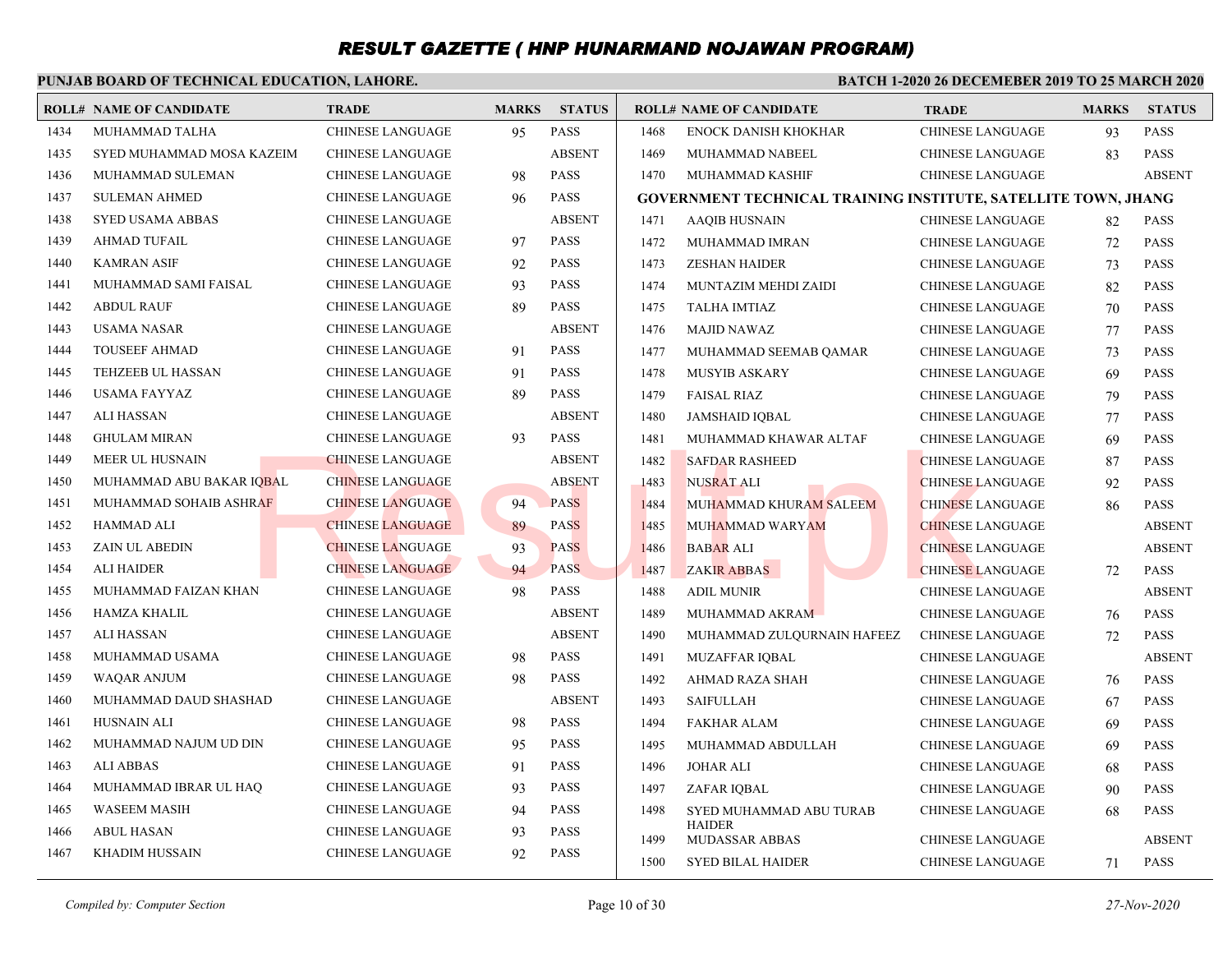### **PUNJAB BOARD OF TECHNICAL EDUCATION, LAHORE.**

|      | <b>ROLL# NAME OF CANDIDATE</b> | <b>TRADE</b>            | <b>MARKS</b> | <b>STATUS</b> |      | <b>ROLL# NAME OF CANDIDATE</b>                                        | <b>TRADE</b>            | <b>MARKS</b> | <b>STATUS</b> |
|------|--------------------------------|-------------------------|--------------|---------------|------|-----------------------------------------------------------------------|-------------------------|--------------|---------------|
| 1434 | MUHAMMAD TALHA                 | CHINESE LANGUAGE        | 95           | <b>PASS</b>   | 1468 | ENOCK DANISH KHOKHAR                                                  | <b>CHINESE LANGUAGE</b> | 93           | <b>PASS</b>   |
| 1435 | SYED MUHAMMAD MOSA KAZEIM      | <b>CHINESE LANGUAGE</b> |              | <b>ABSENT</b> | 1469 | MUHAMMAD NABEEL                                                       | <b>CHINESE LANGUAGE</b> | 83           | <b>PASS</b>   |
| 1436 | MUHAMMAD SULEMAN               | CHINESE LANGUAGE        | 98           | <b>PASS</b>   | 1470 | MUHAMMAD KASHIF                                                       | <b>CHINESE LANGUAGE</b> |              | <b>ABSENT</b> |
| 1437 | <b>SULEMAN AHMED</b>           | CHINESE LANGUAGE        | 96           | <b>PASS</b>   |      | <b>GOVERNMENT TECHNICAL TRAINING INSTITUTE, SATELLITE TOWN, JHANG</b> |                         |              |               |
| 1438 | <b>SYED USAMA ABBAS</b>        | CHINESE LANGUAGE        |              | <b>ABSENT</b> | 1471 | <b>AAQIB HUSNAIN</b>                                                  | <b>CHINESE LANGUAGE</b> | 82           | <b>PASS</b>   |
| 1439 | <b>AHMAD TUFAIL</b>            | <b>CHINESE LANGUAGE</b> | 97           | <b>PASS</b>   | 1472 | MUHAMMAD IMRAN                                                        | <b>CHINESE LANGUAGE</b> | 72           | <b>PASS</b>   |
| 1440 | <b>KAMRAN ASIF</b>             | CHINESE LANGUAGE        | 92           | <b>PASS</b>   | 1473 | <b>ZESHAN HAIDER</b>                                                  | <b>CHINESE LANGUAGE</b> | 73           | <b>PASS</b>   |
| 1441 | MUHAMMAD SAMI FAISAL           | <b>CHINESE LANGUAGE</b> | 93           | <b>PASS</b>   | 1474 | MUNTAZIM MEHDI ZAIDI                                                  | <b>CHINESE LANGUAGE</b> | 82           | <b>PASS</b>   |
| 1442 | <b>ABDUL RAUF</b>              | CHINESE LANGUAGE        | 89           | <b>PASS</b>   | 1475 | <b>TALHA IMTIAZ</b>                                                   | <b>CHINESE LANGUAGE</b> | 70           | <b>PASS</b>   |
| 1443 | USAMA NASAR                    | CHINESE LANGUAGE        |              | <b>ABSENT</b> | 1476 | <b>MAJID NAWAZ</b>                                                    | <b>CHINESE LANGUAGE</b> | 77           | <b>PASS</b>   |
| 1444 | <b>TOUSEEF AHMAD</b>           | <b>CHINESE LANGUAGE</b> | 91           | <b>PASS</b>   | 1477 | MUHAMMAD SEEMAB QAMAR                                                 | <b>CHINESE LANGUAGE</b> | 73           | <b>PASS</b>   |
| 1445 | <b>TEHZEEB UL HASSAN</b>       | <b>CHINESE LANGUAGE</b> | 91           | <b>PASS</b>   | 1478 | <b>MUSYIB ASKARY</b>                                                  | <b>CHINESE LANGUAGE</b> | 69           | <b>PASS</b>   |
| 1446 | USAMA FAYYAZ                   | CHINESE LANGUAGE        | 89           | <b>PASS</b>   | 1479 | <b>FAISAL RIAZ</b>                                                    | <b>CHINESE LANGUAGE</b> | 79           | <b>PASS</b>   |
| 1447 | ALI HASSAN                     | CHINESE LANGUAGE        |              | <b>ABSENT</b> | 1480 | <b>JAMSHAID IQBAL</b>                                                 | <b>CHINESE LANGUAGE</b> | 77           | <b>PASS</b>   |
| 1448 | <b>GHULAM MIRAN</b>            | <b>CHINESE LANGUAGE</b> | 93           | <b>PASS</b>   | 1481 | MUHAMMAD KHAWAR ALTAF                                                 | <b>CHINESE LANGUAGE</b> | 69           | <b>PASS</b>   |
| 1449 | MEER UL HUSNAIN                | <b>CHINESE LANGUAGE</b> |              | <b>ABSENT</b> | 1482 | <b>SAFDAR RASHEED</b>                                                 | <b>CHINESE LANGUAGE</b> | 87           | <b>PASS</b>   |
| 1450 | MUHAMMAD ABU BAKAR IQBAL       | <b>CHINESE LANGUAGE</b> |              | <b>ABSENT</b> | 1483 | NUSRAT ALI                                                            | <b>CHINESE LANGUAGE</b> | 92           | <b>PASS</b>   |
| 1451 | MUHAMMAD SOHAIB ASHRAF         | <b>CHINESE LANGUAGE</b> | 94           | <b>PASS</b>   | 1484 | MUHAMMAD KHURAM SALEEM                                                | <b>CHINESE LANGUAGE</b> | 86           | <b>PASS</b>   |
| 1452 | <b>HAMMAD ALI</b>              | <b>CHINESE LANGUAGE</b> | 89           | <b>PASS</b>   | 1485 | MUHAMMAD WARYAM                                                       | <b>CHINESE LANGUAGE</b> |              | <b>ABSENT</b> |
| 1453 | <b>ZAIN UL ABEDIN</b>          | <b>CHINESE LANGUAGE</b> | 93           | <b>PASS</b>   | 1486 | <b>BABAR ALI</b>                                                      | <b>CHINESE LANGUAGE</b> |              | <b>ABSENT</b> |
| 1454 | <b>ALI HAIDER</b>              | <b>CHINESE LANGUAGE</b> | 94           | <b>PASS</b>   | 1487 | <b>ZAKIR ABBAS</b>                                                    | <b>CHINESE LANGUAGE</b> | 72           | <b>PASS</b>   |
| 1455 | MUHAMMAD FAIZAN KHAN           | CHINESE LANGUAGE        | 98           | <b>PASS</b>   | 1488 | <b>ADIL MUNIR</b>                                                     | <b>CHINESE LANGUAGE</b> |              | <b>ABSENT</b> |
| 1456 | HAMZA KHALIL                   | CHINESE LANGUAGE        |              | <b>ABSENT</b> | 1489 | MUHAMMAD AKRAM                                                        | <b>CHINESE LANGUAGE</b> | 76           | <b>PASS</b>   |
| 1457 | <b>ALI HASSAN</b>              | <b>CHINESE LANGUAGE</b> |              | <b>ABSENT</b> | 1490 | MUHAMMAD ZULQURNAIN HAFEEZ                                            | <b>CHINESE LANGUAGE</b> | 72           | <b>PASS</b>   |
| 1458 | MUHAMMAD USAMA                 | CHINESE LANGUAGE        | 98           | <b>PASS</b>   | 1491 | MUZAFFAR IQBAL                                                        | <b>CHINESE LANGUAGE</b> |              | <b>ABSENT</b> |
| 1459 | <b>WAQAR ANJUM</b>             | <b>CHINESE LANGUAGE</b> | 98           | <b>PASS</b>   | 1492 | AHMAD RAZA SHAH                                                       | <b>CHINESE LANGUAGE</b> | 76           | <b>PASS</b>   |
| 1460 | MUHAMMAD DAUD SHASHAD          | <b>CHINESE LANGUAGE</b> |              | <b>ABSENT</b> | 1493 | <b>SAIFULLAH</b>                                                      | <b>CHINESE LANGUAGE</b> | 67           | <b>PASS</b>   |
| 1461 | <b>HUSNAIN ALI</b>             | <b>CHINESE LANGUAGE</b> | 98           | <b>PASS</b>   | 1494 | <b>FAKHAR ALAM</b>                                                    | <b>CHINESE LANGUAGE</b> | 69           | <b>PASS</b>   |
| 1462 | MUHAMMAD NAJUM UD DIN          | CHINESE LANGUAGE        | 95           | <b>PASS</b>   | 1495 | MUHAMMAD ABDULLAH                                                     | <b>CHINESE LANGUAGE</b> | 69           | <b>PASS</b>   |
| 1463 | <b>ALI ABBAS</b>               | <b>CHINESE LANGUAGE</b> | 91           | <b>PASS</b>   | 1496 | <b>JOHAR ALI</b>                                                      | <b>CHINESE LANGUAGE</b> | 68           | <b>PASS</b>   |
| 1464 | MUHAMMAD IBRAR UL HAQ          | CHINESE LANGUAGE        | 93           | <b>PASS</b>   | 1497 | ZAFAR IQBAL                                                           | <b>CHINESE LANGUAGE</b> | 90           | <b>PASS</b>   |
| 1465 | <b>WASEEM MASIH</b>            | CHINESE LANGUAGE        | 94           | <b>PASS</b>   | 1498 | SYED MUHAMMAD ABU TURAB                                               | CHINESE LANGUAGE        | 68           | PASS          |
| 1466 | <b>ABUL HASAN</b>              | <b>CHINESE LANGUAGE</b> | 93           | <b>PASS</b>   | 1499 | <b>HAIDER</b><br><b>MUDASSAR ABBAS</b>                                | <b>CHINESE LANGUAGE</b> |              | <b>ABSENT</b> |
| 1467 | <b>KHADIM HUSSAIN</b>          | <b>CHINESE LANGUAGE</b> | 92           | <b>PASS</b>   | 1500 | <b>SYED BILAL HAIDER</b>                                              | <b>CHINESE LANGUAGE</b> | 71           | <b>PASS</b>   |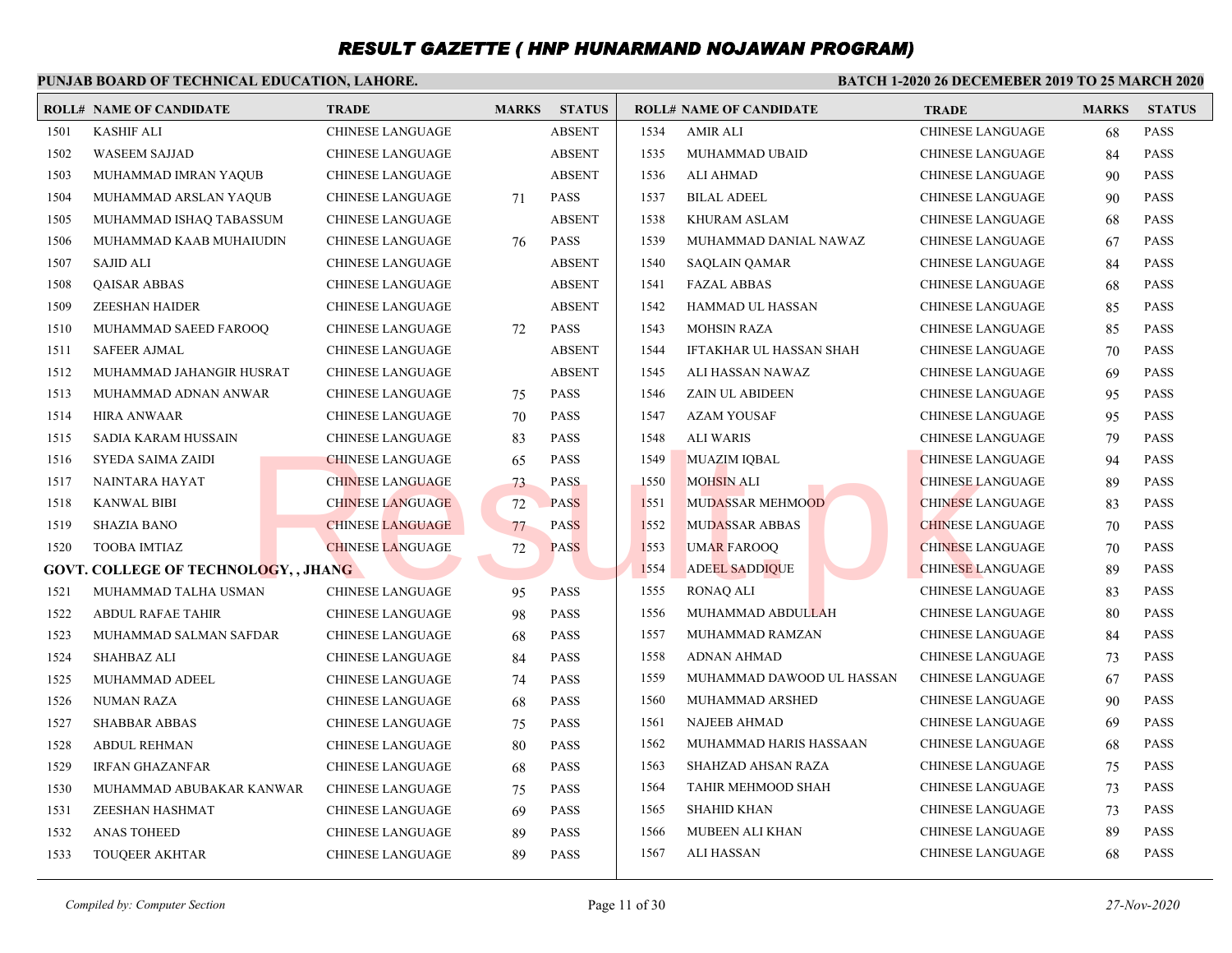#### **PUNJAB BOARD OF TECHNICAL EDUCATION, LAHORE. BATCH 1-2020 26 DECEMEBER 2019 TO 25 MARCH 2020 ROLL# NAME OF CANDIDATE TRADE MARKS STATUS ROLL# NAME OF CANDIDATE TRADE MARKS STATUS** 1501 KASHIF ALI CHINESE LANGUAGE ABSENT 1502 WASEEM SAJJAD CHINESE LANGUAGE ABSENT 1503 MUHAMMAD IMRAN YAQUB CHINESE LANGUAGE ABSENT 1504 MUHAMMAD ARSLAN YAQUB CHINESE LANGUAGE 71 PASS 1505 MUHAMMAD ISHAQ TABASSUM CHINESE LANGUAGE ABSENT 1506 MUHAMMAD KAAB MUHAIUDIN CHINESE LANGUAGE 76 PASS 1507 SAJID ALI CHINESE LANGUAGE ABSENT 1508 QAISAR ABBAS CHINESE LANGUAGE ABSENT 1509 ZEESHAN HAIDER CHINESE LANGUAGE ABSENT 1510 MUHAMMAD SAEED FAROOQ CHINESE LANGUAGE 72 PASS 1511 SAFEER AJMAL CHINESE LANGUAGE ABSENT 1512 MUHAMMAD JAHANGIR HUSRAT CHINESE LANGUAGE ABSENT 1513 MUHAMMAD ADNAN ANWAR CHINESE LANGUAGE 75 PASS 1514 HIRA ANWAAR CHINESE LANGUAGE 70 PASS 1515 SADIA KARAM HUSSAIN CHINESE LANGUAGE 83 PASS 1516 SYEDA SAIMA ZAIDI CHINESE LANGUAGE 65 PASS 1517 NAINTARA HAYAT CHINESE LANGUAGE 73 PASS 1518 KANWAL BIBI CHINESE LANGUAGE 72 PASS 1519 SHAZIA BANO CHINESE LANGUAGE 77 PASS 1520 TOOBA IMTIAZ CHINESE LANGUAGE 72 PASS **GOVT. COLLEGE OF TECHNOLOGY, , JHANG** 1521 MUHAMMAD TALHA USMAN CHINESE LANGUAGE 95 PASS 1522 ABDUL RAFAE TAHIR CHINESE LANGUAGE 98 PASS 1523 MUHAMMAD SALMAN SAFDAR CHINESE LANGUAGE 68 PASS 1524 SHAHBAZ ALI CHINESE LANGUAGE 84 PASS 1525 MUHAMMAD ADEEL CHINESE LANGUAGE 74 PASS 1526 NUMAN RAZA CHINESE LANGUAGE 68 PASS 1527 SHABBAR ABBAS CHINESE LANGUAGE 75 PASS 1528 ABDUL REHMAN CHINESE LANGUAGE 80 PASS 1529 IRFAN GHAZANFAR CHINESE LANGUAGE 68 PASS 1530 MUHAMMAD ABUBAKAR KANWAR CHINESE LANGUAGE 75 PASS 1531 ZEESHAN HASHMAT CHINESE LANGUAGE 69 PASS 1532 ANAS TOHEED CHINESE LANGUAGE 89 PASS 1533 TOUQEER AKHTAR CHINESE LANGUAGE 89 PASS 1534 AMIR ALI CHINESE LANGUAGE 68 PASS 1535 MUHAMMAD UBAID CHINESE LANGUAGE 84 PASS 1536 ALI AHMAD CHINESE LANGUAGE 90 PASS 1537 BILAL ADEEL CHINESE LANGUAGE 90 PASS 1538 KHURAM ASLAM CHINESE LANGUAGE 68 PASS 1539 MUHAMMAD DANIAL NAWAZ CHINESE LANGUAGE 67 PASS 1540 SAQLAIN QAMAR CHINESE LANGUAGE 84 PASS 1541 FAZAL ABBAS CHINESE LANGUAGE 68 PASS 1542 HAMMAD UL HASSAN CHINESE LANGUAGE 85 PASS 1543 MOHSIN RAZA CHINESE LANGUAGE 85 PASS 1544 IFTAKHAR UL HASSAN SHAH CHINESE LANGUAGE 70 PASS 1545 ALI HASSAN NAWAZ CHINESE LANGUAGE 69 PASS 1546 ZAIN UL ABIDEEN CHINESE LANGUAGE 95 PASS 1547 AZAM YOUSAF CHINESE LANGUAGE 95 PASS 1548 ALI WARIS CHINESE LANGUAGE 79 PASS 1549 MUAZIM IOBAL CHINESE LANGUAGE 94 PASS 1550 MOHSIN ALI CHINESE LANGUAGE 89 PASS 1551 MUDASSAR MEHMOOD CHINESE LANGUAGE 83 PASS 1552 MUDASSAR ABBAS CHINESE LANGUAGE 70 PASS 1553 UMAR FAROOQ CHINESE LANGUAGE 70 PASS 1554 ADEEL SADDIQUE CHINESE LANGUAGE 89 PASS 1555 RONAQ ALI CHINESE LANGUAGE 83 PASS 1556 MUHAMMAD ABDULLAH CHINESE LANGUAGE 80 PASS 1557 MUHAMMAD RAMZAN CHINESE LANGUAGE 84 PASS 1558 ADNAN AHMAD CHINESE LANGUAGE 73 PASS 1559 MUHAMMAD DAWOOD UL HASSAN CHINESE LANGUAGE 67 PASS 1560 MUHAMMAD ARSHED CHINESE LANGUAGE 90 PASS 1561 NAJEEB AHMAD CHINESE LANGUAGE 69 PASS 1562 MUHAMMAD HARIS HASSAAN CHINESE LANGUAGE 68 PASS 1563 SHAHZAD AHSAN RAZA CHINESE LANGUAGE 75 PASS 1564 TAHIR MEHMOOD SHAH CHINESE LANGUAGE 73 PASS 1565 SHAHID KHAN CHINESE LANGUAGE 73 PASS 1566 MUBEEN ALI KHAN CHINESE LANGUAGE 89 PASS 1567 ALI HASSAN CHINESE LANGUAGE 68 PASS CHINESE LANGUAGE (139 PASS CHINESE LANGUAGE 72 PASS CHINESE LANGUAGE 72 PASS CHINESE LANGUAGE 72 PASS CHINESE LANGUAGE 72 PASS CHINESE LANGUAGE 72 PASS CHINESE LANGUAGE 72 PASS CHINESE LANGUAGE 72 PASS CHINESE LANGUAGE 72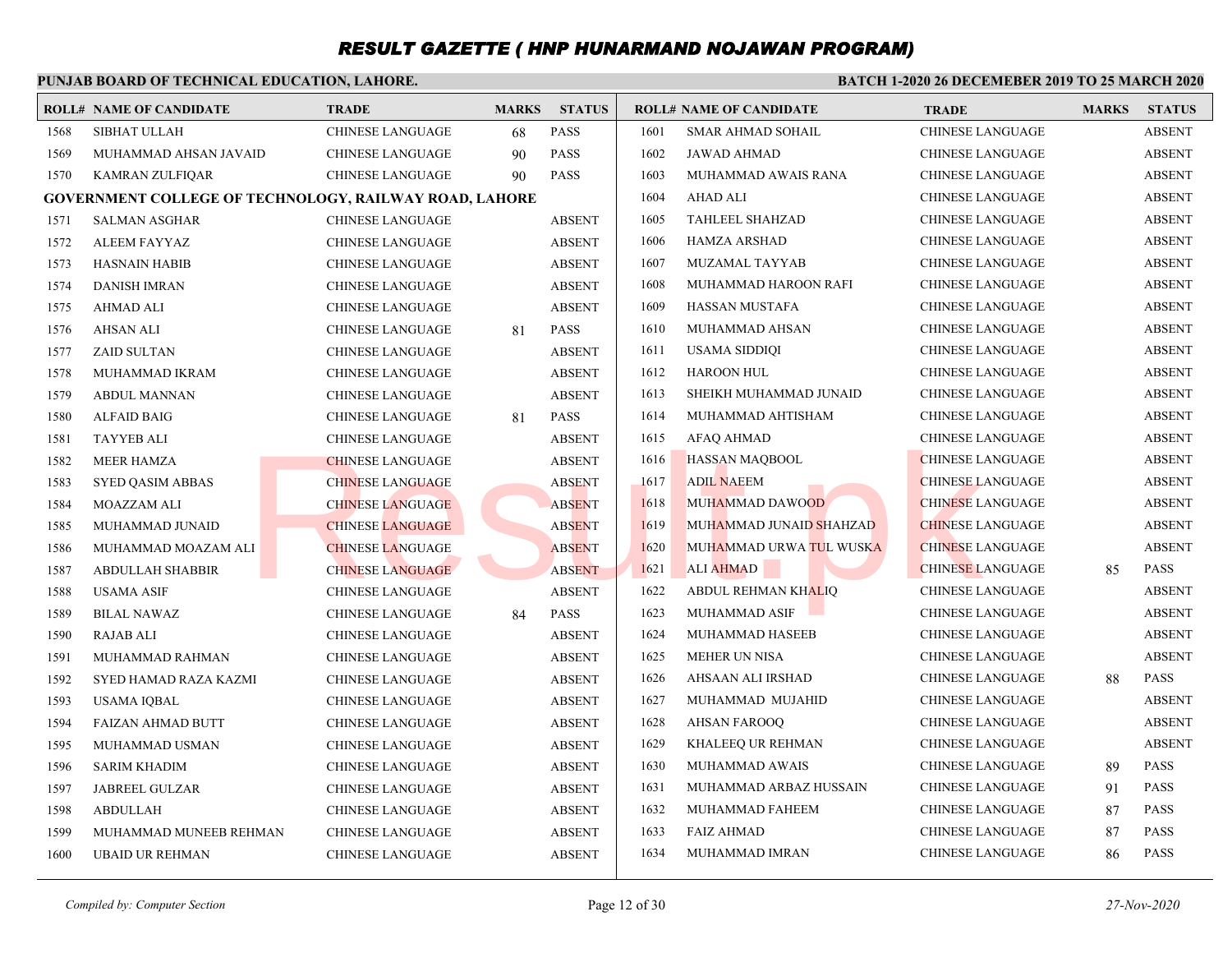## **PUNJAB BOARD OF TECHNICAL EDUCATION, LAHORE.**

|      | <b>ROLL# NAME OF CANDIDATE</b> | <b>TRADE</b>                                           | <b>MARKS</b> | <b>STATUS</b> |      | <b>ROLL# NAME OF CANDIDATE</b> | <b>TRADE</b>            | <b>MARKS</b> | <b>STATUS</b> |
|------|--------------------------------|--------------------------------------------------------|--------------|---------------|------|--------------------------------|-------------------------|--------------|---------------|
| 1568 | <b>SIBHAT ULLAH</b>            | <b>CHINESE LANGUAGE</b>                                | 68           | <b>PASS</b>   | 1601 | <b>SMAR AHMAD SOHAIL</b>       | <b>CHINESE LANGUAGE</b> |              | <b>ABSENT</b> |
| 1569 | MUHAMMAD AHSAN JAVAID          | <b>CHINESE LANGUAGE</b>                                | 90           | <b>PASS</b>   | 1602 | <b>JAWAD AHMAD</b>             | <b>CHINESE LANGUAGE</b> |              | <b>ABSENT</b> |
| 1570 | <b>KAMRAN ZULFIQAR</b>         | <b>CHINESE LANGUAGE</b>                                | 90           | <b>PASS</b>   | 1603 | MUHAMMAD AWAIS RANA            | <b>CHINESE LANGUAGE</b> |              | <b>ABSENT</b> |
|      |                                | GOVERNMENT COLLEGE OF TECHNOLOGY, RAILWAY ROAD, LAHORE |              |               | 1604 | AHAD ALI                       | <b>CHINESE LANGUAGE</b> |              | <b>ABSENT</b> |
| 1571 | <b>SALMAN ASGHAR</b>           | <b>CHINESE LANGUAGE</b>                                |              | <b>ABSENT</b> | 1605 | <b>TAHLEEL SHAHZAD</b>         | <b>CHINESE LANGUAGE</b> |              | <b>ABSENT</b> |
| 1572 | ALEEM FAYYAZ                   | <b>CHINESE LANGUAGE</b>                                |              | <b>ABSENT</b> | 1606 | <b>HAMZA ARSHAD</b>            | <b>CHINESE LANGUAGE</b> |              | <b>ABSENT</b> |
| 1573 | <b>HASNAIN HABIB</b>           | <b>CHINESE LANGUAGE</b>                                |              | <b>ABSENT</b> | 1607 | MUZAMAL TAYYAB                 | <b>CHINESE LANGUAGE</b> |              | <b>ABSENT</b> |
| 1574 | <b>DANISH IMRAN</b>            | <b>CHINESE LANGUAGE</b>                                |              | <b>ABSENT</b> | 1608 | MUHAMMAD HAROON RAFI           | <b>CHINESE LANGUAGE</b> |              | <b>ABSENT</b> |
| 1575 | AHMAD ALI                      | <b>CHINESE LANGUAGE</b>                                |              | <b>ABSENT</b> | 1609 | <b>HASSAN MUSTAFA</b>          | <b>CHINESE LANGUAGE</b> |              | <b>ABSENT</b> |
| 1576 | AHSAN ALI                      | <b>CHINESE LANGUAGE</b>                                | 81           | <b>PASS</b>   | 1610 | MUHAMMAD AHSAN                 | <b>CHINESE LANGUAGE</b> |              | <b>ABSENT</b> |
| 1577 | <b>ZAID SULTAN</b>             | <b>CHINESE LANGUAGE</b>                                |              | <b>ABSENT</b> | 1611 | USAMA SIDDIQI                  | <b>CHINESE LANGUAGE</b> |              | <b>ABSENT</b> |
| 1578 | MUHAMMAD IKRAM                 | <b>CHINESE LANGUAGE</b>                                |              | <b>ABSENT</b> | 1612 | <b>HAROON HUL</b>              | <b>CHINESE LANGUAGE</b> |              | <b>ABSENT</b> |
| 1579 | <b>ABDUL MANNAN</b>            | <b>CHINESE LANGUAGE</b>                                |              | <b>ABSENT</b> | 1613 | SHEIKH MUHAMMAD JUNAID         | <b>CHINESE LANGUAGE</b> |              | <b>ABSENT</b> |
| 1580 | <b>ALFAID BAIG</b>             | <b>CHINESE LANGUAGE</b>                                | 81           | <b>PASS</b>   | 1614 | MUHAMMAD AHTISHAM              | <b>CHINESE LANGUAGE</b> |              | <b>ABSENT</b> |
| 1581 | <b>TAYYEB ALI</b>              | <b>CHINESE LANGUAGE</b>                                |              | <b>ABSENT</b> | 1615 | <b>AFAQ AHMAD</b>              | <b>CHINESE LANGUAGE</b> |              | <b>ABSENT</b> |
| 1582 | <b>MEER HAMZA</b>              | <b>CHINESE LANGUAGE</b>                                |              | <b>ABSENT</b> | 1616 | <b>HASSAN MAQBOOL</b>          | <b>CHINESE LANGUAGE</b> |              | <b>ABSENT</b> |
| 1583 | <b>SYED QASIM ABBAS</b>        | <b>CHINESE LANGUAGE</b>                                |              | <b>ABSENT</b> | 1617 | <b>ADIL NAEEM</b>              | <b>CHINESE LANGUAGE</b> |              | <b>ABSENT</b> |
| 1584 | <b>MOAZZAM ALI</b>             | <b>CHINESE LANGUAGE</b>                                |              | <b>ABSENT</b> | 1618 | MUHAMMAD DAWOOD                | <b>CHINESE LANGUAGE</b> |              | <b>ABSENT</b> |
| 1585 | MUHAMMAD JUNAID                | <b>CHINESE LANGUAGE</b>                                |              | <b>ABSENT</b> | 1619 | MUHAMMAD JUNAID SHAHZAD        | <b>CHINESE LANGUAGE</b> |              | <b>ABSENT</b> |
| 1586 | MUHAMMAD MOAZAM ALI            | <b>CHINESE LANGUAGE</b>                                |              | <b>ABSENT</b> | 1620 | MUHAMMAD URWA TUL WUSKA        | <b>CHINESE LANGUAGE</b> |              | <b>ABSENT</b> |
| 1587 | <b>ABDULLAH SHABBIR</b>        | <b>CHINESE LANGUAGE</b>                                |              | <b>ABSENT</b> | 1621 | <b>ALI AHMAD</b>               | <b>CHINESE LANGUAGE</b> | 85           | <b>PASS</b>   |
| 1588 | <b>USAMA ASIF</b>              | <b>CHINESE LANGUAGE</b>                                |              | <b>ABSENT</b> | 1622 | <b>ABDUL REHMAN KHALIQ</b>     | <b>CHINESE LANGUAGE</b> |              | <b>ABSENT</b> |
| 1589 | <b>BILAL NAWAZ</b>             | <b>CHINESE LANGUAGE</b>                                | 84           | <b>PASS</b>   | 1623 | MUHAMMAD ASIF                  | <b>CHINESE LANGUAGE</b> |              | <b>ABSENT</b> |
| 1590 | <b>RAJAB ALI</b>               | <b>CHINESE LANGUAGE</b>                                |              | <b>ABSENT</b> | 1624 | MUHAMMAD HASEEB                | <b>CHINESE LANGUAGE</b> |              | <b>ABSENT</b> |
| 1591 | MUHAMMAD RAHMAN                | <b>CHINESE LANGUAGE</b>                                |              | <b>ABSENT</b> | 1625 | <b>MEHER UN NISA</b>           | <b>CHINESE LANGUAGE</b> |              | <b>ABSENT</b> |
| 1592 | SYED HAMAD RAZA KAZMI          | <b>CHINESE LANGUAGE</b>                                |              | <b>ABSENT</b> | 1626 | AHSAAN ALI IRSHAD              | <b>CHINESE LANGUAGE</b> | 88           | <b>PASS</b>   |
| 1593 | USAMA IQBAL                    | <b>CHINESE LANGUAGE</b>                                |              | <b>ABSENT</b> | 1627 | MUHAMMAD MUJAHID               | <b>CHINESE LANGUAGE</b> |              | <b>ABSENT</b> |
| 1594 | <b>FAIZAN AHMAD BUTT</b>       | <b>CHINESE LANGUAGE</b>                                |              | <b>ABSENT</b> | 1628 | <b>AHSAN FAROOQ</b>            | <b>CHINESE LANGUAGE</b> |              | <b>ABSENT</b> |
| 1595 | MUHAMMAD USMAN                 | <b>CHINESE LANGUAGE</b>                                |              | <b>ABSENT</b> | 1629 | KHALEEQ UR REHMAN              | <b>CHINESE LANGUAGE</b> |              | <b>ABSENT</b> |
| 1596 | <b>SARIM KHADIM</b>            | <b>CHINESE LANGUAGE</b>                                |              | <b>ABSENT</b> | 1630 | MUHAMMAD AWAIS                 | CHINESE LANGUAGE        | 89           | <b>PASS</b>   |
| 1597 | <b>JABREEL GULZAR</b>          | <b>CHINESE LANGUAGE</b>                                |              | <b>ABSENT</b> | 1631 | MUHAMMAD ARBAZ HUSSAIN         | <b>CHINESE LANGUAGE</b> | 91           | <b>PASS</b>   |
| 1598 | <b>ABDULLAH</b>                | <b>CHINESE LANGUAGE</b>                                |              | <b>ABSENT</b> | 1632 | MUHAMMAD FAHEEM                | <b>CHINESE LANGUAGE</b> | 87           | <b>PASS</b>   |
| 1599 | MUHAMMAD MUNEEB REHMAN         | <b>CHINESE LANGUAGE</b>                                |              | <b>ABSENT</b> | 1633 | <b>FAIZ AHMAD</b>              | <b>CHINESE LANGUAGE</b> | 87           | <b>PASS</b>   |
| 1600 | <b>UBAID UR REHMAN</b>         | <b>CHINESE LANGUAGE</b>                                |              | <b>ABSENT</b> | 1634 | MUHAMMAD IMRAN                 | <b>CHINESE LANGUAGE</b> | 86           | <b>PASS</b>   |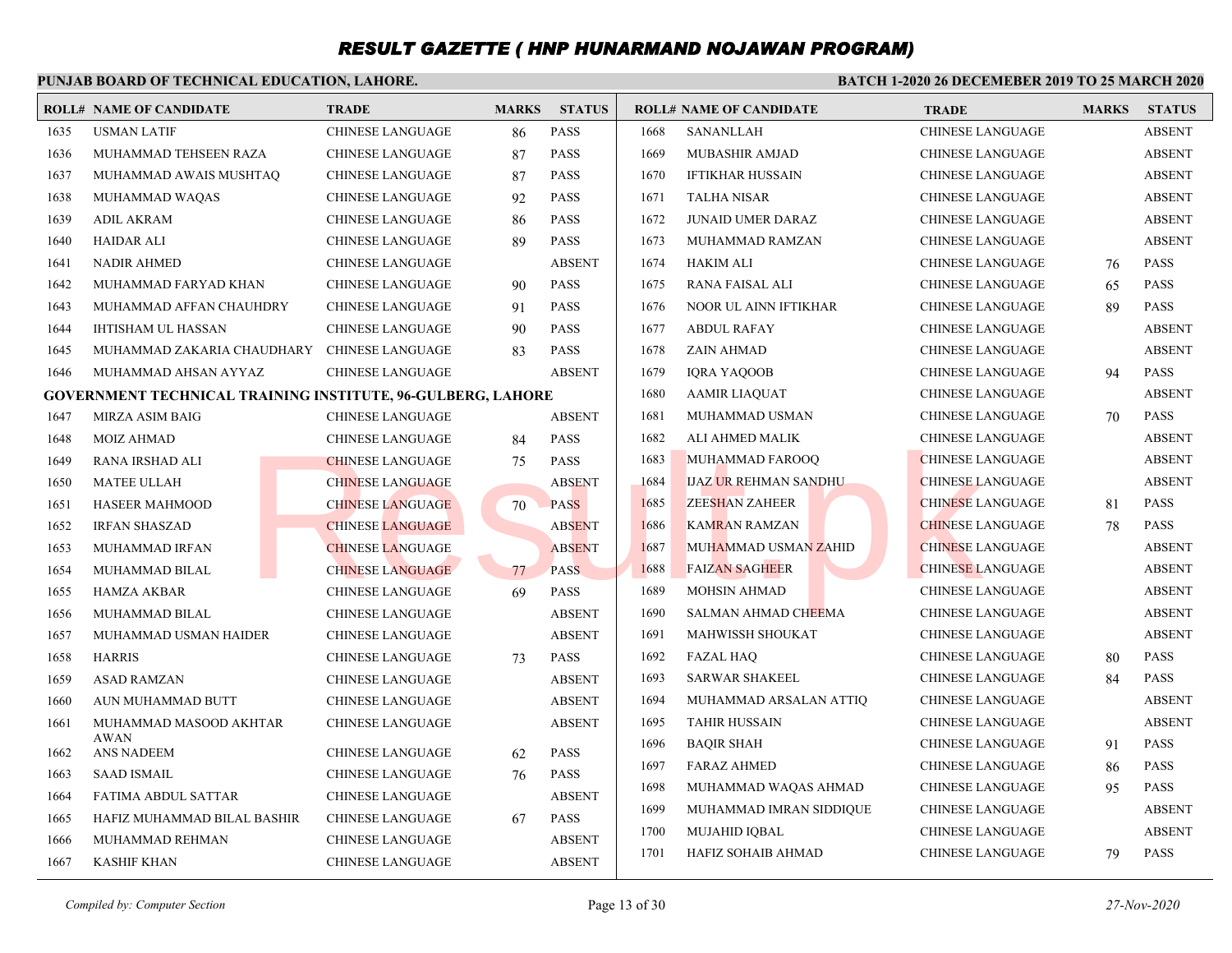#### **PUNJAB BOARD OF TECHNICAL EDUCATION, LAHORE. BATCH 1-2020 26 DECEMEBER 2019 TO 25 MARCH 2020 ROLL# NAME OF CANDIDATE TRADE MARKS STATUS ROLL# NAME OF CANDIDATE TRADE MARKS STATUS** 1635 USMAN LATIF CHINESE LANGUAGE 86 PASS 1636 MUHAMMAD TEHSEEN RAZA CHINESE LANGUAGE 87 PASS 1637 MUHAMMAD AWAIS MUSHTAQ CHINESE LANGUAGE 87 PASS 1638 MUHAMMAD WAQAS CHINESE LANGUAGE 92 PASS 1639 ADIL AKRAM CHINESE LANGUAGE 86 PASS 1640 HAIDAR ALI CHINESE LANGUAGE 89 PASS 1641 NADIR AHMED CHINESE LANGUAGE ABSENT 1642 MUHAMMAD FARYAD KHAN CHINESE LANGUAGE 90 PASS 1643 MUHAMMAD AFFAN CHAUHDRY CHINESE LANGUAGE 91 PASS 1644 IHTISHAM UL HASSAN CHINESE LANGUAGE 90 PASS 1645 MUHAMMAD ZAKARIA CHAUDHARY CHINESE LANGUAGE 83 PASS 1646 MUHAMMAD AHSAN AYYAZ CHINESE LANGUAGE ABSENT **GOVERNMENT TECHNICAL TRAINING INSTITUTE, 96-GULBERG, LAHORE** 1647 MIRZA ASIM BAIG CHINESE LANGUAGE ABSENT 1648 MOIZ AHMAD CHINESE LANGUAGE 84 PASS 1649 RANA IRSHAD ALI CHINESE LANGUAGE 75 PASS 1650 MATEE ULLAH CHINESE LANGUAGE ABSENT 1651 HASEER MAHMOOD CHINESE LANGUAGE 70 PASS 1652 IRFAN SHASZAD CHINESE LANGUAGE ABSENT 1653 MUHAMMAD IRFAN CHINESE LANGUAGE ABSENT 1654 MUHAMMAD BILAL CHINESE LANGUAGE 77 PASS 1655 HAMZA AKBAR CHINESE LANGUAGE 69 PASS 1656 MUHAMMAD BILAL CHINESE LANGUAGE ABSENT 1657 MUHAMMAD USMAN HAIDER CHINESE LANGUAGE ABSENT 1658 HARRIS CHINESE LANGUAGE 73 PASS 1659 ASAD RAMZAN CHINESE LANGUAGE ABSENT 1660 AUN MUHAMMAD BUTT CHINESE LANGUAGE ABSENT MUHAMMAD MASOOD AKHTAR CHINESE LANGUAGE ABSENT AWAN 1661 1662 ANS NADEEM CHINESE LANGUAGE 62 PASS 1663 SAAD ISMAIL CHINESE LANGUAGE 76 PASS 1664 FATIMA ABDUL SATTAR CHINESE LANGUAGE ABSENT 1665 HAFIZ MUHAMMAD BILAL BASHIR CHINESE LANGUAGE 67 PASS 1666 MUHAMMAD REHMAN CHINESE LANGUAGE ABSENT 1668 SANANLLAH CHINESE LANGUAGE ABSENT 1669 MUBASHIR AMJAD CHINESE LANGUAGE ABSENT 1670 IFTIKHAR HUSSAIN CHINESE LANGUAGE ABSENT 1671 TALHA NISAR CHINESE LANGUAGE ABSENT 1672 JUNAID UMER DARAZ CHINESE LANGUAGE ABSENT 1673 MUHAMMAD RAMZAN CHINESE LANGUAGE ABSENT 1674 HAKIM ALI CHINESE LANGUAGE 76 PASS 1675 RANA FAISAL ALI CHINESE LANGUAGE 65 PASS 1676 NOOR UL AINN IFTIKHAR CHINESE LANGUAGE 89 PASS 1677 ABDUL RAFAY CHINESE LANGUAGE ABSENT 1678 ZAIN AHMAD CHINESE LANGUAGE ABSENT 1679 IQRA YAQOOB CHINESE LANGUAGE 94 PASS 1680 AAMIR LIAQUAT CHINESE LANGUAGE ABSENT 1681 MUHAMMAD USMAN CHINESE LANGUAGE 70 PASS 1682 ALI AHMED MALIK CHINESE LANGUAGE ABSENT 1683 MUHAMMAD FAROOQ CHINESE LANGUAGE ABSENT 1684 IJAZ UR REHMAN SANDHU CHINESE LANGUAGE ABSENT 1685 ZEESHAN ZAHEER CHINESE LANGUAGE 81 PASS 1686 KAMRAN RAMZAN CHINESE LANGUAGE 78 PASS 1687 MUHAMMAD USMAN ZAHID CHINESE LANGUAGE ABSENT 1688 FAIZAN SAGHEER CHINESE LANGUAGE ABSENT 1689 MOHSIN AHMAD CHINESE LANGUAGE ABSENT 1690 SALMAN AHMAD CHEEMA CHINESE LANGUAGE ABSENT 1691 MAHWISSH SHOUKAT CHINESE LANGUAGE ABSENT 1692 FAZAL HAQ CHINESE LANGUAGE 80 PASS 1693 SARWAR SHAKEEL CHINESE LANGUAGE 84 PASS 1694 MUHAMMAD ARSALAN ATTIQ CHINESE LANGUAGE ABSENT 1695 TAHIR HUSSAIN CHINESE LANGUAGE ABSENT 1696 BAQIR SHAH CHINESE LANGUAGE 91 PASS 1697 FARAZ AHMED CHINESE LANGUAGE 86 PASS 1698 MUHAMMAD WAQAS AHMAD CHINESE LANGUAGE 95 PASS 1699 MUHAMMAD IMRAN SIDDIQUE CHINESE LANGUAGE ABSENT 1700 MUJAHID IQBAL CHINESE LANGUAGE ABSENT 1701 HAFIZ SOHAIB AHMAD CHINESE LANGUAGE 79 PASS CHINESE LANGUAGE (THESE LANGUAGE 179 PASS 1683 MUHAMMAD FAROO CHINESE LANGUAGE 1683 MUHAMMAD FAROO CHINESE LANGUAGE 1683 MUHAMMAD FAROO CHINESE LANGUAGE 1685 MOHAMMAD FAROO CHINESE LANGUAGE 1685 CHINESE LANGUAGE 1685 CHINE

1667 KASHIF KHAN CHINESE LANGUAGE ABSENT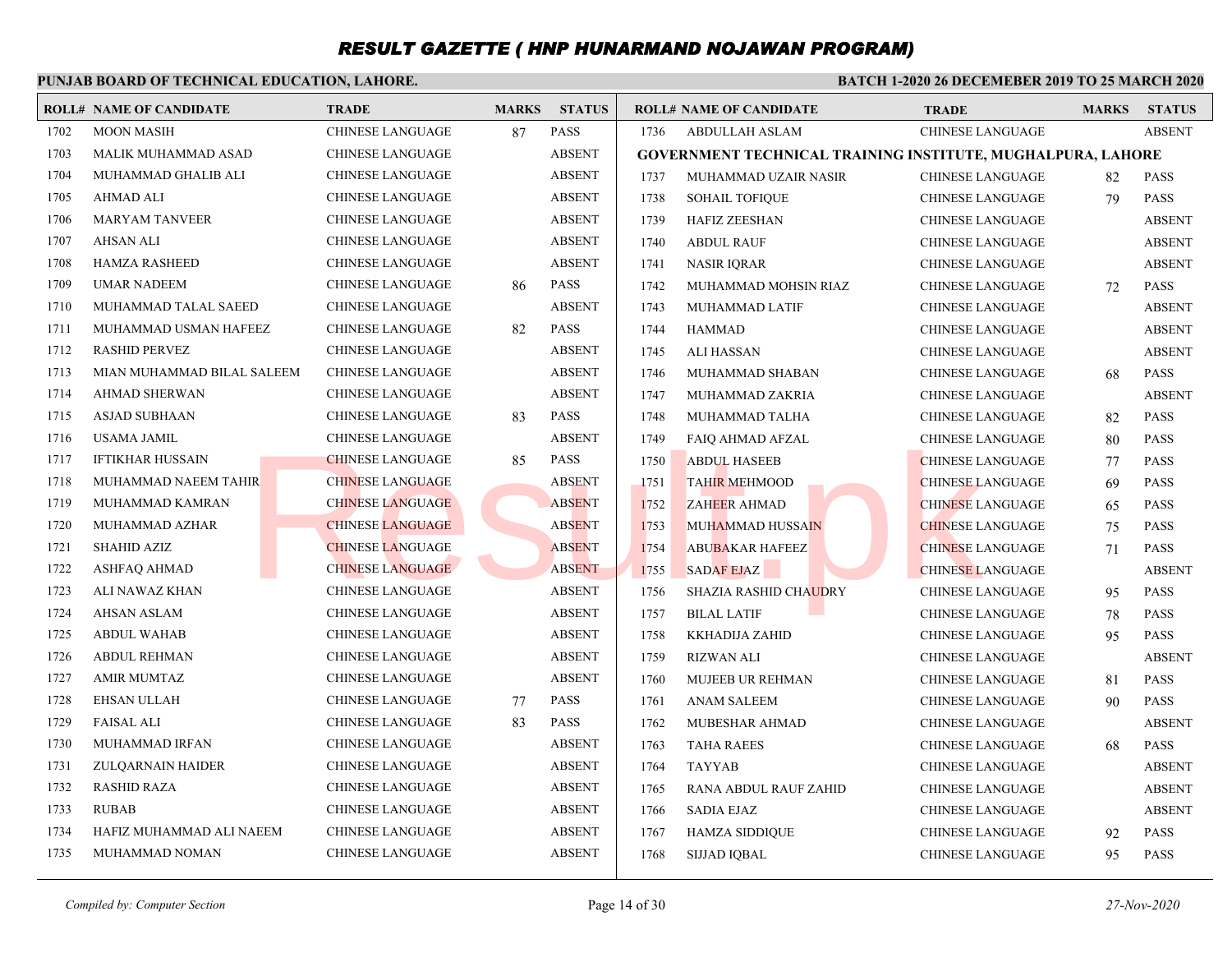## **PUNJAB BOARD OF TECHNICAL EDUCATION, LAHORE.**

|      | <b>ROLL# NAME OF CANDIDATE</b> | <b>TRADE</b>            | <b>MARKS</b> | <b>STATUS</b> |      | <b>ROLL# NAME OF CANDIDATE</b>                              | <b>TRADE</b>            | <b>MARKS</b> | <b>STATUS</b> |
|------|--------------------------------|-------------------------|--------------|---------------|------|-------------------------------------------------------------|-------------------------|--------------|---------------|
| 1702 | <b>MOON MASIH</b>              | <b>CHINESE LANGUAGE</b> | 87           | <b>PASS</b>   | 1736 | <b>ABDULLAH ASLAM</b>                                       | <b>CHINESE LANGUAGE</b> |              | <b>ABSENT</b> |
| 1703 | MALIK MUHAMMAD ASAD            | <b>CHINESE LANGUAGE</b> |              | <b>ABSENT</b> |      | GOVERNMENT TECHNICAL TRAINING INSTITUTE, MUGHALPURA, LAHORE |                         |              |               |
| 1704 | MUHAMMAD GHALIB ALI            | <b>CHINESE LANGUAGE</b> |              | <b>ABSENT</b> | 1737 | MUHAMMAD UZAIR NASIR                                        | <b>CHINESE LANGUAGE</b> | 82           | <b>PASS</b>   |
| 1705 | <b>AHMAD ALI</b>               | <b>CHINESE LANGUAGE</b> |              | <b>ABSENT</b> | 1738 | <b>SOHAIL TOFIQUE</b>                                       | <b>CHINESE LANGUAGE</b> | 79           | <b>PASS</b>   |
| 1706 | <b>MARYAM TANVEER</b>          | <b>CHINESE LANGUAGE</b> |              | <b>ABSENT</b> | 1739 | <b>HAFIZ ZEESHAN</b>                                        | <b>CHINESE LANGUAGE</b> |              | <b>ABSENT</b> |
| 1707 | AHSAN ALI                      | <b>CHINESE LANGUAGE</b> |              | <b>ABSENT</b> | 1740 | <b>ABDUL RAUF</b>                                           | <b>CHINESE LANGUAGE</b> |              | <b>ABSENT</b> |
| 1708 | <b>HAMZA RASHEED</b>           | <b>CHINESE LANGUAGE</b> |              | <b>ABSENT</b> | 1741 | <b>NASIR IQRAR</b>                                          | <b>CHINESE LANGUAGE</b> |              | <b>ABSENT</b> |
| 1709 | <b>UMAR NADEEM</b>             | <b>CHINESE LANGUAGE</b> | 86           | <b>PASS</b>   | 1742 | MUHAMMAD MOHSIN RIAZ                                        | <b>CHINESE LANGUAGE</b> | 72           | <b>PASS</b>   |
| 1710 | MUHAMMAD TALAL SAEED           | <b>CHINESE LANGUAGE</b> |              | <b>ABSENT</b> | 1743 | MUHAMMAD LATIF                                              | <b>CHINESE LANGUAGE</b> |              | <b>ABSENT</b> |
| 1711 | MUHAMMAD USMAN HAFEEZ          | <b>CHINESE LANGUAGE</b> | 82           | <b>PASS</b>   | 1744 | HAMMAD                                                      | <b>CHINESE LANGUAGE</b> |              | <b>ABSENT</b> |
| 1712 | <b>RASHID PERVEZ</b>           | <b>CHINESE LANGUAGE</b> |              | <b>ABSENT</b> | 1745 | ALI HASSAN                                                  | CHINESE LANGUAGE        |              | <b>ABSENT</b> |
| 1713 | MIAN MUHAMMAD BILAL SALEEM     | <b>CHINESE LANGUAGE</b> |              | <b>ABSENT</b> | 1746 | MUHAMMAD SHABAN                                             | <b>CHINESE LANGUAGE</b> | 68           | <b>PASS</b>   |
| 1714 | <b>AHMAD SHERWAN</b>           | <b>CHINESE LANGUAGE</b> |              | <b>ABSENT</b> | 1747 | MUHAMMAD ZAKRIA                                             | <b>CHINESE LANGUAGE</b> |              | <b>ABSENT</b> |
| 1715 | ASJAD SUBHAAN                  | <b>CHINESE LANGUAGE</b> | 83           | <b>PASS</b>   | 1748 | MUHAMMAD TALHA                                              | <b>CHINESE LANGUAGE</b> | 82           | <b>PASS</b>   |
| 1716 | <b>USAMA JAMIL</b>             | <b>CHINESE LANGUAGE</b> |              | <b>ABSENT</b> | 1749 | FAIQ AHMAD AFZAL                                            | <b>CHINESE LANGUAGE</b> | 80           | <b>PASS</b>   |
| 1717 | <b>IFTIKHAR HUSSAIN</b>        | <b>CHINESE LANGUAGE</b> | 85           | <b>PASS</b>   | 1750 | <b>ABDUL HASEEB</b>                                         | <b>CHINESE LANGUAGE</b> | 77           | <b>PASS</b>   |
| 1718 | MUHAMMAD NAEEM TAHIR           | <b>CHINESE LANGUAGE</b> |              | <b>ABSENT</b> | 1751 | <b>TAHIR MEHMOOD</b>                                        | <b>CHINESE LANGUAGE</b> | 69           | <b>PASS</b>   |
| 1719 | MUHAMMAD KAMRAN                | <b>CHINESE LANGUAGE</b> |              | <b>ABSENT</b> | 1752 | <b>ZAHEER AHMAD</b>                                         | <b>CHINESE LANGUAGE</b> | 65           | <b>PASS</b>   |
| 1720 | MUHAMMAD AZHAR                 | <b>CHINESE LANGUAGE</b> |              | <b>ABSENT</b> | 1753 | MUHAMMAD HUSSAIN                                            | <b>CHINESE LANGUAGE</b> | 75           | PASS          |
| 1721 | <b>SHAHID AZIZ</b>             | <b>CHINESE LANGUAGE</b> |              | <b>ABSENT</b> | 1754 | <b>ABUBAKAR HAFEEZ</b>                                      | <b>CHINESE LANGUAGE</b> | 71           | <b>PASS</b>   |
| 1722 | ASHFAQ AHMAD                   | <b>CHINESE LANGUAGE</b> |              | <b>ABSENT</b> | 1755 | <b>SADAF EJAZ</b>                                           | <b>CHINESE LANGUAGE</b> |              | <b>ABSENT</b> |
| 1723 | ALI NAWAZ KHAN                 | <b>CHINESE LANGUAGE</b> |              | <b>ABSENT</b> | 1756 | <b>SHAZIA RASHID CHAUDRY</b>                                | <b>CHINESE LANGUAGE</b> | 95           | PASS          |
| 1724 | <b>AHSAN ASLAM</b>             | <b>CHINESE LANGUAGE</b> |              | <b>ABSENT</b> | 1757 | <b>BILAL LATIF</b>                                          | <b>CHINESE LANGUAGE</b> | 78           | <b>PASS</b>   |
| 1725 | <b>ABDUL WAHAB</b>             | <b>CHINESE LANGUAGE</b> |              | <b>ABSENT</b> | 1758 | KKHADIJA ZAHID                                              | <b>CHINESE LANGUAGE</b> | 95           | <b>PASS</b>   |
| 1726 | <b>ABDUL REHMAN</b>            | <b>CHINESE LANGUAGE</b> |              | <b>ABSENT</b> | 1759 | <b>RIZWAN ALI</b>                                           | <b>CHINESE LANGUAGE</b> |              | <b>ABSENT</b> |
| 1727 | <b>AMIR MUMTAZ</b>             | <b>CHINESE LANGUAGE</b> |              | <b>ABSENT</b> | 1760 | MUJEEB UR REHMAN                                            | <b>CHINESE LANGUAGE</b> | 81           | <b>PASS</b>   |
| 1728 | <b>EHSAN ULLAH</b>             | <b>CHINESE LANGUAGE</b> | 77           | <b>PASS</b>   | 1761 | <b>ANAM SALEEM</b>                                          | <b>CHINESE LANGUAGE</b> | 90           | <b>PASS</b>   |
| 1729 | <b>FAISAL ALI</b>              | <b>CHINESE LANGUAGE</b> | 83           | <b>PASS</b>   | 1762 | MUBESHAR AHMAD                                              | <b>CHINESE LANGUAGE</b> |              | <b>ABSENT</b> |
| 1730 | MUHAMMAD IRFAN                 | <b>CHINESE LANGUAGE</b> |              | <b>ABSENT</b> | 1763 | <b>TAHA RAEES</b>                                           | <b>CHINESE LANGUAGE</b> | 68           | <b>PASS</b>   |
| 1731 | <b>ZULQARNAIN HAIDER</b>       | <b>CHINESE LANGUAGE</b> |              | <b>ABSENT</b> | 1764 | TAYYAB                                                      | <b>CHINESE LANGUAGE</b> |              | <b>ABSENT</b> |
| 1732 | <b>RASHID RAZA</b>             | <b>CHINESE LANGUAGE</b> |              | <b>ABSENT</b> | 1765 | RANA ABDUL RAUF ZAHID                                       | CHINESE LANGUAGE        |              | <b>ABSENT</b> |
| 1733 | <b>RUBAB</b>                   | <b>CHINESE LANGUAGE</b> |              | <b>ABSENT</b> | 1766 | <b>SADIA EJAZ</b>                                           | <b>CHINESE LANGUAGE</b> |              | <b>ABSENT</b> |
| 1734 | HAFIZ MUHAMMAD ALI NAEEM       | <b>CHINESE LANGUAGE</b> |              | <b>ABSENT</b> | 1767 | <b>HAMZA SIDDIQUE</b>                                       | CHINESE LANGUAGE        | 92           | <b>PASS</b>   |
| 1735 | MUHAMMAD NOMAN                 | <b>CHINESE LANGUAGE</b> |              | <b>ABSENT</b> | 1768 | <b>SIJJAD IOBAL</b>                                         | <b>CHINESE LANGUAGE</b> | 95           | <b>PASS</b>   |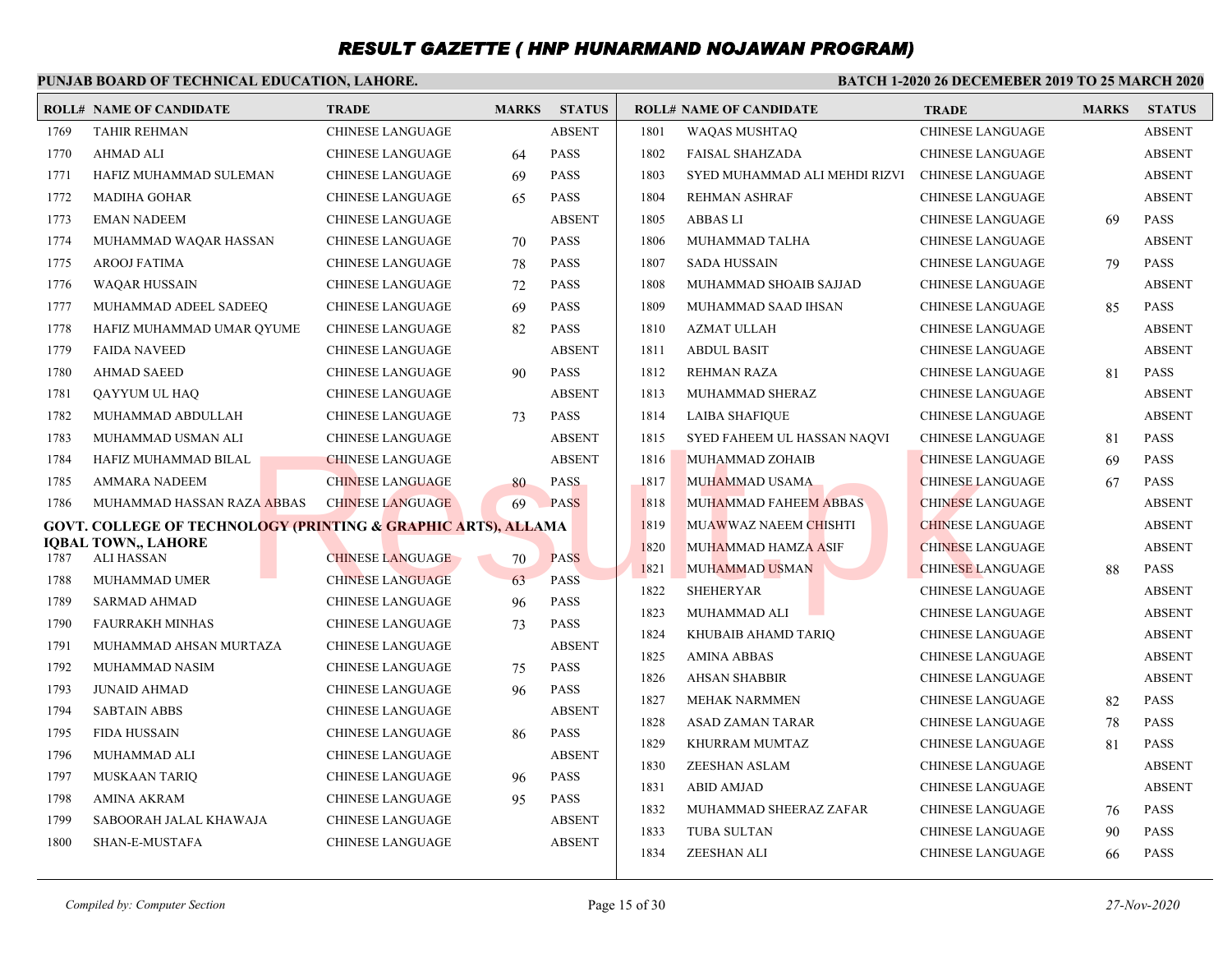## **PUNJAB BOARD OF TECHNICAL EDUCATION, LAHORE.**

|      | <b>ROLL# NAME OF CANDIDATE</b>                                           | <b>TRADE</b>            | <b>MARKS</b> | <b>STATUS</b> |      | <b>ROLL# NAME OF CANDIDATE</b> | <b>TRADE</b>            | <b>MARKS</b> | <b>STATUS</b> |
|------|--------------------------------------------------------------------------|-------------------------|--------------|---------------|------|--------------------------------|-------------------------|--------------|---------------|
| 1769 | <b>TAHIR REHMAN</b>                                                      | <b>CHINESE LANGUAGE</b> |              | <b>ABSENT</b> | 1801 | <b>WAQAS MUSHTAQ</b>           | <b>CHINESE LANGUAGE</b> |              | <b>ABSENT</b> |
| 1770 | <b>AHMAD ALI</b>                                                         | <b>CHINESE LANGUAGE</b> | 64           | <b>PASS</b>   | 1802 | FAISAL SHAHZADA                | <b>CHINESE LANGUAGE</b> |              | <b>ABSENT</b> |
| 1771 | HAFIZ MUHAMMAD SULEMAN                                                   | <b>CHINESE LANGUAGE</b> | 69           | <b>PASS</b>   | 1803 | SYED MUHAMMAD ALI MEHDI RIZVI  | <b>CHINESE LANGUAGE</b> |              | <b>ABSENT</b> |
| 1772 | <b>MADIHA GOHAR</b>                                                      | <b>CHINESE LANGUAGE</b> | 65           | <b>PASS</b>   | 1804 | <b>REHMAN ASHRAF</b>           | <b>CHINESE LANGUAGE</b> |              | <b>ABSENT</b> |
| 1773 | <b>EMAN NADEEM</b>                                                       | <b>CHINESE LANGUAGE</b> |              | <b>ABSENT</b> | 1805 | ABBAS LI                       | <b>CHINESE LANGUAGE</b> | 69           | <b>PASS</b>   |
| 1774 | MUHAMMAD WAQAR HASSAN                                                    | <b>CHINESE LANGUAGE</b> | 70           | <b>PASS</b>   | 1806 | MUHAMMAD TALHA                 | CHINESE LANGUAGE        |              | <b>ABSENT</b> |
| 1775 | <b>AROOJ FATIMA</b>                                                      | <b>CHINESE LANGUAGE</b> | 78           | <b>PASS</b>   | 1807 | <b>SADA HUSSAIN</b>            | <b>CHINESE LANGUAGE</b> | 79           | <b>PASS</b>   |
| 1776 | <b>WAQAR HUSSAIN</b>                                                     | <b>CHINESE LANGUAGE</b> | 72           | <b>PASS</b>   | 1808 | MUHAMMAD SHOAIB SAJJAD         | <b>CHINESE LANGUAGE</b> |              | <b>ABSENT</b> |
| 1777 | MUHAMMAD ADEEL SADEEO                                                    | CHINESE LANGUAGE        | 69           | <b>PASS</b>   | 1809 | MUHAMMAD SAAD IHSAN            | <b>CHINESE LANGUAGE</b> | 85           | <b>PASS</b>   |
| 1778 | HAFIZ MUHAMMAD UMAR QYUME                                                | <b>CHINESE LANGUAGE</b> | 82           | <b>PASS</b>   | 1810 | <b>AZMAT ULLAH</b>             | <b>CHINESE LANGUAGE</b> |              | <b>ABSENT</b> |
| 1779 | <b>FAIDA NAVEED</b>                                                      | <b>CHINESE LANGUAGE</b> |              | <b>ABSENT</b> | 1811 | <b>ABDUL BASIT</b>             | <b>CHINESE LANGUAGE</b> |              | <b>ABSENT</b> |
| 1780 | <b>AHMAD SAEED</b>                                                       | <b>CHINESE LANGUAGE</b> | 90           | <b>PASS</b>   | 1812 | REHMAN RAZA                    | <b>CHINESE LANGUAGE</b> | 81           | <b>PASS</b>   |
| 1781 | QAYYUM UL HAQ                                                            | <b>CHINESE LANGUAGE</b> |              | <b>ABSENT</b> | 1813 | MUHAMMAD SHERAZ                | <b>CHINESE LANGUAGE</b> |              | <b>ABSENT</b> |
| 1782 | MUHAMMAD ABDULLAH                                                        | <b>CHINESE LANGUAGE</b> | 73           | <b>PASS</b>   | 1814 | <b>LAIBA SHAFIQUE</b>          | <b>CHINESE LANGUAGE</b> |              | <b>ABSENT</b> |
| 1783 | MUHAMMAD USMAN ALI                                                       | <b>CHINESE LANGUAGE</b> |              | <b>ABSENT</b> | 1815 | SYED FAHEEM UL HASSAN NAQVI    | <b>CHINESE LANGUAGE</b> | 81           | <b>PASS</b>   |
| 1784 | HAFIZ MUHAMMAD BILAL                                                     | <b>CHINESE LANGUAGE</b> |              | <b>ABSENT</b> | 1816 | MUHAMMAD ZOHAIB                | <b>CHINESE LANGUAGE</b> | 69           | <b>PASS</b>   |
| 1785 | AMMARA NADEEM                                                            | <b>CHINESE LANGUAGE</b> | 80           | <b>PASS</b>   | 1817 | MUHAMMAD USAMA                 | <b>CHINESE LANGUAGE</b> | 67           | <b>PASS</b>   |
| 1786 | MUHAMMAD HASSAN RAZA ABBAS                                               | <b>CHINESE LANGUAGE</b> | 69           | <b>PASS</b>   | 1818 | MUHAMMAD FAHEEM ABBAS          | <b>CHINESE LANGUAGE</b> |              | <b>ABSENT</b> |
|      | <b>GOVT. COLLEGE OF TECHNOLOGY (PRINTING &amp; GRAPHIC ARTS), ALLAMA</b> |                         |              |               | 1819 | MUAWWAZ NAEEM CHISHTI          | <b>CHINESE LANGUAGE</b> |              | <b>ABSENT</b> |
| 1787 | <b>IQBAL TOWN,, LAHORE</b>                                               |                         |              | <b>PASS</b>   | 1820 | MUHAMMAD HAMZA ASIF            | <b>CHINESE LANGUAGE</b> |              | <b>ABSENT</b> |
| 1788 | ALI HASSAN                                                               | <b>CHINESE LANGUAGE</b> | 70           | <b>PASS</b>   | 1821 | MUHAMMAD USMAN                 | <b>CHINESE LANGUAGE</b> | 88           | <b>PASS</b>   |
|      | MUHAMMAD UMER                                                            | <b>CHINESE LANGUAGE</b> | 63           |               | 1822 | <b>SHEHERYAR</b>               | <b>CHINESE LANGUAGE</b> |              | <b>ABSENT</b> |
| 1789 | <b>SARMAD AHMAD</b>                                                      | <b>CHINESE LANGUAGE</b> | 96           | <b>PASS</b>   | 1823 | MUHAMMAD ALI                   | <b>CHINESE LANGUAGE</b> |              | <b>ABSENT</b> |
| 1790 | <b>FAURRAKH MINHAS</b>                                                   | <b>CHINESE LANGUAGE</b> | 73           | <b>PASS</b>   | 1824 | KHUBAIB AHAMD TARIQ            | <b>CHINESE LANGUAGE</b> |              | <b>ABSENT</b> |
| 1791 | MUHAMMAD AHSAN MURTAZA                                                   | <b>CHINESE LANGUAGE</b> |              | <b>ABSENT</b> | 1825 | <b>AMINA ABBAS</b>             | <b>CHINESE LANGUAGE</b> |              | <b>ABSENT</b> |
| 1792 | MUHAMMAD NASIM                                                           | CHINESE LANGUAGE        | 75           | <b>PASS</b>   | 1826 | AHSAN SHABBIR                  | <b>CHINESE LANGUAGE</b> |              | <b>ABSENT</b> |
| 1793 | <b>JUNAID AHMAD</b>                                                      | <b>CHINESE LANGUAGE</b> | 96           | <b>PASS</b>   | 1827 | <b>MEHAK NARMMEN</b>           | <b>CHINESE LANGUAGE</b> | 82           | <b>PASS</b>   |
| 1794 | <b>SABTAIN ABBS</b>                                                      | <b>CHINESE LANGUAGE</b> |              | <b>ABSENT</b> | 1828 | ASAD ZAMAN TARAR               | <b>CHINESE LANGUAGE</b> | 78           | <b>PASS</b>   |
| 1795 | <b>FIDA HUSSAIN</b>                                                      | <b>CHINESE LANGUAGE</b> | 86           | <b>PASS</b>   | 1829 | KHURRAM MUMTAZ                 | <b>CHINESE LANGUAGE</b> | 81           | <b>PASS</b>   |
| 1796 | MUHAMMAD ALI                                                             | <b>CHINESE LANGUAGE</b> |              | <b>ABSENT</b> | 1830 | ZEESHAN ASLAM                  | <b>CHINESE LANGUAGE</b> |              | <b>ABSENT</b> |
| 1797 | <b>MUSKAAN TARIO</b>                                                     | <b>CHINESE LANGUAGE</b> | 96           | <b>PASS</b>   | 1831 | <b>ABID AMJAD</b>              | <b>CHINESE LANGUAGE</b> |              | <b>ABSENT</b> |
| 1798 | <b>AMINA AKRAM</b>                                                       | <b>CHINESE LANGUAGE</b> | 95           | <b>PASS</b>   | 1832 | MUHAMMAD SHEERAZ ZAFAR         | <b>CHINESE LANGUAGE</b> | 76           | <b>PASS</b>   |
| 1799 | SABOORAH JALAL KHAWAJA                                                   | <b>CHINESE LANGUAGE</b> |              | <b>ABSENT</b> | 1833 | <b>TUBA SULTAN</b>             | <b>CHINESE LANGUAGE</b> | 90           | <b>PASS</b>   |
| 1800 | SHAN-E-MUSTAFA                                                           | <b>CHINESE LANGUAGE</b> |              | <b>ABSENT</b> | 1834 | <b>ZEESHAN ALI</b>             | <b>CHINESE LANGUAGE</b> | 66           | <b>PASS</b>   |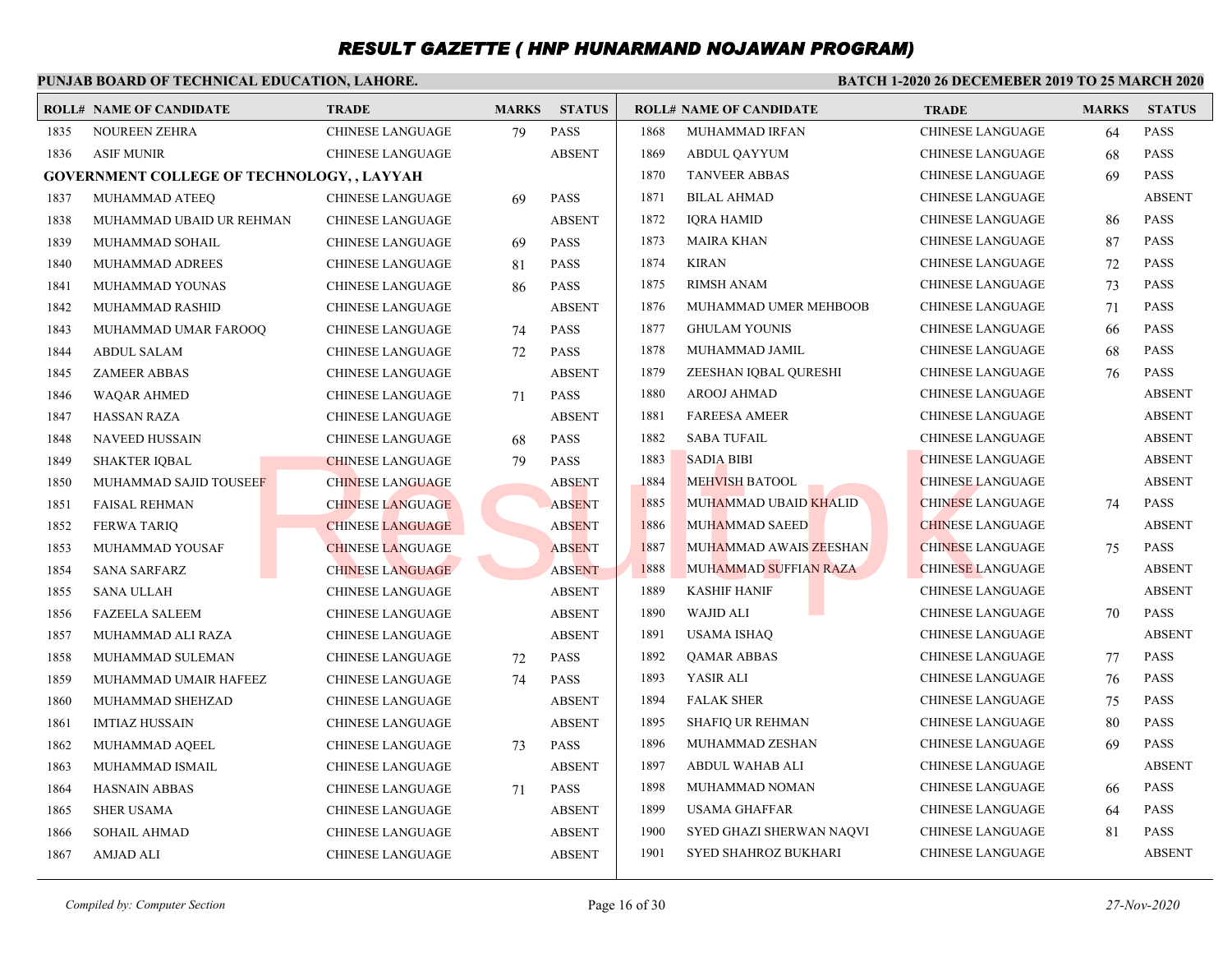## **PUNJAB BOARD OF TECHNICAL EDUCATION, LAHORE.**

|      | <b>ROLL# NAME OF CANDIDATE</b>                    | <b>TRADE</b>            | <b>MARKS</b> | <b>STATUS</b> |      | <b>ROLL# NAME OF CANDIDATE</b> | <b>TRADE</b>            | <b>MARKS</b> | <b>STATUS</b> |
|------|---------------------------------------------------|-------------------------|--------------|---------------|------|--------------------------------|-------------------------|--------------|---------------|
| 1835 | <b>NOUREEN ZEHRA</b>                              | <b>CHINESE LANGUAGE</b> | 79           | <b>PASS</b>   | 1868 | MUHAMMAD IRFAN                 | <b>CHINESE LANGUAGE</b> | 64           | <b>PASS</b>   |
| 1836 | <b>ASIF MUNIR</b>                                 | <b>CHINESE LANGUAGE</b> |              | <b>ABSENT</b> | 1869 | <b>ABDUL QAYYUM</b>            | <b>CHINESE LANGUAGE</b> | 68           | <b>PASS</b>   |
|      | <b>GOVERNMENT COLLEGE OF TECHNOLOGY, , LAYYAH</b> |                         |              |               | 1870 | <b>TANVEER ABBAS</b>           | CHINESE LANGUAGE        | 69           | <b>PASS</b>   |
| 1837 | MUHAMMAD ATEEO                                    | <b>CHINESE LANGUAGE</b> | 69           | <b>PASS</b>   | 1871 | <b>BILAL AHMAD</b>             | <b>CHINESE LANGUAGE</b> |              | <b>ABSENT</b> |
| 1838 | MUHAMMAD UBAID UR REHMAN                          | <b>CHINESE LANGUAGE</b> |              | <b>ABSENT</b> | 1872 | <b>IQRA HAMID</b>              | <b>CHINESE LANGUAGE</b> | 86           | <b>PASS</b>   |
| 1839 | MUHAMMAD SOHAIL                                   | <b>CHINESE LANGUAGE</b> | 69           | <b>PASS</b>   | 1873 | <b>MAIRA KHAN</b>              | <b>CHINESE LANGUAGE</b> | 87           | <b>PASS</b>   |
| 1840 | MUHAMMAD ADREES                                   | <b>CHINESE LANGUAGE</b> | 81           | <b>PASS</b>   | 1874 | <b>KIRAN</b>                   | <b>CHINESE LANGUAGE</b> | 72           | <b>PASS</b>   |
| 1841 | <b>MUHAMMAD YOUNAS</b>                            | <b>CHINESE LANGUAGE</b> | 86           | <b>PASS</b>   | 1875 | <b>RIMSH ANAM</b>              | <b>CHINESE LANGUAGE</b> | 73           | <b>PASS</b>   |
| 1842 | MUHAMMAD RASHID                                   | <b>CHINESE LANGUAGE</b> |              | <b>ABSENT</b> | 1876 | MUHAMMAD UMER MEHBOOB          | <b>CHINESE LANGUAGE</b> | 71           | <b>PASS</b>   |
| 1843 | MUHAMMAD UMAR FAROOQ                              | <b>CHINESE LANGUAGE</b> | 74           | <b>PASS</b>   | 1877 | <b>GHULAM YOUNIS</b>           | <b>CHINESE LANGUAGE</b> | 66           | <b>PASS</b>   |
| 1844 | <b>ABDUL SALAM</b>                                | <b>CHINESE LANGUAGE</b> | 72           | <b>PASS</b>   | 1878 | MUHAMMAD JAMIL                 | <b>CHINESE LANGUAGE</b> | 68           | <b>PASS</b>   |
| 1845 | <b>ZAMEER ABBAS</b>                               | <b>CHINESE LANGUAGE</b> |              | <b>ABSENT</b> | 1879 | ZEESHAN IQBAL QURESHI          | <b>CHINESE LANGUAGE</b> | 76           | <b>PASS</b>   |
| 1846 | <b>WAQAR AHMED</b>                                | <b>CHINESE LANGUAGE</b> | 71           | <b>PASS</b>   | 1880 | <b>AROOJ AHMAD</b>             | <b>CHINESE LANGUAGE</b> |              | <b>ABSENT</b> |
| 1847 | <b>HASSAN RAZA</b>                                | <b>CHINESE LANGUAGE</b> |              | <b>ABSENT</b> | 1881 | <b>FAREESA AMEER</b>           | CHINESE LANGUAGE        |              | <b>ABSENT</b> |
| 1848 | <b>NAVEED HUSSAIN</b>                             | <b>CHINESE LANGUAGE</b> | 68           | <b>PASS</b>   | 1882 | <b>SABA TUFAIL</b>             | <b>CHINESE LANGUAGE</b> |              | <b>ABSENT</b> |
| 1849 | <b>SHAKTER IQBAL</b>                              | <b>CHINESE LANGUAGE</b> | 79           | <b>PASS</b>   | 1883 | <b>SADIA BIBI</b>              | <b>CHINESE LANGUAGE</b> |              | <b>ABSENT</b> |
| 1850 | MUHAMMAD SAJID TOUSEEF                            | <b>CHINESE LANGUAGE</b> |              | <b>ABSENT</b> | 1884 | <b>MEHVISH BATOOL</b>          | <b>CHINESE LANGUAGE</b> |              | <b>ABSENT</b> |
| 1851 | <b>FAISAL REHMAN</b>                              | <b>CHINESE LANGUAGE</b> |              | <b>ABSENT</b> | 1885 | MUHAMMAD UBAID KHALID          | <b>CHINESE LANGUAGE</b> | 74           | <b>PASS</b>   |
| 1852 | <b>FERWA TARIQ</b>                                | <b>CHINESE LANGUAGE</b> |              | <b>ABSENT</b> | 1886 | <b>MUHAMMAD SAEED</b>          | <b>CHINESE LANGUAGE</b> |              | <b>ABSENT</b> |
| 1853 | MUHAMMAD YOUSAF                                   | <b>CHINESE LANGUAGE</b> |              | <b>ABSENT</b> | 1887 | MUHAMMAD AWAIS ZEESHAN         | <b>CHINESE LANGUAGE</b> | 75           | <b>PASS</b>   |
| 1854 | <b>SANA SARFARZ</b>                               | <b>CHINESE LANGUAGE</b> |              | <b>ABSENT</b> | 1888 | MUHAMMAD SUFFIAN RAZA          | <b>CHINESE LANGUAGE</b> |              | <b>ABSENT</b> |
| 1855 | <b>SANA ULLAH</b>                                 | <b>CHINESE LANGUAGE</b> |              | <b>ABSENT</b> | 1889 | <b>KASHIF HANIF</b>            | <b>CHINESE LANGUAGE</b> |              | <b>ABSENT</b> |
| 1856 | <b>FAZEELA SALEEM</b>                             | <b>CHINESE LANGUAGE</b> |              | <b>ABSENT</b> | 1890 | <b>WAJID ALI</b>               | <b>CHINESE LANGUAGE</b> | 70           | <b>PASS</b>   |
| 1857 | MUHAMMAD ALI RAZA                                 | <b>CHINESE LANGUAGE</b> |              | <b>ABSENT</b> | 1891 | <b>USAMA ISHAQ</b>             | <b>CHINESE LANGUAGE</b> |              | <b>ABSENT</b> |
| 1858 | MUHAMMAD SULEMAN                                  | CHINESE LANGUAGE        | 72           | <b>PASS</b>   | 1892 | <b>OAMAR ABBAS</b>             | <b>CHINESE LANGUAGE</b> | 77           | <b>PASS</b>   |
| 1859 | MUHAMMAD UMAIR HAFEEZ                             | <b>CHINESE LANGUAGE</b> | 74           | <b>PASS</b>   | 1893 | YASIR ALI                      | <b>CHINESE LANGUAGE</b> | 76           | <b>PASS</b>   |
| 1860 | MUHAMMAD SHEHZAD                                  | CHINESE LANGUAGE        |              | <b>ABSENT</b> | 1894 | <b>FALAK SHER</b>              | <b>CHINESE LANGUAGE</b> | 75           | <b>PASS</b>   |
| 1861 | <b>IMTIAZ HUSSAIN</b>                             | <b>CHINESE LANGUAGE</b> |              | <b>ABSENT</b> | 1895 | <b>SHAFIQ UR REHMAN</b>        | <b>CHINESE LANGUAGE</b> | 80           | <b>PASS</b>   |
| 1862 | MUHAMMAD AQEEL                                    | <b>CHINESE LANGUAGE</b> | 73           | <b>PASS</b>   | 1896 | MUHAMMAD ZESHAN                | CHINESE LANGUAGE        | 69           | <b>PASS</b>   |
| 1863 | MUHAMMAD ISMAIL                                   | <b>CHINESE LANGUAGE</b> |              | <b>ABSENT</b> | 1897 | ABDUL WAHAB ALI                | <b>CHINESE LANGUAGE</b> |              | <b>ABSENT</b> |
| 1864 | <b>HASNAIN ABBAS</b>                              | CHINESE LANGUAGE        | 71           | <b>PASS</b>   | 1898 | MUHAMMAD NOMAN                 | CHINESE LANGUAGE        | 66           | <b>PASS</b>   |
| 1865 | <b>SHER USAMA</b>                                 | <b>CHINESE LANGUAGE</b> |              | <b>ABSENT</b> | 1899 | <b>USAMA GHAFFAR</b>           | <b>CHINESE LANGUAGE</b> | 64           | <b>PASS</b>   |
| 1866 | <b>SOHAIL AHMAD</b>                               | <b>CHINESE LANGUAGE</b> |              | <b>ABSENT</b> | 1900 | SYED GHAZI SHERWAN NAQVI       | <b>CHINESE LANGUAGE</b> | 81           | <b>PASS</b>   |
| 1867 | AMJAD ALI                                         | <b>CHINESE LANGUAGE</b> |              | <b>ABSENT</b> | 1901 | <b>SYED SHAHROZ BUKHARI</b>    | <b>CHINESE LANGUAGE</b> |              | <b>ABSENT</b> |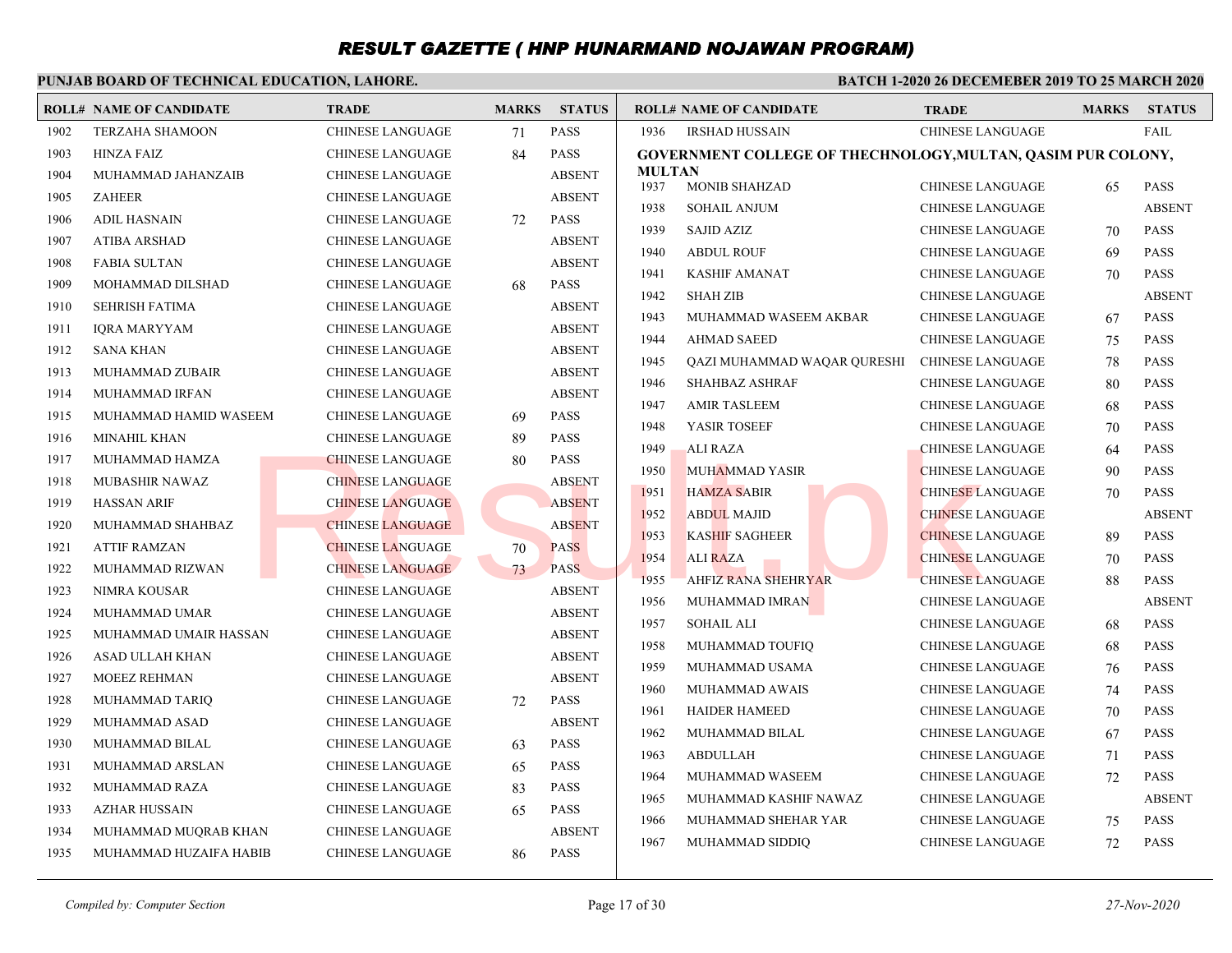### **PUNJAB BOARD OF TECHNICAL EDUCATION, LAHORE.**

|      | <b>ROLL# NAME OF CANDIDATE</b> | <b>TRADE</b>            | <b>MARKS</b> | <b>STATUS</b> |               | <b>ROLL# NAME OF CANDIDATE</b>                               | <b>TRADE</b>            | <b>MARKS</b> | <b>STATUS</b> |
|------|--------------------------------|-------------------------|--------------|---------------|---------------|--------------------------------------------------------------|-------------------------|--------------|---------------|
| 1902 | <b>TERZAHA SHAMOON</b>         | <b>CHINESE LANGUAGE</b> | 71           | <b>PASS</b>   | 1936          | <b>IRSHAD HUSSAIN</b>                                        | <b>CHINESE LANGUAGE</b> |              | FAIL          |
| 1903 | HINZA FAIZ                     | <b>CHINESE LANGUAGE</b> | 84           | <b>PASS</b>   |               | GOVERNMENT COLLEGE OF THECHNOLOGY, MULTAN, QASIM PUR COLONY, |                         |              |               |
| 1904 | MUHAMMAD JAHANZAIB             | CHINESE LANGUAGE        |              | <b>ABSENT</b> | <b>MULTAN</b> |                                                              |                         |              |               |
| 1905 | <b>ZAHEER</b>                  | <b>CHINESE LANGUAGE</b> |              | <b>ABSENT</b> | 1937          | <b>MONIB SHAHZAD</b>                                         | <b>CHINESE LANGUAGE</b> | 65           | <b>PASS</b>   |
| 1906 | <b>ADIL HASNAIN</b>            | CHINESE LANGUAGE        | 72           | <b>PASS</b>   | 1938          | SOHAIL ANJUM                                                 | <b>CHINESE LANGUAGE</b> |              | <b>ABSENT</b> |
| 1907 | <b>ATIBA ARSHAD</b>            | <b>CHINESE LANGUAGE</b> |              | <b>ABSENT</b> | 1939          | <b>SAJID AZIZ</b>                                            | <b>CHINESE LANGUAGE</b> | 70           | <b>PASS</b>   |
| 1908 | <b>FABIA SULTAN</b>            | <b>CHINESE LANGUAGE</b> |              | <b>ABSENT</b> | 1940          | <b>ABDUL ROUF</b>                                            | <b>CHINESE LANGUAGE</b> | 69           | <b>PASS</b>   |
| 1909 | MOHAMMAD DILSHAD               | <b>CHINESE LANGUAGE</b> | 68           | <b>PASS</b>   | 1941          | <b>KASHIF AMANAT</b>                                         | <b>CHINESE LANGUAGE</b> | 70           | <b>PASS</b>   |
| 1910 | <b>SEHRISH FATIMA</b>          | <b>CHINESE LANGUAGE</b> |              | <b>ABSENT</b> | 1942          | <b>SHAH ZIB</b>                                              | <b>CHINESE LANGUAGE</b> |              | <b>ABSENT</b> |
| 1911 | <b>IQRA MARYYAM</b>            | CHINESE LANGUAGE        |              | <b>ABSENT</b> | 1943          | MUHAMMAD WASEEM AKBAR                                        | <b>CHINESE LANGUAGE</b> | 67           | <b>PASS</b>   |
| 1912 | <b>SANA KHAN</b>               | <b>CHINESE LANGUAGE</b> |              | <b>ABSENT</b> | 1944          | <b>AHMAD SAEED</b>                                           | <b>CHINESE LANGUAGE</b> | 75           | PASS          |
| 1913 | MUHAMMAD ZUBAIR                | <b>CHINESE LANGUAGE</b> |              | <b>ABSENT</b> | 1945          | QAZI MUHAMMAD WAQAR QURESHI                                  | <b>CHINESE LANGUAGE</b> | 78           | <b>PASS</b>   |
| 1914 | <b>MUHAMMAD IRFAN</b>          | <b>CHINESE LANGUAGE</b> |              | <b>ABSENT</b> | 1946          | <b>SHAHBAZ ASHRAF</b>                                        | <b>CHINESE LANGUAGE</b> | 80           | PASS          |
| 1915 | MUHAMMAD HAMID WASEEM          | <b>CHINESE LANGUAGE</b> | 69           | PASS          | 1947          | <b>AMIR TASLEEM</b>                                          | CHINESE LANGUAGE        | 68           | <b>PASS</b>   |
| 1916 | <b>MINAHIL KHAN</b>            | <b>CHINESE LANGUAGE</b> | 89           | <b>PASS</b>   | 1948          | YASIR TOSEEF                                                 | <b>CHINESE LANGUAGE</b> | 70           | <b>PASS</b>   |
| 1917 | MUHAMMAD HAMZA                 | <b>CHINESE LANGUAGE</b> | 80           | <b>PASS</b>   | 1949          | <b>ALI RAZA</b>                                              | <b>CHINESE LANGUAGE</b> | 64           | <b>PASS</b>   |
| 1918 | <b>MUBASHIR NAWAZ</b>          | <b>CHINESE LANGUAGE</b> |              | <b>ABSENT</b> | 1950          | <b>MUHAMMAD YASIR</b>                                        | <b>CHINESE LANGUAGE</b> | 90           | <b>PASS</b>   |
| 1919 | <b>HASSAN ARIF</b>             | <b>CHINESE LANGUAGE</b> |              | <b>ABSENT</b> | 1951          | <b>HAMZA SABIR</b>                                           | <b>CHINESE LANGUAGE</b> | 70           | PASS          |
| 1920 | MUHAMMAD SHAHBAZ               | <b>CHINESE LANGUAGE</b> |              | <b>ABSENT</b> | 1952          | <b>ABDUL MAJID</b>                                           | <b>CHINESE LANGUAGE</b> |              | <b>ABSENT</b> |
| 1921 | <b>ATTIF RAMZAN</b>            | <b>CHINESE LANGUAGE</b> | 70           | <b>PASS</b>   | 1953          | <b>KASHIF SAGHEER</b>                                        | <b>CHINESE LANGUAGE</b> | 89           | <b>PASS</b>   |
| 1922 | <b>MUHAMMAD RIZWAN</b>         | <b>CHINESE LANGUAGE</b> | 73           | <b>PASS</b>   | 1954          | <b>ALI RAZA</b>                                              | <b>CHINESE LANGUAGE</b> | 70           | <b>PASS</b>   |
| 1923 | NIMRA KOUSAR                   | <b>CHINESE LANGUAGE</b> |              | <b>ABSENT</b> | 1955          | <b>AHFIZ RANA SHEHRYAR</b>                                   | <b>CHINESE LANGUAGE</b> | 88           | <b>PASS</b>   |
| 1924 | <b>MUHAMMAD UMAR</b>           | <b>CHINESE LANGUAGE</b> |              | <b>ABSENT</b> | 1956          | MUHAMMAD IMRAN                                               | <b>CHINESE LANGUAGE</b> |              | <b>ABSENT</b> |
| 1925 | MUHAMMAD UMAIR HASSAN          | <b>CHINESE LANGUAGE</b> |              | <b>ABSENT</b> | 1957          | SOHAIL ALI                                                   | <b>CHINESE LANGUAGE</b> | 68           | <b>PASS</b>   |
| 1926 | ASAD ULLAH KHAN                | <b>CHINESE LANGUAGE</b> |              | <b>ABSENT</b> | 1958          | MUHAMMAD TOUFIQ                                              | <b>CHINESE LANGUAGE</b> | 68           | <b>PASS</b>   |
| 1927 | MOEEZ REHMAN                   | <b>CHINESE LANGUAGE</b> |              | <b>ABSENT</b> | 1959          | MUHAMMAD USAMA                                               | <b>CHINESE LANGUAGE</b> | 76           | <b>PASS</b>   |
| 1928 | MUHAMMAD TARIQ                 | <b>CHINESE LANGUAGE</b> | 72           | <b>PASS</b>   | 1960          | MUHAMMAD AWAIS                                               | <b>CHINESE LANGUAGE</b> | 74           | <b>PASS</b>   |
| 1929 | MUHAMMAD ASAD                  | <b>CHINESE LANGUAGE</b> |              | <b>ABSENT</b> | 1961          | <b>HAIDER HAMEED</b>                                         | <b>CHINESE LANGUAGE</b> | 70           | <b>PASS</b>   |
| 1930 | MUHAMMAD BILAL                 | <b>CHINESE LANGUAGE</b> | 63           | <b>PASS</b>   | 1962          | MUHAMMAD BILAL                                               | <b>CHINESE LANGUAGE</b> | 67           | <b>PASS</b>   |
| 1931 | MUHAMMAD ARSLAN                | <b>CHINESE LANGUAGE</b> | 65           | <b>PASS</b>   | 1963          | <b>ABDULLAH</b>                                              | <b>CHINESE LANGUAGE</b> | 71           | <b>PASS</b>   |
| 1932 | <b>MUHAMMAD RAZA</b>           | <b>CHINESE LANGUAGE</b> | 83           | <b>PASS</b>   | 1964          | MUHAMMAD WASEEM                                              | <b>CHINESE LANGUAGE</b> | 72           | <b>PASS</b>   |
| 1933 | <b>AZHAR HUSSAIN</b>           | CHINESE LANGUAGE        | 65           | <b>PASS</b>   | 1965          | MUHAMMAD KASHIF NAWAZ                                        | <b>CHINESE LANGUAGE</b> |              | <b>ABSENT</b> |
| 1934 | MUHAMMAD MUQRAB KHAN           | <b>CHINESE LANGUAGE</b> |              | <b>ABSENT</b> | 1966          | MUHAMMAD SHEHAR YAR                                          | <b>CHINESE LANGUAGE</b> | 75           | <b>PASS</b>   |
| 1935 | MUHAMMAD HUZAIFA HABIB         | <b>CHINESE LANGUAGE</b> | 86           | <b>PASS</b>   | 1967          | MUHAMMAD SIDDIO                                              | <b>CHINESE LANGUAGE</b> | 72           | <b>PASS</b>   |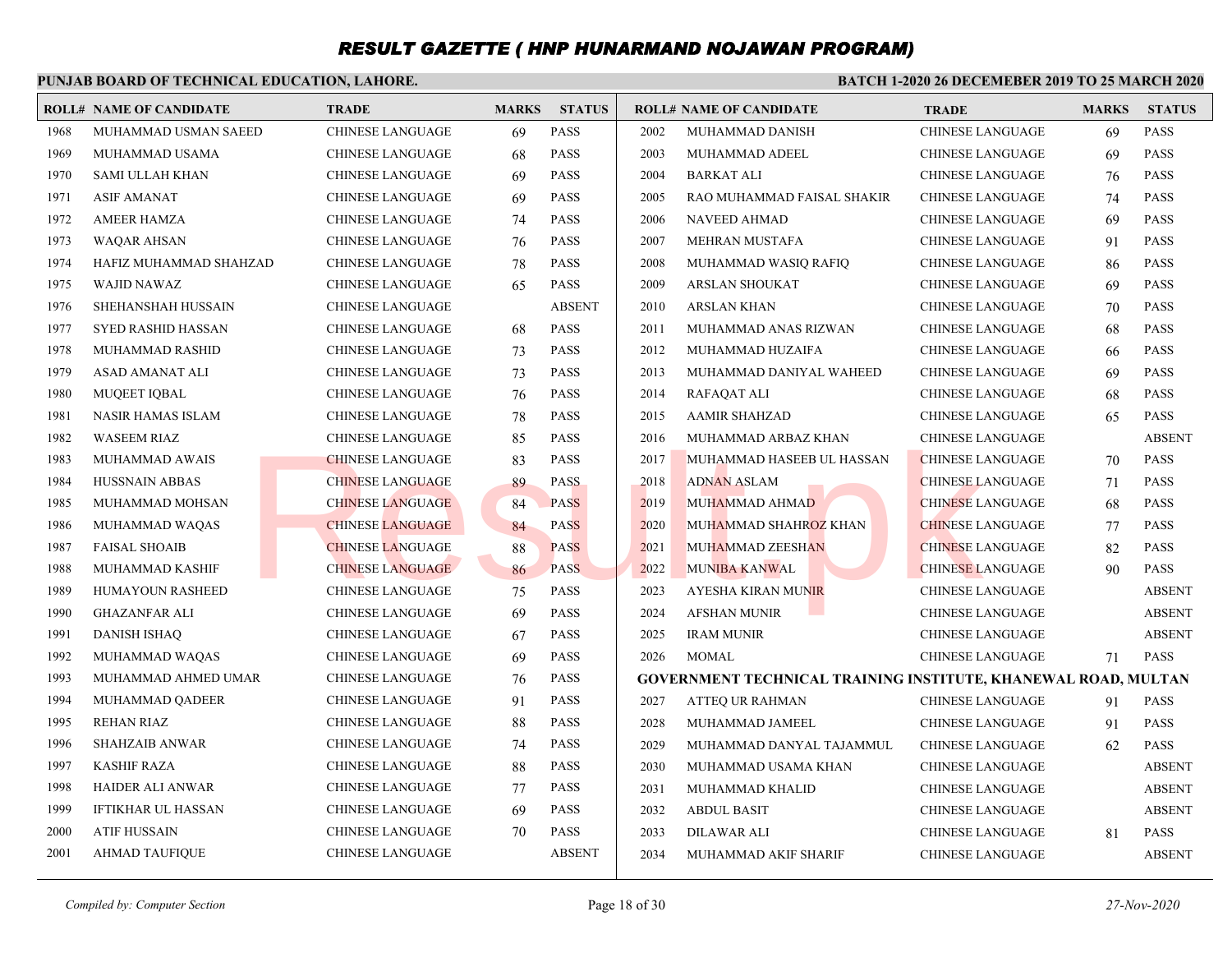## **PUNJAB BOARD OF TECHNICAL EDUCATION, LAHORE.**

|      | <b>ROLL# NAME OF CANDIDATE</b> | <b>TRADE</b>            | <b>MARKS</b> | <b>STATUS</b> |      | <b>ROLL# NAME OF CANDIDATE</b>                                 | <b>TRADE</b>            | <b>MARKS</b> | <b>STATUS</b> |
|------|--------------------------------|-------------------------|--------------|---------------|------|----------------------------------------------------------------|-------------------------|--------------|---------------|
| 1968 | MUHAMMAD USMAN SAEED           | <b>CHINESE LANGUAGE</b> | 69           | <b>PASS</b>   | 2002 | MUHAMMAD DANISH                                                | <b>CHINESE LANGUAGE</b> | 69           | <b>PASS</b>   |
| 1969 | MUHAMMAD USAMA                 | <b>CHINESE LANGUAGE</b> | 68           | <b>PASS</b>   | 2003 | MUHAMMAD ADEEL                                                 | <b>CHINESE LANGUAGE</b> | 69           | <b>PASS</b>   |
| 1970 | SAMI ULLAH KHAN                | <b>CHINESE LANGUAGE</b> | 69           | <b>PASS</b>   | 2004 | <b>BARKAT ALI</b>                                              | <b>CHINESE LANGUAGE</b> | 76           | <b>PASS</b>   |
| 1971 | <b>ASIF AMANAT</b>             | <b>CHINESE LANGUAGE</b> | 69           | <b>PASS</b>   | 2005 | RAO MUHAMMAD FAISAL SHAKIR                                     | <b>CHINESE LANGUAGE</b> | 74           | <b>PASS</b>   |
| 1972 | <b>AMEER HAMZA</b>             | <b>CHINESE LANGUAGE</b> | 74           | <b>PASS</b>   | 2006 | <b>NAVEED AHMAD</b>                                            | <b>CHINESE LANGUAGE</b> | 69           | <b>PASS</b>   |
| 1973 | WAQAR AHSAN                    | <b>CHINESE LANGUAGE</b> | 76           | <b>PASS</b>   | 2007 | MEHRAN MUSTAFA                                                 | <b>CHINESE LANGUAGE</b> | 91           | <b>PASS</b>   |
| 1974 | HAFIZ MUHAMMAD SHAHZAD         | <b>CHINESE LANGUAGE</b> | 78           | <b>PASS</b>   | 2008 | MUHAMMAD WASIQ RAFIQ                                           | <b>CHINESE LANGUAGE</b> | 86           | <b>PASS</b>   |
| 1975 | <b>WAJID NAWAZ</b>             | <b>CHINESE LANGUAGE</b> | 65           | <b>PASS</b>   | 2009 | <b>ARSLAN SHOUKAT</b>                                          | <b>CHINESE LANGUAGE</b> | 69           | <b>PASS</b>   |
| 1976 | SHEHANSHAH HUSSAIN             | <b>CHINESE LANGUAGE</b> |              | <b>ABSENT</b> | 2010 | <b>ARSLAN KHAN</b>                                             | <b>CHINESE LANGUAGE</b> | 70           | <b>PASS</b>   |
| 1977 | <b>SYED RASHID HASSAN</b>      | <b>CHINESE LANGUAGE</b> | 68           | <b>PASS</b>   | 2011 | MUHAMMAD ANAS RIZWAN                                           | <b>CHINESE LANGUAGE</b> | 68           | <b>PASS</b>   |
| 1978 | MUHAMMAD RASHID                | <b>CHINESE LANGUAGE</b> | 73           | <b>PASS</b>   | 2012 | MUHAMMAD HUZAIFA                                               | <b>CHINESE LANGUAGE</b> | 66           | <b>PASS</b>   |
| 1979 | ASAD AMANAT ALI                | <b>CHINESE LANGUAGE</b> | 73           | <b>PASS</b>   | 2013 | MUHAMMAD DANIYAL WAHEED                                        | <b>CHINESE LANGUAGE</b> | 69           | <b>PASS</b>   |
| 1980 | <b>MUQEET IQBAL</b>            | <b>CHINESE LANGUAGE</b> | 76           | <b>PASS</b>   | 2014 | RAFAQAT ALI                                                    | <b>CHINESE LANGUAGE</b> | 68           | <b>PASS</b>   |
| 1981 | NASIR HAMAS ISLAM              | <b>CHINESE LANGUAGE</b> | 78           | <b>PASS</b>   | 2015 | <b>AAMIR SHAHZAD</b>                                           | <b>CHINESE LANGUAGE</b> | 65           | <b>PASS</b>   |
| 1982 | <b>WASEEM RIAZ</b>             | <b>CHINESE LANGUAGE</b> | 85           | <b>PASS</b>   | 2016 | MUHAMMAD ARBAZ KHAN                                            | <b>CHINESE LANGUAGE</b> |              | <b>ABSENT</b> |
| 1983 | <b>MUHAMMAD AWAIS</b>          | <b>CHINESE LANGUAGE</b> | 83           | <b>PASS</b>   | 2017 | MUHAMMAD HASEEB UL HASSAN                                      | <b>CHINESE LANGUAGE</b> | 70           | <b>PASS</b>   |
| 1984 | HUSSNAIN ABBAS                 | <b>CHINESE LANGUAGE</b> | 89           | <b>PASS</b>   | 2018 | <b>ADNAN ASLAM</b>                                             | <b>CHINESE LANGUAGE</b> | 71           | <b>PASS</b>   |
| 1985 | MUHAMMAD MOHSAN                | <b>CHINESE LANGUAGE</b> | 84           | <b>PASS</b>   | 2019 | MUHAMMAD AHMAD                                                 | <b>CHINESE LANGUAGE</b> | 68           | <b>PASS</b>   |
| 1986 | MUHAMMAD WAQAS                 | <b>CHINESE LANGUAGE</b> | 84           | <b>PASS</b>   | 2020 | MUHAMMAD SHAHROZ KHAN                                          | <b>CHINESE LANGUAGE</b> | 77           | <b>PASS</b>   |
| 1987 | <b>FAISAL SHOAIB</b>           | <b>CHINESE LANGUAGE</b> | 88           | <b>PASS</b>   | 2021 | MUHAMMAD ZEESHAN                                               | <b>CHINESE LANGUAGE</b> | 82           | <b>PASS</b>   |
| 1988 | MUHAMMAD KASHIF                | <b>CHINESE LANGUAGE</b> | 86           | <b>PASS</b>   | 2022 | <b>MUNIBA KANWAL</b>                                           | <b>CHINESE LANGUAGE</b> | 90           | <b>PASS</b>   |
| 1989 | HUMAYOUN RASHEED               | <b>CHINESE LANGUAGE</b> | 75           | <b>PASS</b>   | 2023 | <b>AYESHA KIRAN MUNIR</b>                                      | <b>CHINESE LANGUAGE</b> |              | <b>ABSENT</b> |
| 1990 | <b>GHAZANFAR ALI</b>           | <b>CHINESE LANGUAGE</b> | 69           | <b>PASS</b>   | 2024 | <b>AFSHAN MUNIR</b>                                            | <b>CHINESE LANGUAGE</b> |              | <b>ABSENT</b> |
| 1991 | <b>DANISH ISHAQ</b>            | <b>CHINESE LANGUAGE</b> | 67           | <b>PASS</b>   | 2025 | <b>IRAM MUNIR</b>                                              | <b>CHINESE LANGUAGE</b> |              | <b>ABSENT</b> |
| 1992 | MUHAMMAD WAQAS                 | <b>CHINESE LANGUAGE</b> | 69           | <b>PASS</b>   | 2026 | MOMAL                                                          | <b>CHINESE LANGUAGE</b> | 71           | <b>PASS</b>   |
| 1993 | MUHAMMAD AHMED UMAR            | <b>CHINESE LANGUAGE</b> | 76           | <b>PASS</b>   |      | GOVERNMENT TECHNICAL TRAINING INSTITUTE, KHANEWAL ROAD, MULTAN |                         |              |               |
| 1994 | MUHAMMAD QADEER                | <b>CHINESE LANGUAGE</b> | 91           | <b>PASS</b>   | 2027 | <b>ATTEQ UR RAHMAN</b>                                         | <b>CHINESE LANGUAGE</b> | 91           | <b>PASS</b>   |
| 1995 | REHAN RIAZ                     | <b>CHINESE LANGUAGE</b> | 88           | <b>PASS</b>   | 2028 | MUHAMMAD JAMEEL                                                | <b>CHINESE LANGUAGE</b> | 91           | <b>PASS</b>   |
| 1996 | <b>SHAHZAIB ANWAR</b>          | <b>CHINESE LANGUAGE</b> | 74           | <b>PASS</b>   | 2029 | MUHAMMAD DANYAL TAJAMMUL                                       | <b>CHINESE LANGUAGE</b> | 62           | <b>PASS</b>   |
| 1997 | <b>KASHIF RAZA</b>             | CHINESE LANGUAGE        | 88           | <b>PASS</b>   | 2030 | MUHAMMAD USAMA KHAN                                            | <b>CHINESE LANGUAGE</b> |              | <b>ABSENT</b> |
| 1998 | HAIDER ALI ANWAR               | <b>CHINESE LANGUAGE</b> | 77           | <b>PASS</b>   | 2031 | MUHAMMAD KHALID                                                | <b>CHINESE LANGUAGE</b> |              | <b>ABSENT</b> |
| 1999 | <b>IFTIKHAR UL HASSAN</b>      | CHINESE LANGUAGE        | 69           | <b>PASS</b>   | 2032 | <b>ABDUL BASIT</b>                                             | <b>CHINESE LANGUAGE</b> |              | <b>ABSENT</b> |
| 2000 | <b>ATIF HUSSAIN</b>            | <b>CHINESE LANGUAGE</b> | 70           | <b>PASS</b>   | 2033 | <b>DILAWAR ALI</b>                                             | <b>CHINESE LANGUAGE</b> | 81           | <b>PASS</b>   |
| 2001 | <b>AHMAD TAUFIQUE</b>          | <b>CHINESE LANGUAGE</b> |              | <b>ABSENT</b> | 2034 | MUHAMMAD AKIF SHARIF                                           | <b>CHINESE LANGUAGE</b> |              | <b>ABSENT</b> |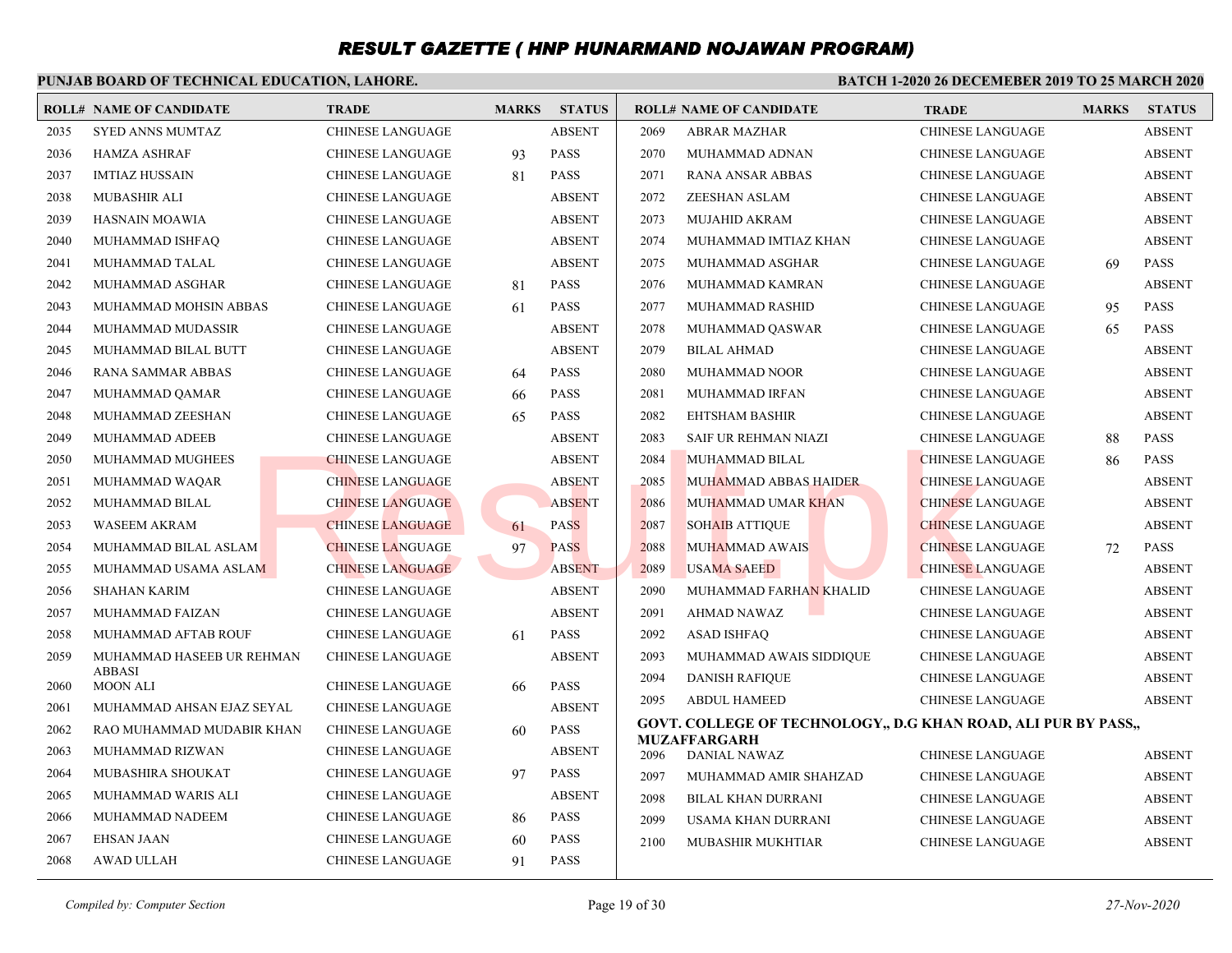#### **PUNJAB BOARD OF TECHNICAL EDUCATION, LAHORE. BATCH 1-2020 26 DECEMEBER 2019 TO 25 MARCH 2020 ROLL# NAME OF CANDIDATE TRADE MARKS STATUS ROLL# NAME OF CANDIDATE TRADE MARKS STATUS** 2035 SYED ANNS MUMTAZ CHINESE LANGUAGE ABSENT 2036 HAMZA ASHRAF CHINESE LANGUAGE 93 PASS 2037 IMTIAZ HUSSAIN CHINESE LANGUAGE 81 PASS 2038 MUBASHIR ALI CHINESE LANGUAGE ABSENT 2039 HASNAIN MOAWIA CHINESE LANGUAGE ABSENT 2040 MUHAMMAD ISHFAQ CHINESE LANGUAGE ABSENT 2041 MUHAMMAD TALAL CHINESE LANGUAGE ABSENT 2042 MUHAMMAD ASGHAR CHINESE LANGUAGE 81 PASS 2043 MUHAMMAD MOHSIN ABBAS CHINESE LANGUAGE 61 PASS 2044 MUHAMMAD MUDASSIR CHINESE LANGUAGE ABSENT 2045 MUHAMMAD BILAL BUTT CHINESE LANGUAGE ABSENT 2046 RANA SAMMAR ABBAS CHINESE LANGUAGE 64 PASS 2047 MUHAMMAD QAMAR CHINESE LANGUAGE 66 PASS 2048 MUHAMMAD ZEESHAN CHINESE LANGUAGE 65 PASS 2049 MUHAMMAD ADEEB CHINESE LANGUAGE ABSENT 2050 MUHAMMAD MUGHEES CHINESE LANGUAGE ABSENT 2051 MUHAMMAD WAQAR CHINESE LANGUAGE ABSENT 2052 MUHAMMAD BILAL CHINESE LANGUAGE ABSENT 2053 WASEEM AKRAM CHINESE LANGUAGE 61 PASS 2054 MUHAMMAD BILAL ASLAM CHINESE LANGUAGE 97 PASS 2055 MUHAMMAD USAMA ASLAM CHINESE LANGUAGE ABSENT 2056 SHAHAN KARIM CHINESE LANGUAGE ABSENT 2057 MUHAMMAD FAIZAN CHINESE LANGUAGE ABSENT 2058 MUHAMMAD AFTAB ROUF CHINESE LANGUAGE 61 PASS MUHAMMAD HASEEB UR REHMAN CHINESE LANGUAGE ABSENT ABBASI 2059 2060 MOON ALI CHINESE LANGUAGE 66 PASS 2061 MUHAMMAD AHSAN EJAZ SEYAL CHINESE LANGUAGE ABSENT 2062 RAO MUHAMMAD MUDABIR KHAN CHINESE LANGUAGE 60 PASS 2063 MUHAMMAD RIZWAN CHINESE LANGUAGE ABSENT 2064 MUBASHIRA SHOUKAT CHINESE LANGUAGE 97 PASS 2065 MUHAMMAD WARIS ALI CHINESE LANGUAGE ABSENT 2066 MUHAMMAD NADEEM CHINESE LANGUAGE 86 PASS 2067 EHSAN JAAN CHINESE LANGUAGE 60 PASS 2069 ABRAR MAZHAR CHINESE LANGUAGE ABSENT 2070 MUHAMMAD ADNAN CHINESE LANGUAGE ABSENT 2071 RANA ANSAR ABBAS CHINESE LANGUAGE ABSENT 2072 ZEESHAN ASLAM CHINESE LANGUAGE ABSENT 2073 MUJAHID AKRAM CHINESE LANGUAGE ABSENT 2074 MUHAMMAD IMTIAZ KHAN CHINESE LANGUAGE ABSENT 2075 MUHAMMAD ASGHAR CHINESE LANGUAGE 69 PASS 2076 MUHAMMAD KAMRAN CHINESE LANGUAGE ABSENT 2077 MUHAMMAD RASHID CHINESE LANGUAGE 95 PASS 2078 MUHAMMAD QASWAR CHINESE LANGUAGE 65 PASS 2079 BILAL AHMAD CHINESE LANGUAGE ABSENT 2080 MUHAMMAD NOOR CHINESE LANGUAGE ABSENT 2081 MUHAMMAD IRFAN CHINESE LANGUAGE ABSENT 2082 EHTSHAM BASHIR CHINESE LANGUAGE ABSENT 2083 SAIF UR REHMAN NIAZI CHINESE LANGUAGE 88 PASS 2084 MUHAMMAD BILAL CHINESE LANGUAGE 86 PASS 2085 MUHAMMAD ABBAS HAIDER CHINESE LANGUAGE ABSENT 2086 MUHAMMAD UMAR KHAN CHINESE LANGUAGE ABSENT 2087 SOHAIB ATTIQUE CHINESE LANGUAGE ABSENT 2088 MUHAMMAD AWAIS CHINESE LANGUAGE 72 PASS 2089 USAMA SAEED CHINESE LANGUAGE ABSENT 2090 MUHAMMAD FARHAN KHALID CHINESE LANGUAGE ABSENT 2091 AHMAD NAWAZ CHINESE LANGUAGE ABSENT 2092 ASAD ISHFAQ CHINESE LANGUAGE ABSENT 2093 MUHAMMAD AWAIS SIDDIQUE CHINESE LANGUAGE ABSENT 2094 DANISH RAFIQUE CHINESE LANGUAGE ABSENT 2095 ABDUL HAMEED CHINESE LANGUAGE ABSENT **GOVT. COLLEGE OF TECHNOLOGY,, D.G KHAN ROAD, ALI PUR BY PASS,, MUZAFFARGARH** 2096 DANIAL NAWAZ CHINESE LANGUAGE ABSENT 2097 MUHAMMAD AMIR SHAHZAD CHINESE LANGUAGE ABSENT 2098 BILAL KHAN DURRANI CHINESE LANGUAGE ABSENT 2099 USAMA KHAN DURRANI CHINESE LANGUAGE ABSENT CHINESE LANGUAGE<br>
CHINESE LANGUAGE<br>
CHINESE LANGUAGE<br>
CHINESE LANGUAGE<br>
CHINESE LANGUAGE<br>
CHINESE LANGUAGE<br>
CHINESE LANGUAGE<br>
CHINESE LANGUAGE<br>
CHINESE LANGUAGE<br>
CHINESE LANGUAGE<br>
CHINESE LANGUAGE<br>
CHINESE LANGUAGE<br>
2008 M

2068 AWAD ULLAH CHINESE LANGUAGE 91 PASS

2100 MUBASHIR MUKHTIAR CHINESE LANGUAGE ABSENT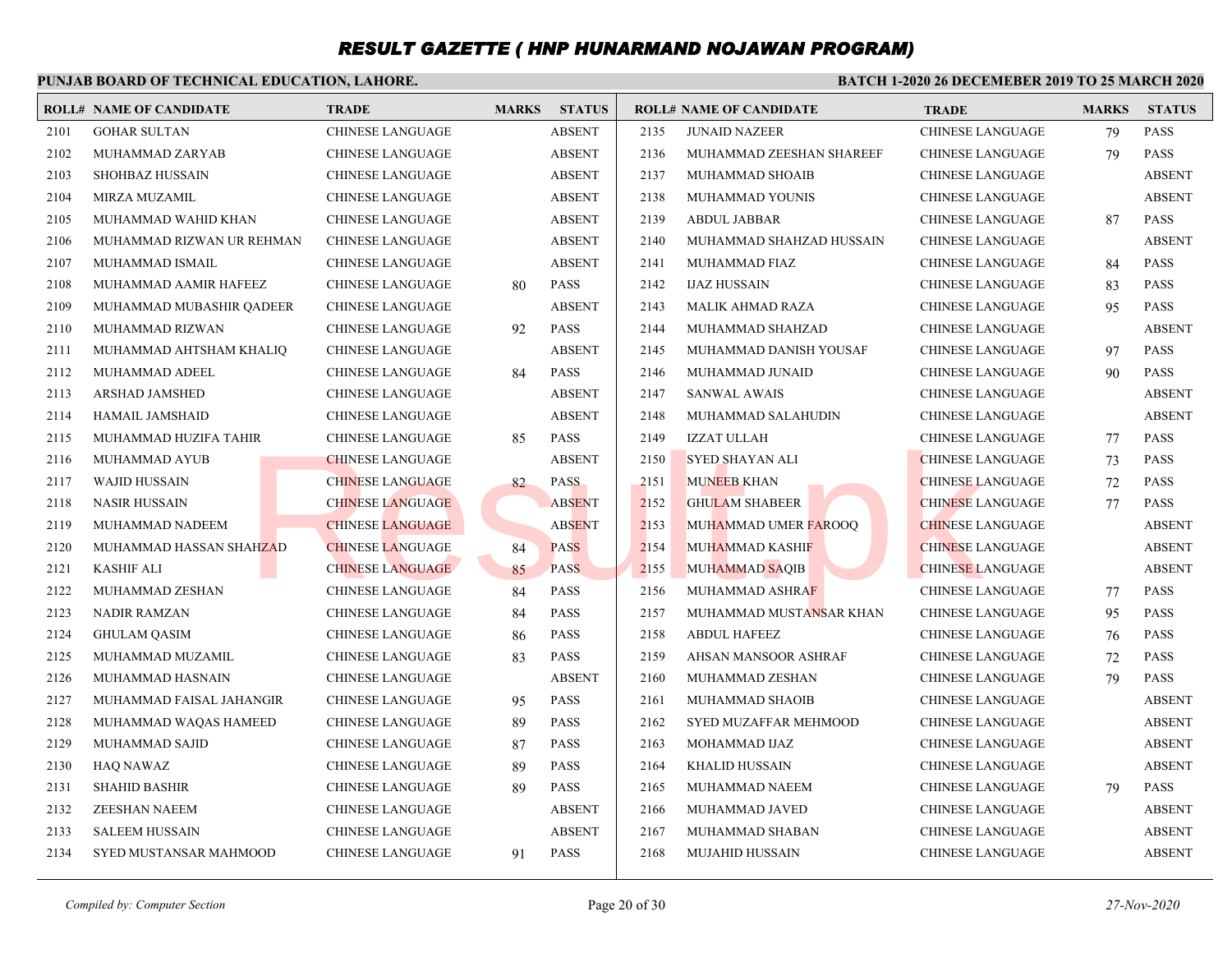#### **PUNJAB BOARD OF TECHNICAL EDUCATION, LAHORE. BATCH 1-2020 26 DECEMEBER 2019 TO 25 MARCH 2020 ROLL# NAME OF CANDIDATE TRADE MARKS STATUS ROLL# NAME OF CANDIDATE TRADE MARKS STATUS** 2101 GOHAR SULTAN CHINESE LANGUAGE ABSENT 2102 MUHAMMAD ZARYAB CHINESE LANGUAGE ABSENT 2103 SHOHBAZ HUSSAIN CHINESE LANGUAGE ABSENT 2104 MIRZA MUZAMIL CHINESE LANGUAGE ABSENT 2105 MUHAMMAD WAHID KHAN CHINESE LANGUAGE ABSENT 2106 MUHAMMAD RIZWAN UR REHMAN CHINESE LANGUAGE ABSENT 2107 MUHAMMAD ISMAIL CHINESE LANGUAGE ABSENT 2108 MUHAMMAD AAMIR HAFEEZ CHINESE LANGUAGE 80 PASS 2109 MUHAMMAD MUBASHIR QADEER CHINESE LANGUAGE ABSENT 2110 MUHAMMAD RIZWAN CHINESE LANGUAGE 92 PASS 2111 MUHAMMAD AHTSHAM KHALIQ CHINESE LANGUAGE ABSENT 2112 MUHAMMAD ADEEL CHINESE LANGUAGE 84 PASS 2113 ARSHAD JAMSHED CHINESE LANGUAGE ABSENT 2114 HAMAIL JAMSHAID CHINESE LANGUAGE ABSENT 2115 MUHAMMAD HUZIFA TAHIR CHINESE LANGUAGE 85 PASS 2116 MUHAMMAD AYUB CHINESE LANGUAGE ABSENT 2117 WAJID HUSSAIN CHINESE LANGUAGE 82 PASS 2118 NASIR HUSSAIN CHINESE LANGUAGE ABSENT 2119 MUHAMMAD NADEEM CHINESE LANGUAGE ABSENT 2120 MUHAMMAD HASSAN SHAHZAD CHINESE LANGUAGE 84 PASS 2121 KASHIF ALI CHINESE LANGUAGE 85 PASS 2122 MUHAMMAD ZESHAN CHINESE LANGUAGE 84 PASS 2123 NADIR RAMZAN CHINESE LANGUAGE 84 PASS 2124 GHULAM QASIM CHINESE LANGUAGE 86 PASS 2125 MUHAMMAD MUZAMIL CHINESE LANGUAGE 83 PASS 2126 MUHAMMAD HASNAIN CHINESE LANGUAGE ABSENT 2127 MUHAMMAD FAISAL JAHANGIR CHINESE LANGUAGE 95 PASS 2128 MUHAMMAD WAQAS HAMEED CHINESE LANGUAGE 89 PASS 2129 MUHAMMAD SAJID CHINESE LANGUAGE 87 PASS 2130 HAQ NAWAZ CHINESE LANGUAGE 89 PASS 2131 SHAHID BASHIR CHINESE LANGUAGE 89 PASS 2132 ZEESHAN NAEEM CHINESE LANGUAGE ABSENT 2133 SALEEM HUSSAIN CHINESE LANGUAGE ABSENT 2134 SYED MUSTANSAR MAHMOOD CHINESE LANGUAGE 91 PASS 2135 JUNAID NAZEER CHINESE LANGUAGE 79 PASS 2136 MUHAMMAD ZEESHAN SHAREEF CHINESE LANGUAGE 79 PASS 2137 MUHAMMAD SHOAIB CHINESE LANGUAGE ABSENT 2138 MUHAMMAD YOUNIS CHINESE LANGUAGE ABSENT 2139 ABDUL JABBAR CHINESE LANGUAGE 87 PASS 2140 MUHAMMAD SHAHZAD HUSSAIN CHINESE LANGUAGE ABSENT 2141 MUHAMMAD FIAZ CHINESE LANGUAGE 84 PASS 2142 IJAZ HUSSAIN CHINESE LANGUAGE 83 PASS 2143 MALIK AHMAD RAZA CHINESE LANGUAGE 95 PASS 2144 MUHAMMAD SHAHZAD CHINESE LANGUAGE ABSENT 2145 MUHAMMAD DANISH YOUSAF CHINESE LANGUAGE 97 PASS 2146 MUHAMMAD JUNAID CHINESE LANGUAGE 90 PASS 2147 SANWAL AWAIS CHINESE LANGUAGE ABSENT 2148 MUHAMMAD SALAHUDIN CHINESE LANGUAGE ABSENT 2149 IZZAT ULLAH CHINESE LANGUAGE 77 PASS 2150 SYED SHAYAN ALI CHINESE LANGUAGE 73 PASS 2151 MUNEEB KHAN CHINESE LANGUAGE 72 PASS 2152 GHULAM SHABEER CHINESE LANGUAGE 77 PASS 2153 MUHAMMAD UMER FAROOO CHINESE LANGUAGE ABSENT 2154 MUHAMMAD KASHIF CHINESE LANGUAGE ABSENT 2155 MUHAMMAD SAQIB CHINESE LANGUAGE ABSENT 2156 MUHAMMAD ASHRAF CHINESE LANGUAGE 77 PASS 2157 MUHAMMAD MUSTANSAR KHAN CHINESE LANGUAGE 95 PASS 2158 ABDUL HAFEEZ CHINESE LANGUAGE 76 PASS 2159 AHSAN MANSOOR ASHRAF CHINESE LANGUAGE 72 PASS 2160 MUHAMMAD ZESHAN CHINESE LANGUAGE 79 PASS 2161 MUHAMMAD SHAOIB CHINESE LANGUAGE ABSENT 2162 SYED MUZAFFAR MEHMOOD CHINESE LANGUAGE ABSENT 2163 MOHAMMAD IJAZ CHINESE LANGUAGE ABSENT 2164 KHALID HUSSAIN CHINESE LANGUAGE ABSENT 2165 MUHAMMAD NAEEM CHINESE LANGUAGE 79 PASS 2166 MUHAMMAD JAVED CHINESE LANGUAGE ABSENT 2167 MUHAMMAD SHABAN CHINESE LANGUAGE ABSENT 2168 MUJAHID HUSSAIN CHINESE LANGUAGE ABSENT THE CHINESE LANGUAGE<br>
CHINESE LANGUAGE<br>
CHINESE LANGUAGE<br>
CHINESE LANGUAGE<br>
CHINESE LANGUAGE<br>
CHINESE LANGUAGE<br>
CHINESE LANGUAGE<br>
CHINESE LANGUAGE<br>
CHINESE LANGUAGE<br>
CHINESE LANGUAGE<br>
CHINESE LANGUAGE<br>
CHINESE LANGUAGE<br>
CH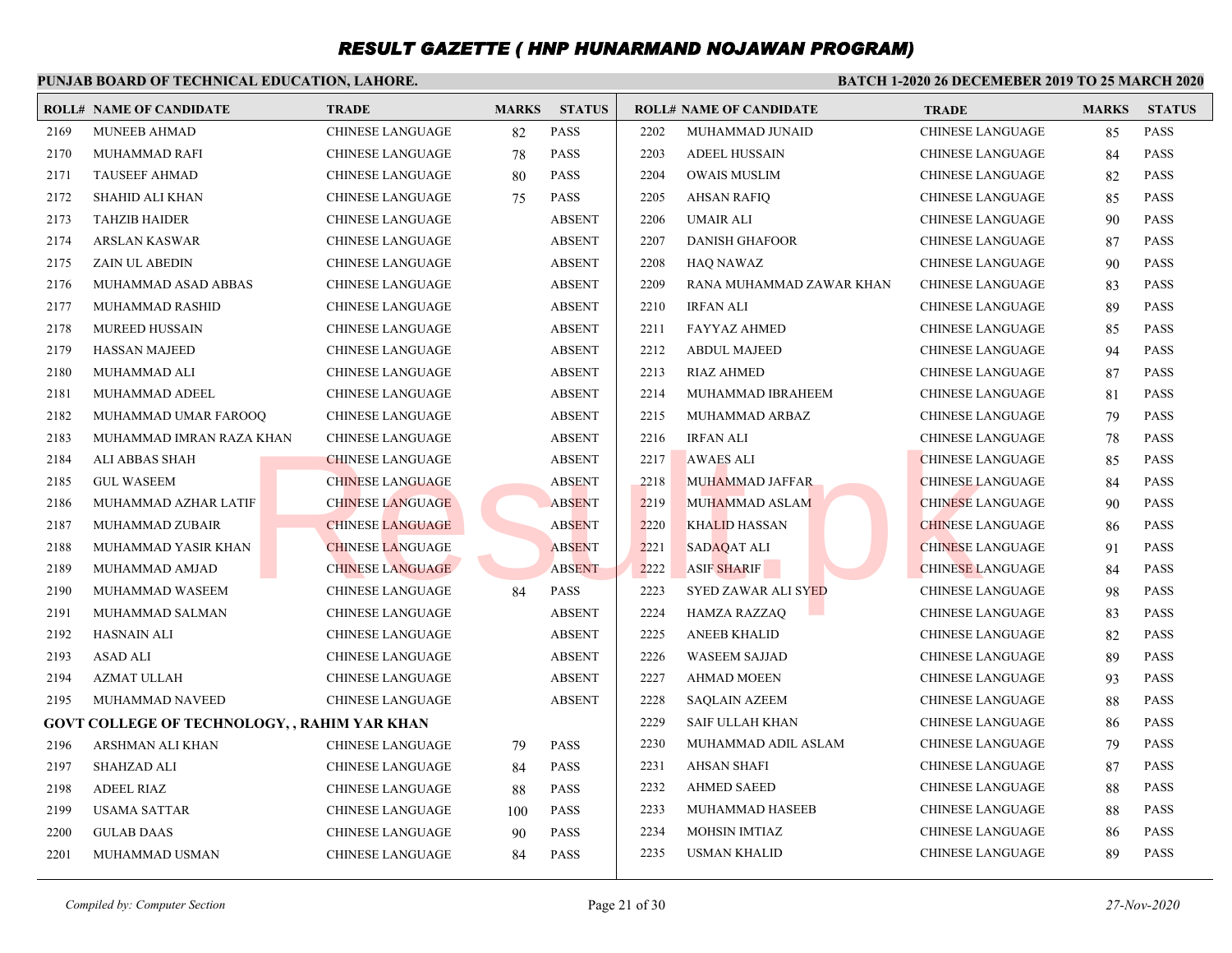#### **PUNJAB BOARD OF TECHNICAL EDUCATION, LAHORE. BATCH 1-2020 26 DECEMEBER 2019 TO 25 MARCH 2020 ROLL# NAME OF CANDIDATE TRADE MARKS STATUS ROLL# NAME OF CANDIDATE TRADE MARKS STATUS** 2169 MUNEEB AHMAD CHINESE LANGUAGE 82 PASS 2170 MUHAMMAD RAFI CHINESE LANGUAGE 78 PASS 2171 TAUSEEF AHMAD CHINESE LANGUAGE 80 PASS 2172 SHAHID ALI KHAN CHINESE LANGUAGE 75 PASS 2173 TAHZIB HAIDER CHINESE LANGUAGE ABSENT 2174 ARSLAN KASWAR CHINESE LANGUAGE ABSENT 2175 ZAIN UL ABEDIN CHINESE LANGUAGE ABSENT 2176 MUHAMMAD ASAD ABBAS CHINESE LANGUAGE ABSENT 2177 MUHAMMAD RASHID CHINESE LANGUAGE ABSENT 2178 MUREED HUSSAIN CHINESE LANGUAGE ABSENT 2179 HASSAN MAJEED CHINESE LANGUAGE ABSENT 2180 MUHAMMAD ALI CHINESE LANGUAGE ABSENT 2181 MUHAMMAD ADEEL CHINESE LANGUAGE ABSENT 2182 MUHAMMAD UMAR FAROOQ CHINESE LANGUAGE ABSENT 2183 MUHAMMAD IMRAN RAZA KHAN CHINESE LANGUAGE ABSENT 2184 ALI ABBAS SHAH CHINESE LANGUAGE ABSENT 2185 GUL WASEEM CHINESE LANGUAGE ABSENT 2186 MUHAMMAD AZHAR LATIF CHINESE LANGUAGE ABSENT 2187 MUHAMMAD ZUBAIR CHINESE LANGUAGE ABSENT 2188 MUHAMMAD YASIR KHAN CHINESE LANGUAGE ABSENT 2189 MUHAMMAD AMJAD CHINESE LANGUAGE ABSENT 2190 MUHAMMAD WASEEM CHINESE LANGUAGE 84 PASS 2191 MUHAMMAD SALMAN CHINESE LANGUAGE ABSENT 2192 HASNAIN ALI CHINESE LANGUAGE ABSENT 2193 ASAD ALI CHINESE LANGUAGE ABSENT 2194 AZMAT ULLAH CHINESE LANGUAGE ABSENT 2195 MUHAMMAD NAVEED CHINESE LANGUAGE ABSENT **GOVT COLLEGE OF TECHNOLOGY, , RAHIM YAR KHAN** 2196 ARSHMAN ALI KHAN CHINESE LANGUAGE 79 PASS 2197 SHAHZAD ALI CHINESE LANGUAGE 84 PASS 2198 ADEEL RIAZ CHINESE LANGUAGE 88 PASS 2199 USAMA SATTAR CHINESE LANGUAGE 100 PASS 2200 GULAB DAAS CHINESE LANGUAGE 90 PASS 2201 MUHAMMAD USMAN CHINESE LANGUAGE 84 PASS 2202 MUHAMMAD JUNAID CHINESE LANGUAGE 85 PASS 2203 ADEEL HUSSAIN CHINESE LANGUAGE 84 PASS 2204 OWAIS MUSLIM CHINESE LANGUAGE 82 PASS 2205 AHSAN RAFIQ CHINESE LANGUAGE 85 PASS 2206 UMAIR ALI CHINESE LANGUAGE 90 PASS 2207 DANISH GHAFOOR CHINESE LANGUAGE 87 PASS 2208 HAQ NAWAZ CHINESE LANGUAGE 90 PASS 2209 RANA MUHAMMAD ZAWAR KHAN CHINESE LANGUAGE 83 PASS 2210 IRFAN ALI CHINESE LANGUAGE 89 PASS 2211 FAYYAZ AHMED CHINESE LANGUAGE 85 PASS 2212 ABDUL MAJEED CHINESE LANGUAGE 94 PASS 2213 RIAZ AHMED CHINESE LANGUAGE 87 PASS 2214 MUHAMMAD IBRAHEEM CHINESE LANGUAGE 81 PASS 2215 MUHAMMAD ARBAZ CHINESE LANGUAGE 79 PASS 2216 IRFAN ALI CHINESE LANGUAGE 78 PASS 2217 AWAES ALI CHINESE LANGUAGE 85 PASS 2218 MUHAMMAD JAFFAR CHINESE LANGUAGE 84 PASS 2219 MUHAMMAD ASLAM CHINESE LANGUAGE 90 PASS 2220 KHALID HASSAN CHINESE LANGUAGE 86 PASS 2221 SADAQAT ALI CHINESE LANGUAGE 91 PASS 2222 ASIF SHARIF CHINESE LANGUAGE 84 PASS 2223 SYED ZAWAR ALI SYED CHINESE LANGUAGE 98 PASS 2224 HAMZA RAZZAO **CHINESE LANGUAGE** 83 PASS 2225 ANEEB KHALID CHINESE LANGUAGE 82 PASS 2226 WASEEM SAJJAD CHINESE LANGUAGE 89 PASS 2227 AHMAD MOEEN CHINESE LANGUAGE 93 PASS 2228 SAQLAIN AZEEM CHINESE LANGUAGE 88 PASS 2229 SAIF ULLAH KHAN CHINESE LANGUAGE 86 PASS 2230 MUHAMMAD ADIL ASLAM CHINESE LANGUAGE 79 PASS 2231 AHSAN SHAFI CHINESE LANGUAGE 87 PASS 2232 AHMED SAEED CHINESE LANGUAGE 88 PASS 2233 MUHAMMAD HASEEB CHINESE LANGUAGE 88 PASS 2234 MOHSIN IMTIAZ CHINESE LANGUAGE 86 PASS 2235 USMAN KHALID CHINESE LANGUAGE 89 PASS EXAMELANGUAGE CHINESE LANGUAGE CHINESE LANGUAGE CHINESE LANGUAGE CHINESE LANGUAGE CHINESE LANGUAGE CHINESE LANGUAGE ABSENT 2219 MUHAMMAD JAFFAR CHINESE LANGUAGE ABSENT CHINESE LANGUAGE ABSENT CHINESE LANGUAGE CHINESE LANGU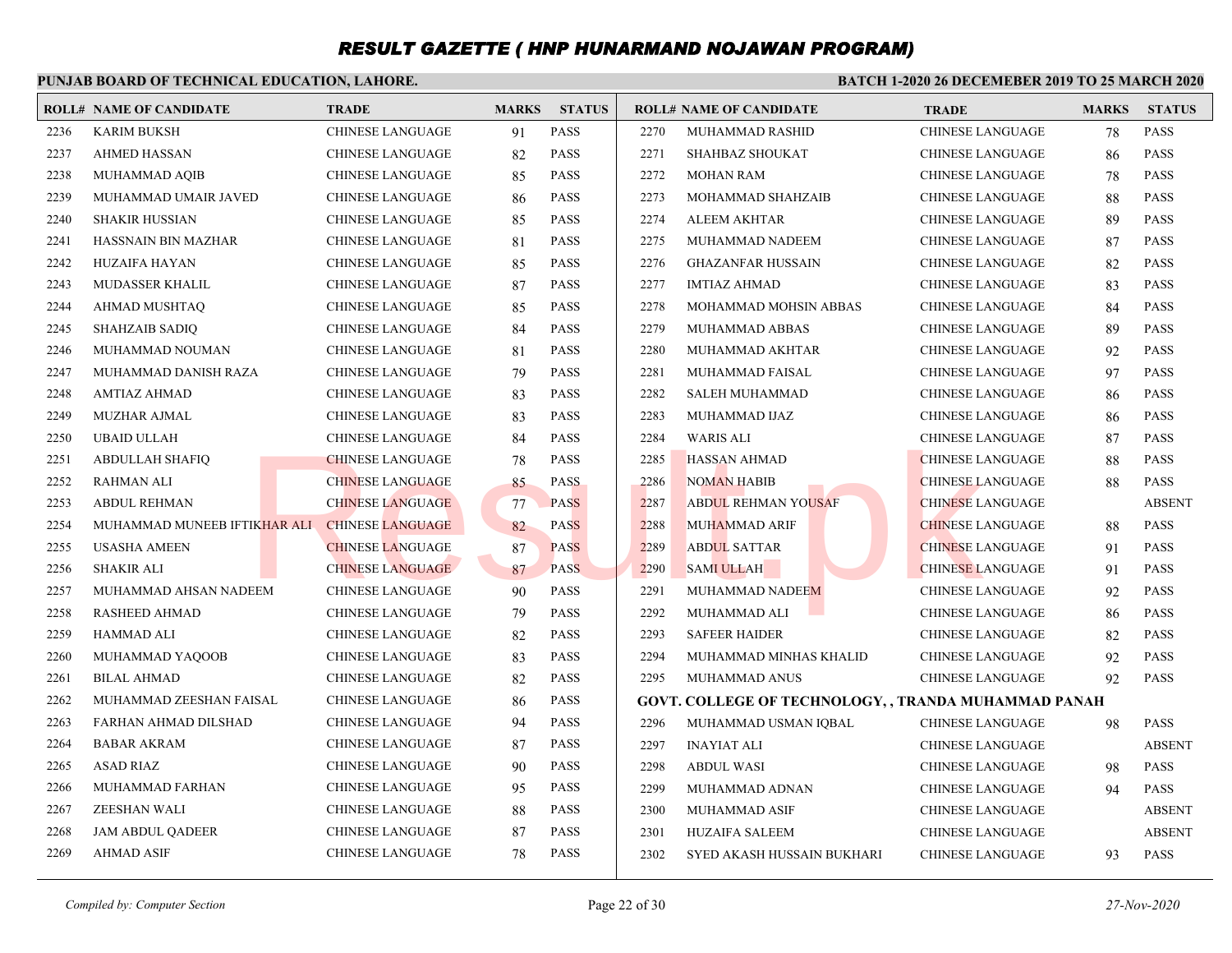## **PUNJAB BOARD OF TECHNICAL EDUCATION, LAHORE.**

|      | <b>ROLL# NAME OF CANDIDATE</b> | <b>TRADE</b>            | <b>MARKS</b> | <b>STATUS</b> |      | <b>ROLL# NAME OF CANDIDATE</b>                       | <b>TRADE</b>            | <b>MARKS</b> | <b>STATUS</b> |
|------|--------------------------------|-------------------------|--------------|---------------|------|------------------------------------------------------|-------------------------|--------------|---------------|
| 2236 | <b>KARIM BUKSH</b>             | <b>CHINESE LANGUAGE</b> | 91           | <b>PASS</b>   | 2270 | MUHAMMAD RASHID                                      | <b>CHINESE LANGUAGE</b> | 78           | <b>PASS</b>   |
| 2237 | <b>AHMED HASSAN</b>            | <b>CHINESE LANGUAGE</b> | 82           | <b>PASS</b>   | 2271 | SHAHBAZ SHOUKAT                                      | <b>CHINESE LANGUAGE</b> | 86           | <b>PASS</b>   |
| 2238 | MUHAMMAD AQIB                  | <b>CHINESE LANGUAGE</b> | 85           | <b>PASS</b>   | 2272 | <b>MOHAN RAM</b>                                     | <b>CHINESE LANGUAGE</b> | 78           | <b>PASS</b>   |
| 2239 | MUHAMMAD UMAIR JAVED           | <b>CHINESE LANGUAGE</b> | 86           | <b>PASS</b>   | 2273 | MOHAMMAD SHAHZAIB                                    | <b>CHINESE LANGUAGE</b> | 88           | <b>PASS</b>   |
| 2240 | <b>SHAKIR HUSSIAN</b>          | <b>CHINESE LANGUAGE</b> | 85           | <b>PASS</b>   | 2274 | <b>ALEEM AKHTAR</b>                                  | <b>CHINESE LANGUAGE</b> | 89           | <b>PASS</b>   |
| 2241 | HASSNAIN BIN MAZHAR            | <b>CHINESE LANGUAGE</b> | 81           | PASS          | 2275 | MUHAMMAD NADEEM                                      | <b>CHINESE LANGUAGE</b> | 87           | <b>PASS</b>   |
| 2242 | <b>HUZAIFA HAYAN</b>           | CHINESE LANGUAGE        | 85           | <b>PASS</b>   | 2276 | <b>GHAZANFAR HUSSAIN</b>                             | <b>CHINESE LANGUAGE</b> | 82           | <b>PASS</b>   |
| 2243 | MUDASSER KHALIL                | <b>CHINESE LANGUAGE</b> | 87           | PASS          | 2277 | <b>IMTIAZ AHMAD</b>                                  | <b>CHINESE LANGUAGE</b> | 83           | <b>PASS</b>   |
| 2244 | AHMAD MUSHTAQ                  | <b>CHINESE LANGUAGE</b> | 85           | <b>PASS</b>   | 2278 | MOHAMMAD MOHSIN ABBAS                                | <b>CHINESE LANGUAGE</b> | 84           | <b>PASS</b>   |
| 2245 | <b>SHAHZAIB SADIQ</b>          | <b>CHINESE LANGUAGE</b> | 84           | PASS          | 2279 | MUHAMMAD ABBAS                                       | <b>CHINESE LANGUAGE</b> | 89           | <b>PASS</b>   |
| 2246 | MUHAMMAD NOUMAN                | <b>CHINESE LANGUAGE</b> | 81           | <b>PASS</b>   | 2280 | MUHAMMAD AKHTAR                                      | <b>CHINESE LANGUAGE</b> | 92           | <b>PASS</b>   |
| 2247 | MUHAMMAD DANISH RAZA           | <b>CHINESE LANGUAGE</b> | 79           | <b>PASS</b>   | 2281 | MUHAMMAD FAISAL                                      | <b>CHINESE LANGUAGE</b> | 97           | <b>PASS</b>   |
| 2248 | <b>AMTIAZ AHMAD</b>            | <b>CHINESE LANGUAGE</b> | 83           | <b>PASS</b>   | 2282 | <b>SALEH MUHAMMAD</b>                                | <b>CHINESE LANGUAGE</b> | 86           | <b>PASS</b>   |
| 2249 | MUZHAR AJMAL                   | CHINESE LANGUAGE        | 83           | <b>PASS</b>   | 2283 | MUHAMMAD IJAZ                                        | CHINESE LANGUAGE        | 86           | <b>PASS</b>   |
| 2250 | <b>UBAID ULLAH</b>             | <b>CHINESE LANGUAGE</b> | 84           | <b>PASS</b>   | 2284 | <b>WARIS ALI</b>                                     | CHINESE LANGUAGE        | 87           | <b>PASS</b>   |
| 2251 | ABDULLAH SHAFIQ                | <b>CHINESE LANGUAGE</b> | 78           | <b>PASS</b>   | 2285 | <b>HASSAN AHMAD</b>                                  | <b>CHINESE LANGUAGE</b> | 88           | <b>PASS</b>   |
| 2252 | RAHMAN ALI                     | <b>CHINESE LANGUAGE</b> | 85           | <b>PASS</b>   | 2286 | <b>NOMAN HABIB</b>                                   | <b>CHINESE LANGUAGE</b> | 88           | <b>PASS</b>   |
| 2253 | <b>ABDUL REHMAN</b>            | <b>CHINESE LANGUAGE</b> | 77           | <b>PASS</b>   | 2287 | <b>ABDUL REHMAN YOUSAF</b>                           | <b>CHINESE LANGUAGE</b> |              | <b>ABSENT</b> |
| 2254 | MUHAMMAD MUNEEB IFTIKHAR ALI   | <b>CHINESE LANGUAGE</b> | 82           | <b>PASS</b>   | 2288 | <b>MUHAMMAD ARIF</b>                                 | <b>CHINESE LANGUAGE</b> | 88           | <b>PASS</b>   |
| 2255 | <b>USASHA AMEEN</b>            | <b>CHINESE LANGUAGE</b> | 87           | <b>PASS</b>   | 2289 | <b>ABDUL SATTAR</b>                                  | <b>CHINESE LANGUAGE</b> | 91           | <b>PASS</b>   |
| 2256 | <b>SHAKIR ALI</b>              | <b>CHINESE LANGUAGE</b> | 87           | <b>PASS</b>   | 2290 | <b>SAMI ULLAH</b>                                    | <b>CHINESE LANGUAGE</b> | 91           | <b>PASS</b>   |
| 2257 | MUHAMMAD AHSAN NADEEM          | <b>CHINESE LANGUAGE</b> | 90           | <b>PASS</b>   | 2291 | MUHAMMAD NADEEM                                      | CHINESE LANGUAGE        | 92           | <b>PASS</b>   |
| 2258 | <b>RASHEED AHMAD</b>           | <b>CHINESE LANGUAGE</b> | 79           | <b>PASS</b>   | 2292 | MUHAMMAD ALI                                         | <b>CHINESE LANGUAGE</b> | 86           | <b>PASS</b>   |
| 2259 | HAMMAD ALI                     | <b>CHINESE LANGUAGE</b> | 82           | <b>PASS</b>   | 2293 | <b>SAFEER HAIDER</b>                                 | <b>CHINESE LANGUAGE</b> | 82           | <b>PASS</b>   |
| 2260 | MUHAMMAD YAQOOB                | <b>CHINESE LANGUAGE</b> | 83           | <b>PASS</b>   | 2294 | MUHAMMAD MINHAS KHALID                               | <b>CHINESE LANGUAGE</b> | 92           | <b>PASS</b>   |
| 2261 | <b>BILAL AHMAD</b>             | <b>CHINESE LANGUAGE</b> | 82           | <b>PASS</b>   | 2295 | MUHAMMAD ANUS                                        | <b>CHINESE LANGUAGE</b> | 92           | <b>PASS</b>   |
| 2262 | MUHAMMAD ZEESHAN FAISAL        | <b>CHINESE LANGUAGE</b> | 86           | <b>PASS</b>   |      | GOVT. COLLEGE OF TECHNOLOGY, , TRANDA MUHAMMAD PANAH |                         |              |               |
| 2263 | FARHAN AHMAD DILSHAD           | <b>CHINESE LANGUAGE</b> | 94           | <b>PASS</b>   | 2296 | MUHAMMAD USMAN IQBAL                                 | <b>CHINESE LANGUAGE</b> | 98           | <b>PASS</b>   |
| 2264 | <b>BABAR AKRAM</b>             | <b>CHINESE LANGUAGE</b> | 87           | <b>PASS</b>   | 2297 | <b>INAYIAT ALI</b>                                   | <b>CHINESE LANGUAGE</b> |              | <b>ABSENT</b> |
| 2265 | ASAD RIAZ                      | <b>CHINESE LANGUAGE</b> | 90           | <b>PASS</b>   | 2298 | <b>ABDUL WASI</b>                                    | <b>CHINESE LANGUAGE</b> | 98           | <b>PASS</b>   |
| 2266 | MUHAMMAD FARHAN                | <b>CHINESE LANGUAGE</b> | 95           | <b>PASS</b>   | 2299 | MUHAMMAD ADNAN                                       | <b>CHINESE LANGUAGE</b> | 94           | <b>PASS</b>   |
| 2267 | <b>ZEESHAN WALI</b>            | <b>CHINESE LANGUAGE</b> | 88           | <b>PASS</b>   | 2300 | <b>MUHAMMAD ASIF</b>                                 | <b>CHINESE LANGUAGE</b> |              | <b>ABSENT</b> |
| 2268 | <b>JAM ABDUL QADEER</b>        | <b>CHINESE LANGUAGE</b> | 87           | <b>PASS</b>   | 2301 | <b>HUZAIFA SALEEM</b>                                | <b>CHINESE LANGUAGE</b> |              | <b>ABSENT</b> |
| 2269 | <b>AHMAD ASIF</b>              | <b>CHINESE LANGUAGE</b> | 78           | <b>PASS</b>   | 2302 | SYED AKASH HUSSAIN BUKHARI                           | <b>CHINESE LANGUAGE</b> | 93           | <b>PASS</b>   |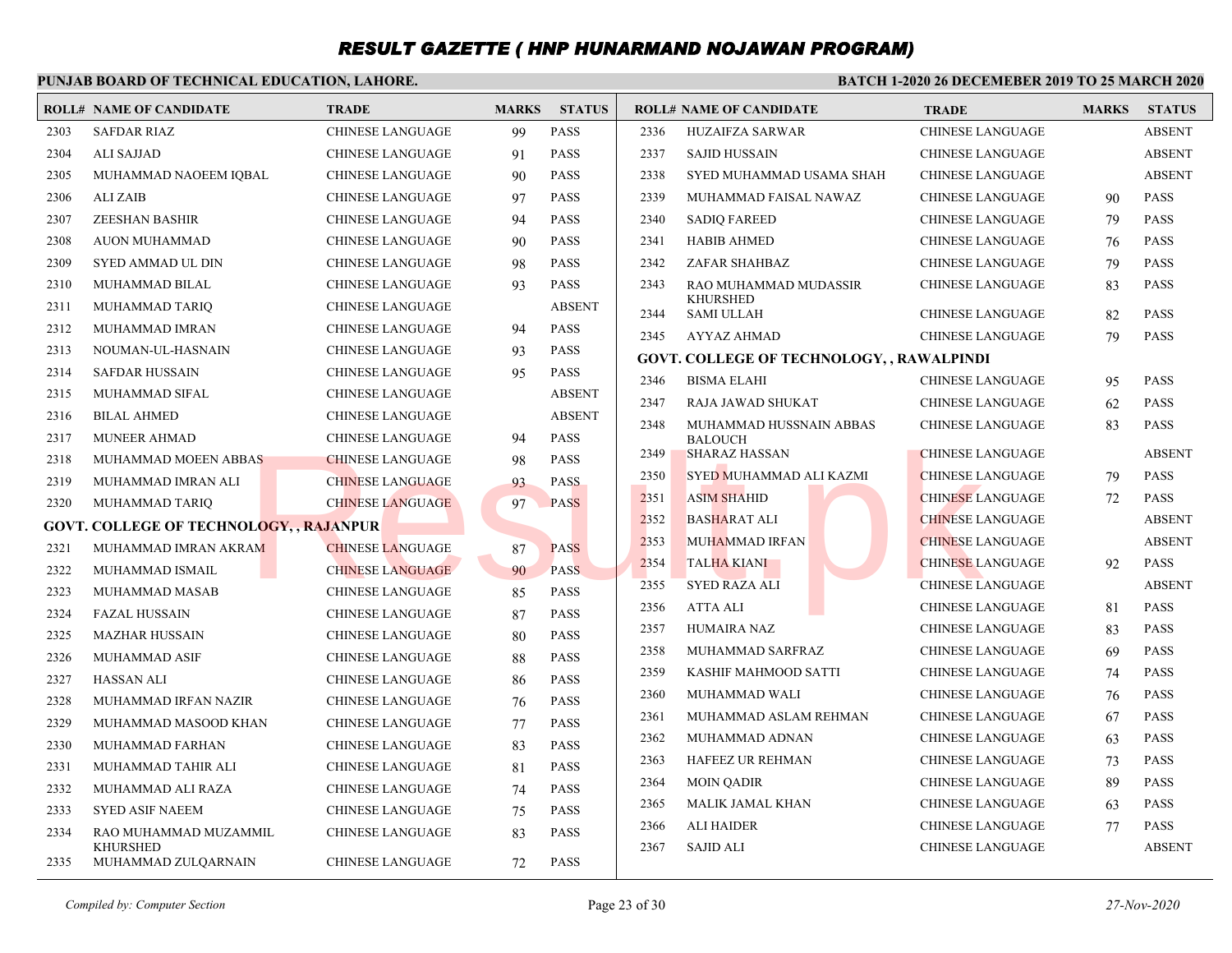## **PUNJAB BOARD OF TECHNICAL EDUCATION, LAHORE.**

|      | <b>ROLL# NAME OF CANDIDATE</b>                 | <b>TRADE</b>            | <b>MARKS</b> | <b>STATUS</b> |      | <b>ROLL# NAME OF CANDIDATE</b>                   | <b>TRADE</b>            | <b>MARKS</b> | <b>STATUS</b> |
|------|------------------------------------------------|-------------------------|--------------|---------------|------|--------------------------------------------------|-------------------------|--------------|---------------|
| 2303 | <b>SAFDAR RIAZ</b>                             | <b>CHINESE LANGUAGE</b> | 99           | <b>PASS</b>   | 2336 | <b>HUZAIFZA SARWAR</b>                           | <b>CHINESE LANGUAGE</b> |              | <b>ABSENT</b> |
| 2304 | <b>ALI SAJJAD</b>                              | <b>CHINESE LANGUAGE</b> | 91           | <b>PASS</b>   | 2337 | <b>SAJID HUSSAIN</b>                             | <b>CHINESE LANGUAGE</b> |              | <b>ABSENT</b> |
| 2305 | MUHAMMAD NAOEEM IQBAL                          | CHINESE LANGUAGE        | 90           | <b>PASS</b>   | 2338 | SYED MUHAMMAD USAMA SHAH                         | <b>CHINESE LANGUAGE</b> |              | <b>ABSENT</b> |
| 2306 | ALI ZAIB                                       | <b>CHINESE LANGUAGE</b> | 97           | <b>PASS</b>   | 2339 | MUHAMMAD FAISAL NAWAZ                            | CHINESE LANGUAGE        | 90           | <b>PASS</b>   |
| 2307 | ZEESHAN BASHIR                                 | <b>CHINESE LANGUAGE</b> | 94           | <b>PASS</b>   | 2340 | <b>SADIQ FAREED</b>                              | <b>CHINESE LANGUAGE</b> | 79           | <b>PASS</b>   |
| 2308 | <b>AUON MUHAMMAD</b>                           | CHINESE LANGUAGE        | 90           | <b>PASS</b>   | 2341 | <b>HABIB AHMED</b>                               | <b>CHINESE LANGUAGE</b> | 76           | <b>PASS</b>   |
| 2309 | SYED AMMAD UL DIN                              | <b>CHINESE LANGUAGE</b> | 98           | <b>PASS</b>   | 2342 | ZAFAR SHAHBAZ                                    | <b>CHINESE LANGUAGE</b> | 79           | <b>PASS</b>   |
| 2310 | MUHAMMAD BILAL                                 | <b>CHINESE LANGUAGE</b> | 93           | <b>PASS</b>   | 2343 | RAO MUHAMMAD MUDASSIR                            | <b>CHINESE LANGUAGE</b> | 83           | <b>PASS</b>   |
| 2311 | MUHAMMAD TARIQ                                 | CHINESE LANGUAGE        |              | <b>ABSENT</b> | 2344 | <b>KHURSHED</b><br><b>SAMI ULLAH</b>             | <b>CHINESE LANGUAGE</b> | 82           | <b>PASS</b>   |
| 2312 | MUHAMMAD IMRAN                                 | <b>CHINESE LANGUAGE</b> | 94           | <b>PASS</b>   | 2345 | AYYAZ AHMAD                                      | <b>CHINESE LANGUAGE</b> | 79           | <b>PASS</b>   |
| 2313 | NOUMAN-UL-HASNAIN                              | <b>CHINESE LANGUAGE</b> | 93           | <b>PASS</b>   |      | <b>GOVT. COLLEGE OF TECHNOLOGY, , RAWALPINDI</b> |                         |              |               |
| 2314 | <b>SAFDAR HUSSAIN</b>                          | <b>CHINESE LANGUAGE</b> | 95           | <b>PASS</b>   | 2346 | <b>BISMA ELAHI</b>                               | <b>CHINESE LANGUAGE</b> | 95           | <b>PASS</b>   |
| 2315 | MUHAMMAD SIFAL                                 | CHINESE LANGUAGE        |              | <b>ABSENT</b> | 2347 | RAJA JAWAD SHUKAT                                | <b>CHINESE LANGUAGE</b> | 62           | <b>PASS</b>   |
| 2316 | <b>BILAL AHMED</b>                             | <b>CHINESE LANGUAGE</b> |              | <b>ABSENT</b> | 2348 | MUHAMMAD HUSSNAIN ABBAS                          | <b>CHINESE LANGUAGE</b> | 83           | <b>PASS</b>   |
| 2317 | <b>MUNEER AHMAD</b>                            | CHINESE LANGUAGE        | 94           | <b>PASS</b>   |      | <b>BALOUCH</b>                                   |                         |              |               |
| 2318 | MUHAMMAD MOEEN ABBAS                           | <b>CHINESE LANGUAGE</b> | 98           | <b>PASS</b>   | 2349 | <b>SHARAZ HASSAN</b>                             | <b>CHINESE LANGUAGE</b> |              | <b>ABSENT</b> |
| 2319 | MUHAMMAD IMRAN ALI                             | <b>CHINESE LANGUAGE</b> | 93           | <b>PASS</b>   | 2350 | SYED MUHAMMAD ALI KAZMI                          | <b>CHINESE LANGUAGE</b> | 79           | <b>PASS</b>   |
| 2320 | MUHAMMAD TARIQ                                 | <b>CHINESE LANGUAGE</b> | 97           | <b>PASS</b>   | 2351 | <b>ASIM SHAHID</b>                               | <b>CHINESE LANGUAGE</b> | 72           | <b>PASS</b>   |
|      | <b>GOVT. COLLEGE OF TECHNOLOGY, , RAJANPUR</b> |                         |              |               | 2352 | <b>BASHARAT ALI</b>                              | <b>CHINESE LANGUAGE</b> |              | <b>ABSENT</b> |
| 2321 | MUHAMMAD IMRAN AKRAM                           | <b>CHINESE LANGUAGE</b> | 87           | <b>PASS</b>   | 2353 | <b>MUHAMMAD IRFAN</b>                            | <b>CHINESE LANGUAGE</b> |              | <b>ABSENT</b> |
| 2322 | MUHAMMAD ISMAIL                                | <b>CHINESE LANGUAGE</b> | 90           | <b>PASS</b>   | 2354 | <b>TALHA KIANI</b>                               | <b>CHINESE LANGUAGE</b> | 92           | <b>PASS</b>   |
| 2323 | MUHAMMAD MASAB                                 | <b>CHINESE LANGUAGE</b> | 85           | <b>PASS</b>   | 2355 | <b>SYED RAZA ALI</b>                             | <b>CHINESE LANGUAGE</b> |              | <b>ABSENT</b> |
| 2324 | <b>FAZAL HUSSAIN</b>                           | <b>CHINESE LANGUAGE</b> | 87           | <b>PASS</b>   | 2356 | ATTA ALI                                         | <b>CHINESE LANGUAGE</b> | 81           | <b>PASS</b>   |
| 2325 | <b>MAZHAR HUSSAIN</b>                          | <b>CHINESE LANGUAGE</b> | 80           | <b>PASS</b>   | 2357 | <b>HUMAIRA NAZ</b>                               | <b>CHINESE LANGUAGE</b> | 83           | <b>PASS</b>   |
| 2326 | MUHAMMAD ASIF                                  | <b>CHINESE LANGUAGE</b> | 88           | <b>PASS</b>   | 2358 | MUHAMMAD SARFRAZ                                 | <b>CHINESE LANGUAGE</b> | 69           | <b>PASS</b>   |
| 2327 | <b>HASSAN ALI</b>                              | <b>CHINESE LANGUAGE</b> | 86           | <b>PASS</b>   | 2359 | KASHIF MAHMOOD SATTI                             | <b>CHINESE LANGUAGE</b> | 74           | <b>PASS</b>   |
| 2328 | MUHAMMAD IRFAN NAZIR                           | <b>CHINESE LANGUAGE</b> | 76           | <b>PASS</b>   | 2360 | MUHAMMAD WALI                                    | <b>CHINESE LANGUAGE</b> | 76           | <b>PASS</b>   |
| 2329 | MUHAMMAD MASOOD KHAN                           | <b>CHINESE LANGUAGE</b> | 77           | <b>PASS</b>   | 2361 | MUHAMMAD ASLAM REHMAN                            | <b>CHINESE LANGUAGE</b> | 67           | <b>PASS</b>   |
| 2330 | MUHAMMAD FARHAN                                | <b>CHINESE LANGUAGE</b> | 83           | <b>PASS</b>   | 2362 | MUHAMMAD ADNAN                                   | <b>CHINESE LANGUAGE</b> | 63           | <b>PASS</b>   |
| 2331 | MUHAMMAD TAHIR ALI                             | <b>CHINESE LANGUAGE</b> | 81           | <b>PASS</b>   | 2363 | HAFEEZ UR REHMAN                                 | <b>CHINESE LANGUAGE</b> | 73           | <b>PASS</b>   |
| 2332 | MUHAMMAD ALI RAZA                              | <b>CHINESE LANGUAGE</b> | 74           | <b>PASS</b>   | 2364 | <b>MOIN QADIR</b>                                | <b>CHINESE LANGUAGE</b> | 89           | <b>PASS</b>   |
| 2333 | <b>SYED ASIF NAEEM</b>                         | <b>CHINESE LANGUAGE</b> | 75           | <b>PASS</b>   | 2365 | <b>MALIK JAMAL KHAN</b>                          | <b>CHINESE LANGUAGE</b> | 63           | <b>PASS</b>   |
| 2334 | RAO MUHAMMAD MUZAMMIL                          | <b>CHINESE LANGUAGE</b> | 83           | <b>PASS</b>   | 2366 | <b>ALI HAIDER</b>                                | <b>CHINESE LANGUAGE</b> | 77           | <b>PASS</b>   |
| 2335 | <b>KHURSHED</b><br>MUHAMMAD ZULOARNAIN         | <b>CHINESE LANGUAGE</b> | 72           | <b>PASS</b>   | 2367 | <b>SAJID ALI</b>                                 | <b>CHINESE LANGUAGE</b> |              | <b>ABSENT</b> |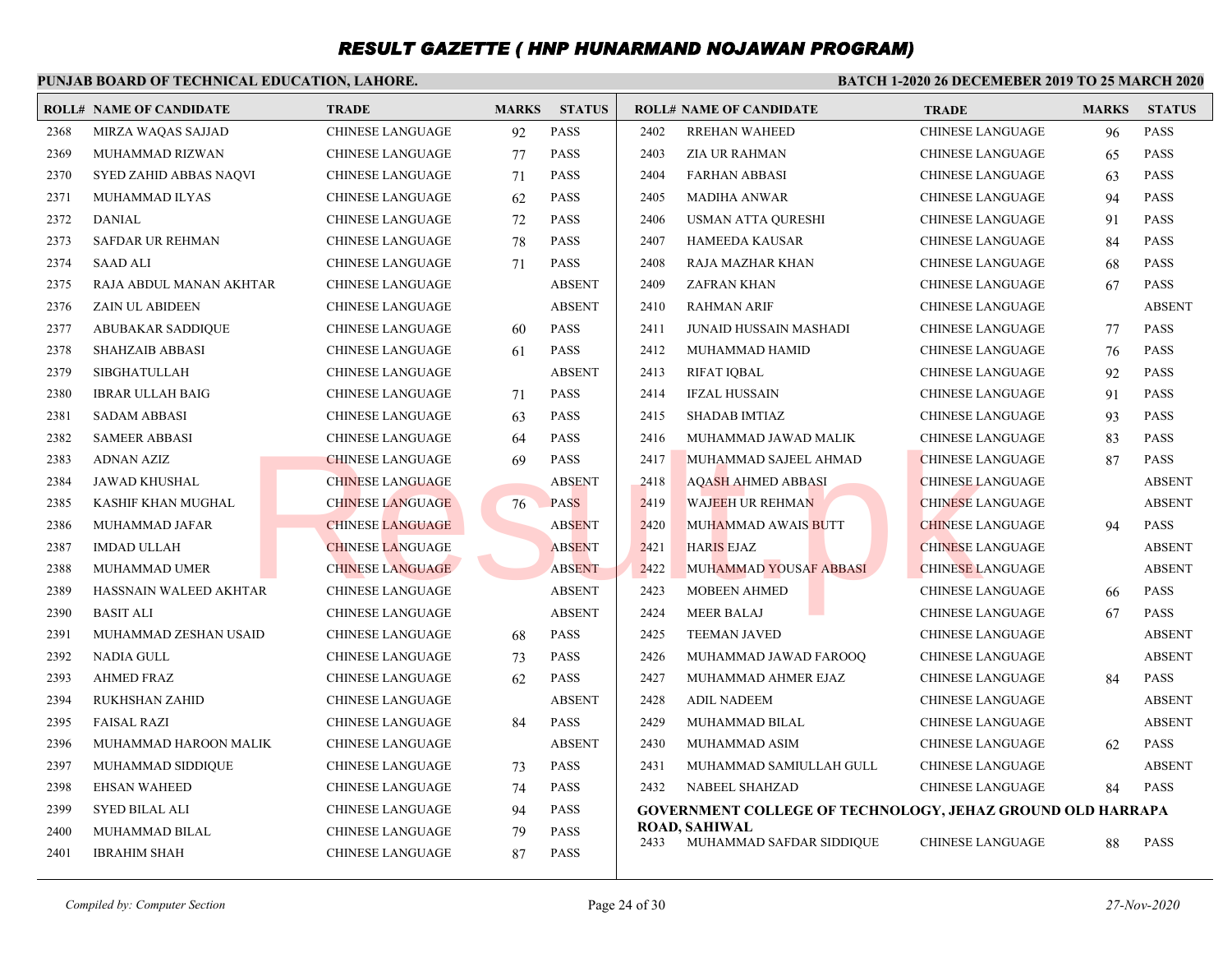#### **PUNJAB BOARD OF TECHNICAL EDUCATION, LAHORE. BATCH 1-2020 26 DECEMEBER 2019 TO 25 MARCH 2020 ROLL# NAME OF CANDIDATE TRADE MARKS STATUS ROLL# NAME OF CANDIDATE TRADE MARKS STATUS** 2368 MIRZA WAQAS SAJJAD CHINESE LANGUAGE 92 PASS 2369 MUHAMMAD RIZWAN CHINESE LANGUAGE 77 PASS 2370 SYED ZAHID ABBAS NAQVI CHINESE LANGUAGE 71 PASS 2371 MUHAMMAD ILYAS CHINESE LANGUAGE 62 PASS 2372 DANIAL CHINESE LANGUAGE 72 PASS 2373 SAFDAR UR REHMAN CHINESE LANGUAGE 78 PASS 2374 SAAD ALI CHINESE LANGUAGE 71 PASS 2375 RAJA ABDUL MANAN AKHTAR CHINESE LANGUAGE ABSENT 2376 ZAIN UL ABIDEEN CHINESE LANGUAGE ABSENT 2377 ABUBAKAR SADDIQUE CHINESE LANGUAGE 60 PASS 2378 SHAHZAIB ABBASI CHINESE LANGUAGE 61 PASS 2379 SIBGHATULLAH CHINESE LANGUAGE ABSENT 2380 IBRAR ULLAH BAIG CHINESE LANGUAGE 71 PASS 2381 SADAM ABBASI CHINESE LANGUAGE 63 PASS 2382 SAMEER ABBASI CHINESE LANGUAGE 64 PASS 2383 ADNAN AZIZ CHINESE LANGUAGE 69 PASS 2384 JAWAD KHUSHAL CHINESE LANGUAGE ABSENT 2385 KASHIF KHAN MUGHAL CHINESE LANGUAGE 76 PASS 2386 MUHAMMAD JAFAR CHINESE LANGUAGE ABSENT 2387 IMDAD ULLAH CHINESE LANGUAGE ABSENT 2388 MUHAMMAD UMER CHINESE LANGUAGE ABSENT 2389 HASSNAIN WALEED AKHTAR CHINESE LANGUAGE ABSENT 2390 BASIT ALI CHINESE LANGUAGE ABSENT 2391 MUHAMMAD ZESHAN USAID CHINESE LANGUAGE 68 PASS 2392 NADIA GULL CHINESE LANGUAGE 73 PASS 2393 AHMED FRAZ CHINESE LANGUAGE 62 PASS 2394 RUKHSHAN ZAHID CHINESE LANGUAGE ABSENT 2395 FAISAL RAZI CHINESE LANGUAGE 84 PASS 2396 MUHAMMAD HAROON MALIK CHINESE LANGUAGE ABSENT 2397 MUHAMMAD SIDDIQUE CHINESE LANGUAGE 73 PASS 2398 EHSAN WAHEED CHINESE LANGUAGE 74 PASS 2399 SYED BILAL ALI CHINESE LANGUAGE 94 PASS 2400 MUHAMMAD BILAL CHINESE LANGUAGE 79 PASS 2402 RREHAN WAHEED CHINESE LANGUAGE 96 PASS 2403 ZIA UR RAHMAN CHINESE LANGUAGE 65 PASS 2404 FARHAN ABBASI CHINESE LANGUAGE 63 PASS 2405 MADIHA ANWAR CHINESE LANGUAGE 94 PASS 2406 USMAN ATTA QURESHI CHINESE LANGUAGE 91 PASS 2407 HAMEEDA KAUSAR CHINESE LANGUAGE 84 PASS 2408 RAJA MAZHAR KHAN CHINESE LANGUAGE 68 PASS 2409 ZAFRAN KHAN CHINESE LANGUAGE 67 PASS 2410 RAHMAN ARIF CHINESE LANGUAGE ABSENT 2411 JUNAID HUSSAIN MASHADI CHINESE LANGUAGE 77 PASS 2412 MUHAMMAD HAMID CHINESE LANGUAGE 76 PASS 2413 RIFAT IQBAL CHINESE LANGUAGE 92 PASS 2414 IFZAL HUSSAIN CHINESE LANGUAGE 91 PASS 2415 SHADAB IMTIAZ CHINESE LANGUAGE 93 PASS 2416 MUHAMMAD JAWAD MALIK CHINESE LANGUAGE 83 PASS 2417 MUHAMMAD SAJEEL AHMAD CHINESE LANGUAGE 87 PASS 2418 AQASH AHMED ABBASI CHINESE LANGUAGE ABSENT 2419 WAJEEH UR REHMAN CHINESE LANGUAGE ABSENT 2420 MUHAMMAD AWAIS BUTT CHINESE LANGUAGE 94 PASS 2421 HARIS EJAZ CHINESE LANGUAGE ABSENT 2422 MUHAMMAD YOUSAF ABBASI CHINESE LANGUAGE ABSENT 2423 MOBEEN AHMED CHINESE LANGUAGE 66 PASS 2424 MEER BALAJ CHINESE LANGUAGE 67 PASS 2425 TEEMAN JAVED CHINESE LANGUAGE ABSENT 2426 MUHAMMAD JAWAD FAROOQ CHINESE LANGUAGE ABSENT 2427 MUHAMMAD AHMER EJAZ CHINESE LANGUAGE 84 PASS 2428 ADIL NADEEM CHINESE LANGUAGE ABSENT 2429 MUHAMMAD BILAL CHINESE LANGUAGE ABSENT 2430 MUHAMMAD ASIM CHINESE LANGUAGE 62 PASS 2431 MUHAMMAD SAMIULLAH GULL CHINESE LANGUAGE ABSENT 2432 NABEEL SHAHZAD CHINESE LANGUAGE 84 PASS **GOVERNMENT COLLEGE OF TECHNOLOGY, JEHAZ GROUND OLD HARRAPA ROAD, SAHIWAL** CHINESE LANGUAGE<br>
CHINESE LANGUAGE (ABSENT CHINESE LANGUAGE ABSENT CHINESE LANGUAGE CHINESE LANGUAGE ABSENT CHINESE LANGUAGE ABSENT CHINESE LANGUAGE CHINESE LANGUAGE ABSENT CHINESE LANGUAGE ABSENT CHINESE LANGUAGE CHINESE

2401 IBRAHIM SHAH CHINESE LANGUAGE 87 PASS

2433 MUHAMMAD SAFDAR SIDDIQUE CHINESE LANGUAGE 88 PASS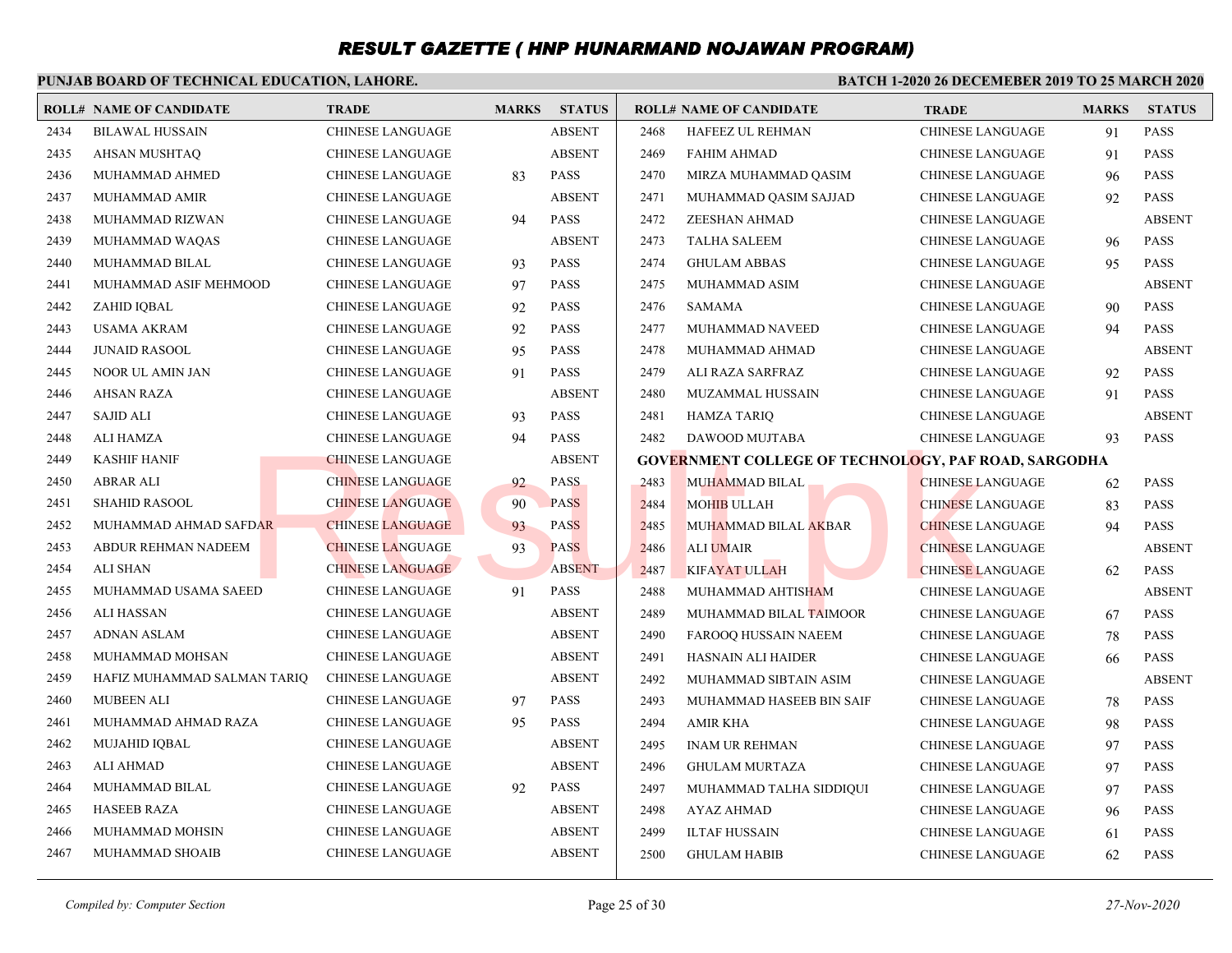#### **PUNJAB BOARD OF TECHNICAL EDUCATION, LAHORE. BATCH 1-2020 26 DECEMEBER 2019 TO 25 MARCH 2020 ROLL# NAME OF CANDIDATE TRADE MARKS STATUS ROLL# NAME OF CANDIDATE TRADE MARKS STATUS** 2434 BILAWAL HUSSAIN CHINESE LANGUAGE ABSENT 2435 AHSAN MUSHTAQ CHINESE LANGUAGE ABSENT 2436 MUHAMMAD AHMED CHINESE LANGUAGE 83 PASS 2437 MUHAMMAD AMIR CHINESE LANGUAGE ABSENT 2438 MUHAMMAD RIZWAN CHINESE LANGUAGE 94 PASS 2439 MUHAMMAD WAQAS CHINESE LANGUAGE ABSENT 2440 MUHAMMAD BILAL CHINESE LANGUAGE 93 PASS 2441 MUHAMMAD ASIF MEHMOOD CHINESE LANGUAGE 97 PASS 2442 ZAHID IQBAL CHINESE LANGUAGE 92 PASS 2443 USAMA AKRAM CHINESE LANGUAGE 92 PASS 2444 JUNAID RASOOL CHINESE LANGUAGE 95 PASS 2445 NOOR UL AMIN JAN CHINESE LANGUAGE 91 PASS 2446 AHSAN RAZA CHINESE LANGUAGE ABSENT 2447 SAJID ALI CHINESE LANGUAGE 93 PASS 2448 ALI HAMZA CHINESE LANGUAGE 94 PASS 2449 KASHIF HANIF CHINESE LANGUAGE ABSENT 2450 ABRAR ALI CHINESE LANGUAGE 92 PASS 2451 SHAHID RASOOL CHINESE LANGUAGE 90 PASS 2452 MUHAMMAD AHMAD SAFDAR CHINESE LANGUAGE 93 PASS 2453 ABDUR REHMAN NADEEM CHINESE LANGUAGE 93 PASS 2454 ALI SHAN CHINESE LANGUAGE ABSENT 2455 MUHAMMAD USAMA SAEED CHINESE LANGUAGE 91 PASS 2456 ALI HASSAN CHINESE LANGUAGE ABSENT 2457 ADNAN ASLAM CHINESE LANGUAGE ABSENT 2458 MUHAMMAD MOHSAN CHINESE LANGUAGE ABSENT 2459 HAFIZ MUHAMMAD SALMAN TARIQ CHINESE LANGUAGE ABSENT 2460 MUBEEN ALI CHINESE LANGUAGE 97 PASS 2461 MUHAMMAD AHMAD RAZA CHINESE LANGUAGE 95 PASS 2462 MUJAHID IQBAL CHINESE LANGUAGE ABSENT 2463 ALI AHMAD CHINESE LANGUAGE ABSENT 2464 MUHAMMAD BILAL CHINESE LANGUAGE 92 PASS 2465 HASEEB RAZA CHINESE LANGUAGE ABSENT 2466 MUHAMMAD MOHSIN CHINESE LANGUAGE ABSENT 2467 MUHAMMAD SHOAIB CHINESE LANGUAGE ABSENT 2468 HAFEEZ UL REHMAN CHINESE LANGUAGE 91 PASS 2469 FAHIM AHMAD CHINESE LANGUAGE 91 PASS 2470 MIRZA MUHAMMAD QASIM CHINESE LANGUAGE 96 PASS 2471 MUHAMMAD QASIM SAJJAD CHINESE LANGUAGE 92 PASS 2472 ZEESHAN AHMAD CHINESE LANGUAGE ABSENT 2473 TALHA SALEEM CHINESE LANGUAGE 96 PASS 2474 GHULAM ABBAS CHINESE LANGUAGE 95 PASS 2475 MUHAMMAD ASIM CHINESE LANGUAGE ABSENT 2476 SAMAMA CHINESE LANGUAGE 90 PASS 2477 MUHAMMAD NAVEED CHINESE LANGUAGE 94 PASS 2478 MUHAMMAD AHMAD CHINESE LANGUAGE ABSENT 2479 ALI RAZA SARFRAZ CHINESE LANGUAGE 92 PASS 2480 MUZAMMAL HUSSAIN CHINESE LANGUAGE 91 PASS 2481 HAMZA TARIQ CHINESE LANGUAGE ABSENT 2482 DAWOOD MUJTABA CHINESE LANGUAGE 93 PASS **GOVERNMENT COLLEGE OF TECHNOLOGY, PAF ROAD, SARGODHA** 2483 MUHAMMAD BILAL CHINESE LANGUAGE 62 PASS 2484 MOHIB ULLAH CHINESE LANGUAGE 83 PASS 2485 MUHAMMAD BILAL AKBAR CHINESE LANGUAGE 94 PASS 2486 ALI UMAIR CHINESE LANGUAGE ABSENT 2487 KIFAYAT ULLAH CHINESE LANGUAGE 62 PASS 2488 MUHAMMAD AHTISHAM CHINESE LANGUAGE ABSENT 2489 MUHAMMAD BILAL TAIMOOR CHINESE LANGUAGE 67 PASS 2490 FAROOQ HUSSAIN NAEEM CHINESE LANGUAGE 78 PASS 2491 HASNAIN ALI HAIDER CHINESE LANGUAGE 66 PASS 2492 MUHAMMAD SIBTAIN ASIM CHINESE LANGUAGE ABSENT 2493 MUHAMMAD HASEEB BIN SAIF CHINESE LANGUAGE 78 PASS 2494 AMIR KHA CHINESE LANGUAGE 98 PASS 2495 INAM UR REHMAN CHINESE LANGUAGE 97 PASS 2496 GHULAM MURTAZA CHINESE LANGUAGE 97 PASS 2497 MUHAMMAD TALHA SIDDIQUI CHINESE LANGUAGE 97 PASS 2498 AYAZ AHMAD CHINESE LANGUAGE 96 PASS 2499 ILTAF HUSSAIN CHINESE LANGUAGE 61 PASS 2500 GHULAM HABIB CHINESE LANGUAGE 62 PASS CHINESE LANGUAGE (POWERNMENT COLLEGE OF TECHNOLOGY, PAF F<br>
CHINESE LANGUAGE 92 PASS<br>
CHINESE LANGUAGE 93 PASS<br>
CHINESE LANGUAGE 93 PASS<br>
CHINESE LANGUAGE 93 PASS<br>
CHINESE LANGUAGE 93 PASS<br>
CHINESE LANGUAGE 93 PASS<br>
CHINESE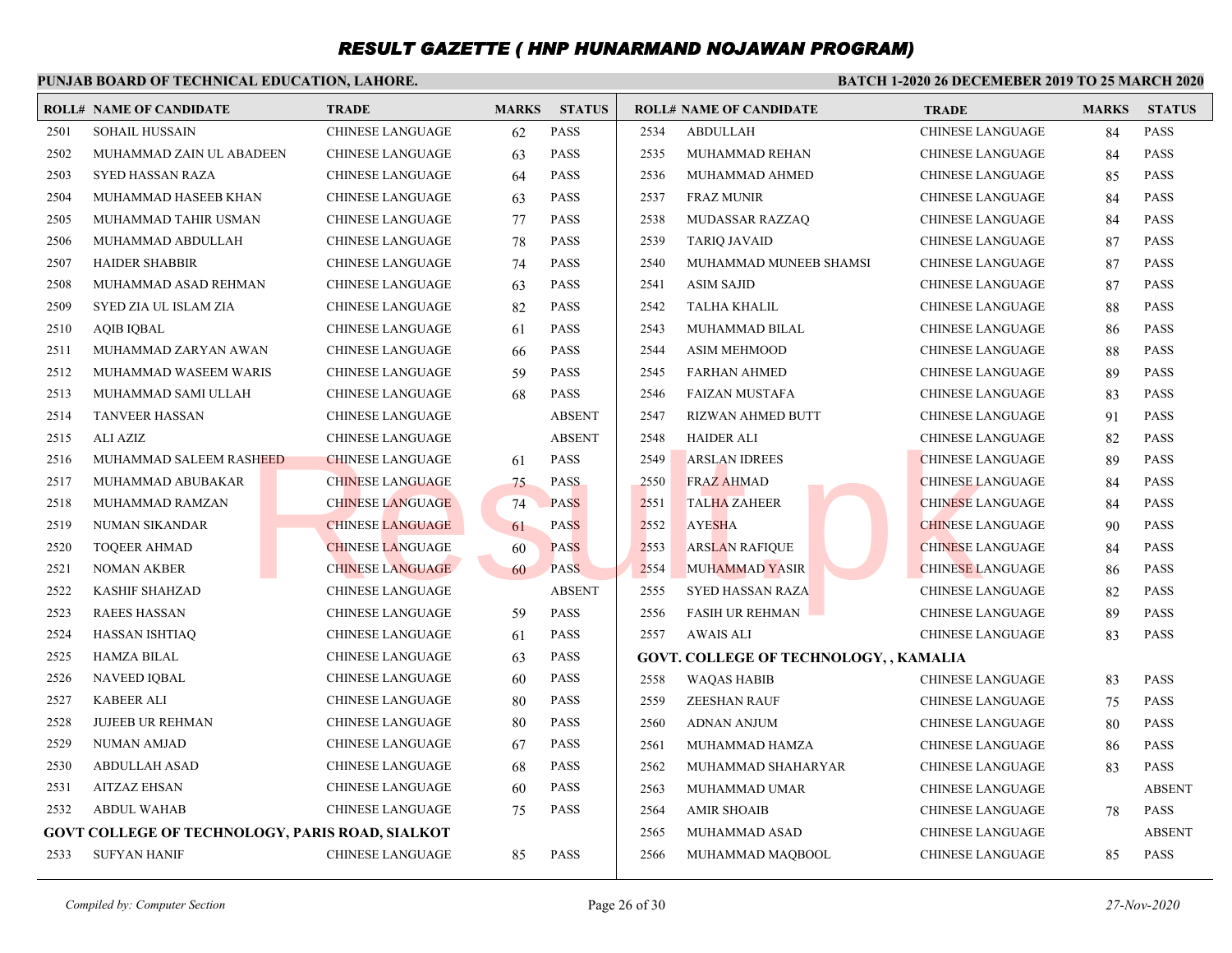## **PUNJAB BOARD OF TECHNICAL EDUCATION, LAHORE.**

|      | <b>ROLL# NAME OF CANDIDATE</b>                         | <b>TRADE</b>            | <b>MARKS</b> | <b>STATUS</b> |      | <b>ROLL# NAME OF CANDIDATE</b>         | <b>TRADE</b>            | <b>MARKS</b> | <b>STATUS</b> |
|------|--------------------------------------------------------|-------------------------|--------------|---------------|------|----------------------------------------|-------------------------|--------------|---------------|
| 2501 | <b>SOHAIL HUSSAIN</b>                                  | CHINESE LANGUAGE        | 62           | <b>PASS</b>   | 2534 | <b>ABDULLAH</b>                        | CHINESE LANGUAGE        | 84           | <b>PASS</b>   |
| 2502 | MUHAMMAD ZAIN UL ABADEEN                               | <b>CHINESE LANGUAGE</b> | 63           | <b>PASS</b>   | 2535 | MUHAMMAD REHAN                         | <b>CHINESE LANGUAGE</b> | 84           | <b>PASS</b>   |
| 2503 | SYED HASSAN RAZA                                       | <b>CHINESE LANGUAGE</b> | 64           | <b>PASS</b>   | 2536 | MUHAMMAD AHMED                         | <b>CHINESE LANGUAGE</b> | 85           | <b>PASS</b>   |
| 2504 | MUHAMMAD HASEEB KHAN                                   | <b>CHINESE LANGUAGE</b> | 63           | <b>PASS</b>   | 2537 | <b>FRAZ MUNIR</b>                      | <b>CHINESE LANGUAGE</b> | 84           | <b>PASS</b>   |
| 2505 | MUHAMMAD TAHIR USMAN                                   | <b>CHINESE LANGUAGE</b> | 77           | <b>PASS</b>   | 2538 | MUDASSAR RAZZAQ                        | <b>CHINESE LANGUAGE</b> | 84           | <b>PASS</b>   |
| 2506 | MUHAMMAD ABDULLAH                                      | <b>CHINESE LANGUAGE</b> | 78           | <b>PASS</b>   | 2539 | <b>TARIQ JAVAID</b>                    | <b>CHINESE LANGUAGE</b> | 87           | <b>PASS</b>   |
| 2507 | <b>HAIDER SHABBIR</b>                                  | CHINESE LANGUAGE        | 74           | <b>PASS</b>   | 2540 | MUHAMMAD MUNEEB SHAMSI                 | <b>CHINESE LANGUAGE</b> | 87           | <b>PASS</b>   |
| 2508 | MUHAMMAD ASAD REHMAN                                   | <b>CHINESE LANGUAGE</b> | 63           | <b>PASS</b>   | 2541 | <b>ASIM SAJID</b>                      | <b>CHINESE LANGUAGE</b> | 87           | PASS          |
| 2509 | SYED ZIA UL ISLAM ZIA                                  | <b>CHINESE LANGUAGE</b> | 82           | <b>PASS</b>   | 2542 | TALHA KHALIL                           | <b>CHINESE LANGUAGE</b> | 88           | PASS          |
| 2510 | AQIB IQBAL                                             | <b>CHINESE LANGUAGE</b> | 61           | <b>PASS</b>   | 2543 | MUHAMMAD BILAL                         | <b>CHINESE LANGUAGE</b> | 86           | <b>PASS</b>   |
| 2511 | MUHAMMAD ZARYAN AWAN                                   | <b>CHINESE LANGUAGE</b> | 66           | <b>PASS</b>   | 2544 | <b>ASIM MEHMOOD</b>                    | <b>CHINESE LANGUAGE</b> | 88           | <b>PASS</b>   |
| 2512 | MUHAMMAD WASEEM WARIS                                  | <b>CHINESE LANGUAGE</b> | 59           | <b>PASS</b>   | 2545 | <b>FARHAN AHMED</b>                    | <b>CHINESE LANGUAGE</b> | 89           | <b>PASS</b>   |
| 2513 | MUHAMMAD SAMI ULLAH                                    | <b>CHINESE LANGUAGE</b> | 68           | <b>PASS</b>   | 2546 | <b>FAIZAN MUSTAFA</b>                  | <b>CHINESE LANGUAGE</b> | 83           | <b>PASS</b>   |
| 2514 | <b>TANVEER HASSAN</b>                                  | <b>CHINESE LANGUAGE</b> |              | <b>ABSENT</b> | 2547 | RIZWAN AHMED BUTT                      | <b>CHINESE LANGUAGE</b> | 91           | <b>PASS</b>   |
| 2515 | <b>ALI AZIZ</b>                                        | <b>CHINESE LANGUAGE</b> |              | <b>ABSENT</b> | 2548 | <b>HAIDER ALI</b>                      | <b>CHINESE LANGUAGE</b> | 82           | <b>PASS</b>   |
| 2516 | MUHAMMAD SALEEM RASHEED                                | <b>CHINESE LANGUAGE</b> | 61           | <b>PASS</b>   | 2549 | <b>ARSLAN IDREES</b>                   | <b>CHINESE LANGUAGE</b> | 89           | <b>PASS</b>   |
| 2517 | MUHAMMAD ABUBAKAR                                      | <b>CHINESE LANGUAGE</b> | 75           | <b>PASS</b>   | 2550 | <b>FRAZ AHMAD</b>                      | <b>CHINESE LANGUAGE</b> | 84           | <b>PASS</b>   |
| 2518 | MUHAMMAD RAMZAN                                        | <b>CHINESE LANGUAGE</b> | 74           | <b>PASS</b>   | 2551 | <b>TALHA ZAHEER</b>                    | <b>CHINESE LANGUAGE</b> | 84           | <b>PASS</b>   |
| 2519 | NUMAN SIKANDAR                                         | <b>CHINESE LANGUAGE</b> | 61           | <b>PASS</b>   | 2552 | <b>AYESHA</b>                          | <b>CHINESE LANGUAGE</b> | 90           | <b>PASS</b>   |
| 2520 | <b>TOQEER AHMAD</b>                                    | <b>CHINESE LANGUAGE</b> | 60           | <b>PASS</b>   | 2553 | <b>ARSLAN RAFIQUE</b>                  | <b>CHINESE LANGUAGE</b> | 84           | PASS          |
| 2521 | <b>NOMAN AKBER</b>                                     | <b>CHINESE LANGUAGE</b> | 60           | <b>PASS</b>   | 2554 | <b>MUHAMMAD YASIR</b>                  | <b>CHINESE LANGUAGE</b> | 86           | <b>PASS</b>   |
| 2522 | <b>KASHIF SHAHZAD</b>                                  | CHINESE LANGUAGE        |              | <b>ABSENT</b> | 2555 | <b>SYED HASSAN RAZA</b>                | <b>CHINESE LANGUAGE</b> | 82           | PASS          |
| 2523 | <b>RAEES HASSAN</b>                                    | <b>CHINESE LANGUAGE</b> | 59           | <b>PASS</b>   | 2556 | <b>FASIH UR REHMAN</b>                 | <b>CHINESE LANGUAGE</b> | 89           | <b>PASS</b>   |
| 2524 | HASSAN ISHTIAQ                                         | <b>CHINESE LANGUAGE</b> | 61           | <b>PASS</b>   | 2557 | AWAIS ALI                              | <b>CHINESE LANGUAGE</b> | 83           | <b>PASS</b>   |
| 2525 | <b>HAMZA BILAL</b>                                     | <b>CHINESE LANGUAGE</b> | 63           | <b>PASS</b>   |      | GOVT. COLLEGE OF TECHNOLOGY, , KAMALIA |                         |              |               |
| 2526 | <b>NAVEED IQBAL</b>                                    | <b>CHINESE LANGUAGE</b> | 60           | <b>PASS</b>   | 2558 | <b>WAQAS HABIB</b>                     | <b>CHINESE LANGUAGE</b> | 83           | <b>PASS</b>   |
| 2527 | <b>KABEER ALI</b>                                      | <b>CHINESE LANGUAGE</b> | 80           | <b>PASS</b>   | 2559 | <b>ZEESHAN RAUF</b>                    | <b>CHINESE LANGUAGE</b> | 75           | <b>PASS</b>   |
| 2528 | <b>JUJEEB UR REHMAN</b>                                | CHINESE LANGUAGE        | 80           | <b>PASS</b>   | 2560 | <b>ADNAN ANJUM</b>                     | <b>CHINESE LANGUAGE</b> | 80           | <b>PASS</b>   |
| 2529 | NUMAN AMJAD                                            | <b>CHINESE LANGUAGE</b> | 67           | <b>PASS</b>   | 2561 | MUHAMMAD HAMZA                         | <b>CHINESE LANGUAGE</b> | 86           | <b>PASS</b>   |
| 2530 | <b>ABDULLAH ASAD</b>                                   | <b>CHINESE LANGUAGE</b> | 68           | <b>PASS</b>   | 2562 | MUHAMMAD SHAHARYAR                     | <b>CHINESE LANGUAGE</b> | 83           | <b>PASS</b>   |
| 2531 | <b>AITZAZ EHSAN</b>                                    | CHINESE LANGUAGE        | 60           | <b>PASS</b>   | 2563 | MUHAMMAD UMAR                          | <b>CHINESE LANGUAGE</b> |              | <b>ABSENT</b> |
| 2532 | <b>ABDUL WAHAB</b>                                     | <b>CHINESE LANGUAGE</b> | 75           | <b>PASS</b>   | 2564 | <b>AMIR SHOAIB</b>                     | <b>CHINESE LANGUAGE</b> | 78           | <b>PASS</b>   |
|      | <b>GOVT COLLEGE OF TECHNOLOGY, PARIS ROAD, SIALKOT</b> |                         |              |               | 2565 | MUHAMMAD ASAD                          | <b>CHINESE LANGUAGE</b> |              | <b>ABSENT</b> |
| 2533 | <b>SUFYAN HANIF</b>                                    | <b>CHINESE LANGUAGE</b> | 85           | <b>PASS</b>   | 2566 | MUHAMMAD MAQBOOL                       | <b>CHINESE LANGUAGE</b> | 85           | <b>PASS</b>   |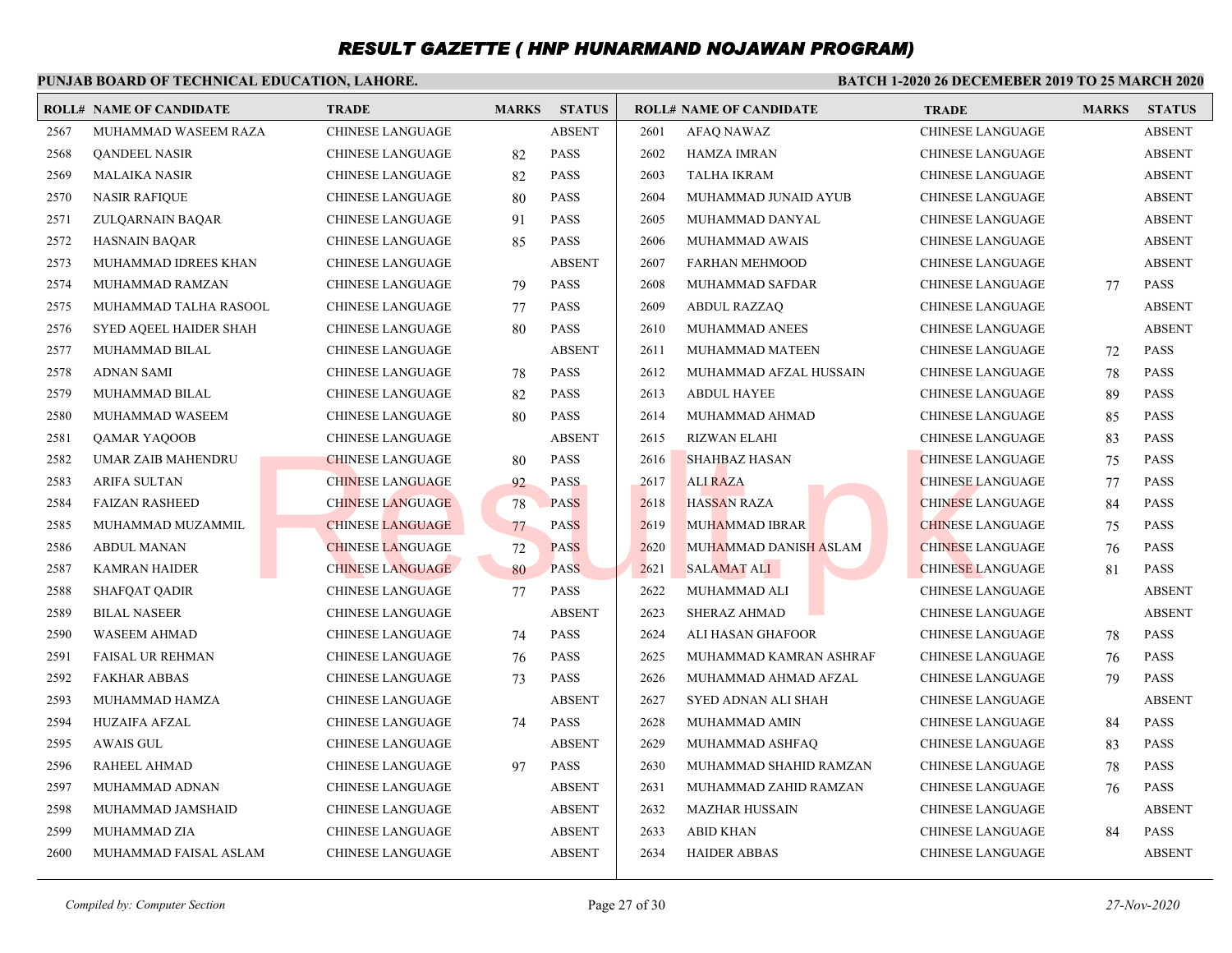## **PUNJAB BOARD OF TECHNICAL EDUCATION, LAHORE.**

|      | <b>ROLL# NAME OF CANDIDATE</b> | <b>TRADE</b>            | <b>MARKS</b> | <b>STATUS</b> |      | <b>ROLL# NAME OF CANDIDATE</b> | <b>TRADE</b>            | <b>MARKS</b> | <b>STATUS</b> |
|------|--------------------------------|-------------------------|--------------|---------------|------|--------------------------------|-------------------------|--------------|---------------|
| 2567 | MUHAMMAD WASEEM RAZA           | <b>CHINESE LANGUAGE</b> |              | <b>ABSENT</b> | 2601 | <b>AFAO NAWAZ</b>              | <b>CHINESE LANGUAGE</b> |              | <b>ABSENT</b> |
| 2568 | <b>QANDEEL NASIR</b>           | <b>CHINESE LANGUAGE</b> | 82           | <b>PASS</b>   | 2602 | <b>HAMZA IMRAN</b>             | <b>CHINESE LANGUAGE</b> |              | <b>ABSENT</b> |
| 2569 | <b>MALAIKA NASIR</b>           | <b>CHINESE LANGUAGE</b> | 82           | <b>PASS</b>   | 2603 | TALHA IKRAM                    | <b>CHINESE LANGUAGE</b> |              | <b>ABSENT</b> |
| 2570 | <b>NASIR RAFIQUE</b>           | CHINESE LANGUAGE        | 80           | <b>PASS</b>   | 2604 | MUHAMMAD JUNAID AYUB           | <b>CHINESE LANGUAGE</b> |              | <b>ABSENT</b> |
| 2571 | <b>ZULQARNAIN BAQAR</b>        | CHINESE LANGUAGE        | 91           | <b>PASS</b>   | 2605 | MUHAMMAD DANYAL                | <b>CHINESE LANGUAGE</b> |              | <b>ABSENT</b> |
| 2572 | <b>HASNAIN BAQAR</b>           | CHINESE LANGUAGE        | 85           | <b>PASS</b>   | 2606 | MUHAMMAD AWAIS                 | <b>CHINESE LANGUAGE</b> |              | <b>ABSENT</b> |
| 2573 | MUHAMMAD IDREES KHAN           | CHINESE LANGUAGE        |              | <b>ABSENT</b> | 2607 | <b>FARHAN MEHMOOD</b>          | <b>CHINESE LANGUAGE</b> |              | <b>ABSENT</b> |
| 2574 | MUHAMMAD RAMZAN                | <b>CHINESE LANGUAGE</b> | 79           | <b>PASS</b>   | 2608 | MUHAMMAD SAFDAR                | <b>CHINESE LANGUAGE</b> | 77           | <b>PASS</b>   |
| 2575 | MUHAMMAD TALHA RASOOL          | <b>CHINESE LANGUAGE</b> | 77           | <b>PASS</b>   | 2609 | <b>ABDUL RAZZAQ</b>            | <b>CHINESE LANGUAGE</b> |              | <b>ABSENT</b> |
| 2576 | <b>SYED AQEEL HAIDER SHAH</b>  | CHINESE LANGUAGE        | 80           | <b>PASS</b>   | 2610 | MUHAMMAD ANEES                 | <b>CHINESE LANGUAGE</b> |              | <b>ABSENT</b> |
| 2577 | MUHAMMAD BILAL                 | <b>CHINESE LANGUAGE</b> |              | <b>ABSENT</b> | 2611 | MUHAMMAD MATEEN                | <b>CHINESE LANGUAGE</b> | 72           | <b>PASS</b>   |
| 2578 | ADNAN SAMI                     | CHINESE LANGUAGE        | 78           | <b>PASS</b>   | 2612 | MUHAMMAD AFZAL HUSSAIN         | <b>CHINESE LANGUAGE</b> | 78           | PASS          |
| 2579 | MUHAMMAD BILAL                 | CHINESE LANGUAGE        | 82           | <b>PASS</b>   | 2613 | <b>ABDUL HAYEE</b>             | <b>CHINESE LANGUAGE</b> | 89           | <b>PASS</b>   |
| 2580 | MUHAMMAD WASEEM                | CHINESE LANGUAGE        | 80           | <b>PASS</b>   | 2614 | MUHAMMAD AHMAD                 | <b>CHINESE LANGUAGE</b> | 85           | <b>PASS</b>   |
| 2581 | QAMAR YAQOOB                   | CHINESE LANGUAGE        |              | <b>ABSENT</b> | 2615 | <b>RIZWAN ELAHI</b>            | <b>CHINESE LANGUAGE</b> | 83           | <b>PASS</b>   |
| 2582 | UMAR ZAIB MAHENDRU             | <b>CHINESE LANGUAGE</b> | 80           | <b>PASS</b>   | 2616 | <b>SHAHBAZ HASAN</b>           | <b>CHINESE LANGUAGE</b> | 75           | <b>PASS</b>   |
| 2583 | <b>ARIFA SULTAN</b>            | <b>CHINESE LANGUAGE</b> | 92           | <b>PASS</b>   | 2617 | <b>ALI RAZA</b>                | <b>CHINESE LANGUAGE</b> | 77           | <b>PASS</b>   |
| 2584 | <b>FAIZAN RASHEED</b>          | <b>CHINESE LANGUAGE</b> | 78           | <b>PASS</b>   | 2618 | <b>HASSAN RAZA</b>             | <b>CHINESE LANGUAGE</b> | 84           | <b>PASS</b>   |
| 2585 | MUHAMMAD MUZAMMIL              | <b>CHINESE LANGUAGE</b> | 77           | <b>PASS</b>   | 2619 | <b>MUHAMMAD IBRAR</b>          | <b>CHINESE LANGUAGE</b> | 75           | <b>PASS</b>   |
| 2586 | <b>ABDUL MANAN</b>             | <b>CHINESE LANGUAGE</b> | 72           | <b>PASS</b>   | 2620 | MUHAMMAD DANISH ASLAM          | <b>CHINESE LANGUAGE</b> | 76           | <b>PASS</b>   |
| 2587 | <b>KAMRAN HAIDER</b>           | <b>CHINESE LANGUAGE</b> | 80           | <b>PASS</b>   | 2621 | <b>SALAMAT ALI</b>             | <b>CHINESE LANGUAGE</b> | 81           | <b>PASS</b>   |
| 2588 | <b>SHAFQAT QADIR</b>           | CHINESE LANGUAGE        | 77           | <b>PASS</b>   | 2622 | MUHAMMAD ALI                   | <b>CHINESE LANGUAGE</b> |              | <b>ABSENT</b> |
| 2589 | <b>BILAL NASEER</b>            | <b>CHINESE LANGUAGE</b> |              | <b>ABSENT</b> | 2623 | <b>SHERAZ AHMAD</b>            | <b>CHINESE LANGUAGE</b> |              | <b>ABSENT</b> |
| 2590 | <b>WASEEM AHMAD</b>            | CHINESE LANGUAGE        | 74           | <b>PASS</b>   | 2624 | ALI HASAN GHAFOOR              | <b>CHINESE LANGUAGE</b> | 78           | <b>PASS</b>   |
| 2591 | <b>FAISAL UR REHMAN</b>        | <b>CHINESE LANGUAGE</b> | 76           | <b>PASS</b>   | 2625 | MUHAMMAD KAMRAN ASHRAF         | <b>CHINESE LANGUAGE</b> | 76           | <b>PASS</b>   |
| 2592 | <b>FAKHAR ABBAS</b>            | <b>CHINESE LANGUAGE</b> | 73           | <b>PASS</b>   | 2626 | MUHAMMAD AHMAD AFZAL           | <b>CHINESE LANGUAGE</b> | 79           | <b>PASS</b>   |
| 2593 | MUHAMMAD HAMZA                 | <b>CHINESE LANGUAGE</b> |              | <b>ABSENT</b> | 2627 | SYED ADNAN ALI SHAH            | <b>CHINESE LANGUAGE</b> |              | <b>ABSENT</b> |
| 2594 | <b>HUZAIFA AFZAL</b>           | <b>CHINESE LANGUAGE</b> | 74           | <b>PASS</b>   | 2628 | <b>MUHAMMAD AMIN</b>           | <b>CHINESE LANGUAGE</b> | 84           | <b>PASS</b>   |
| 2595 | <b>AWAIS GUL</b>               | <b>CHINESE LANGUAGE</b> |              | <b>ABSENT</b> | 2629 | MUHAMMAD ASHFAQ                | <b>CHINESE LANGUAGE</b> | 83           | <b>PASS</b>   |
| 2596 | RAHEEL AHMAD                   | CHINESE LANGUAGE        | 97           | <b>PASS</b>   | 2630 | MUHAMMAD SHAHID RAMZAN         | <b>CHINESE LANGUAGE</b> | 78           | <b>PASS</b>   |
| 2597 | MUHAMMAD ADNAN                 | CHINESE LANGUAGE        |              | <b>ABSENT</b> | 2631 | MUHAMMAD ZAHID RAMZAN          | <b>CHINESE LANGUAGE</b> | 76           | <b>PASS</b>   |
| 2598 | MUHAMMAD JAMSHAID              | CHINESE LANGUAGE        |              | <b>ABSENT</b> | 2632 | <b>MAZHAR HUSSAIN</b>          | <b>CHINESE LANGUAGE</b> |              | <b>ABSENT</b> |
| 2599 | MUHAMMAD ZIA                   | CHINESE LANGUAGE        |              | <b>ABSENT</b> | 2633 | <b>ABID KHAN</b>               | <b>CHINESE LANGUAGE</b> | 84           | <b>PASS</b>   |
| 2600 | MUHAMMAD FAISAL ASLAM          | <b>CHINESE LANGUAGE</b> |              | <b>ABSENT</b> | 2634 | <b>HAIDER ABBAS</b>            | <b>CHINESE LANGUAGE</b> |              | <b>ABSENT</b> |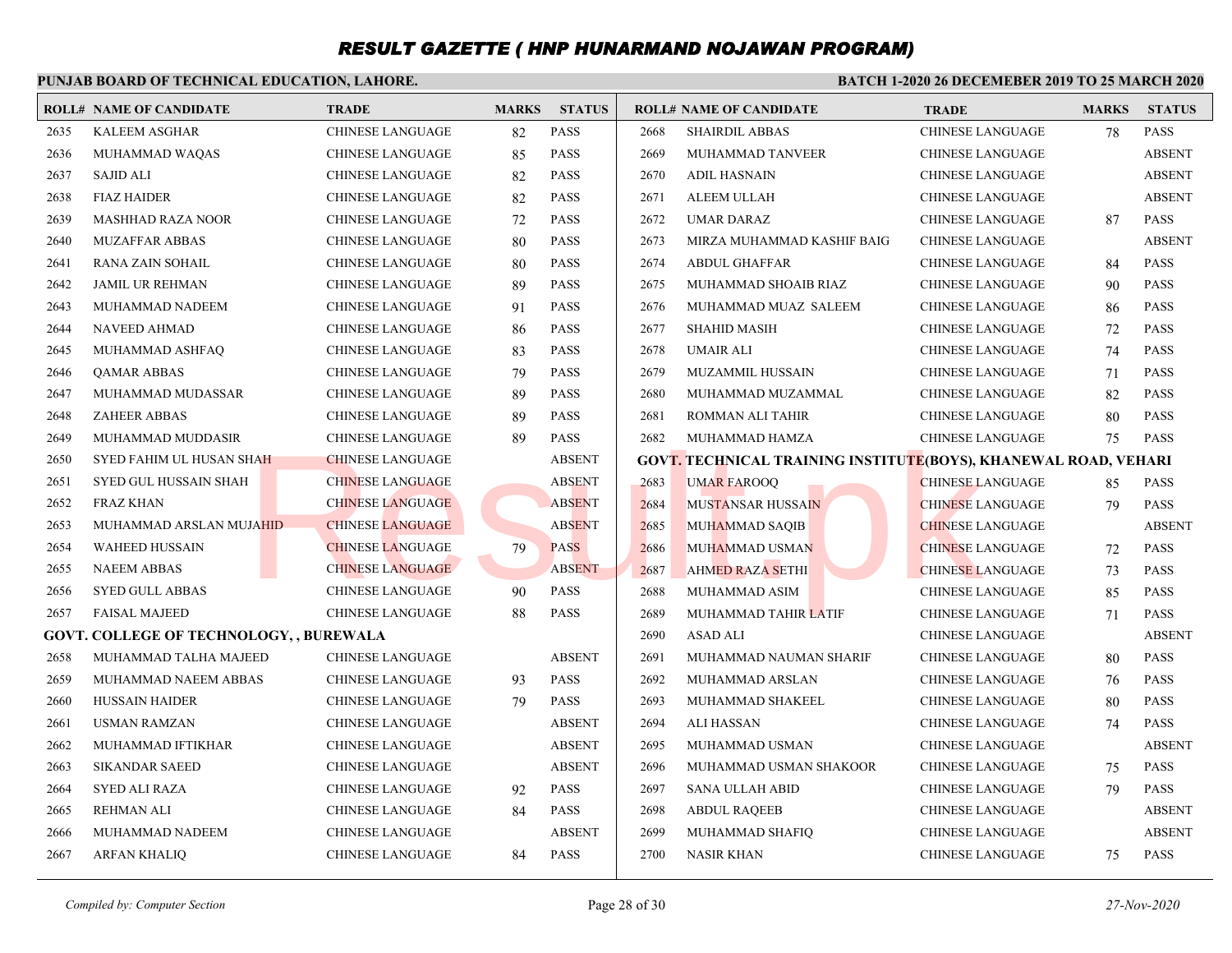#### **PUNJAB BOARD OF TECHNICAL EDUCATION, LAHORE. BATCH 1-2020 26 DECEMEBER 2019 TO 25 MARCH 2020 ROLL# NAME OF CANDIDATE TRADE MARKS STATUS ROLL# NAME OF CANDIDATE TRADE MARKS STATUS** 2635 KALEEM ASGHAR CHINESE LANGUAGE 82 PASS 2636 MUHAMMAD WAQAS CHINESE LANGUAGE 85 PASS 2637 SAJID ALI CHINESE LANGUAGE 82 PASS 2638 FIAZ HAIDER CHINESE LANGUAGE 82 PASS 2639 MASHHAD RAZA NOOR CHINESE LANGUAGE 72 PASS 2640 MUZAFFAR ABBAS CHINESE LANGUAGE 80 PASS 2641 RANA ZAIN SOHAIL CHINESE LANGUAGE 80 PASS 2642 JAMIL UR REHMAN CHINESE LANGUAGE 89 PASS 2643 MUHAMMAD NADEEM CHINESE LANGUAGE 91 PASS 2644 NAVEED AHMAD CHINESE LANGUAGE 86 PASS 2645 MUHAMMAD ASHFAQ CHINESE LANGUAGE 83 PASS 2646 QAMAR ABBAS CHINESE LANGUAGE 79 PASS 2647 MUHAMMAD MUDASSAR CHINESE LANGUAGE 89 PASS 2648 ZAHEER ABBAS CHINESE LANGUAGE 89 PASS 2649 MUHAMMAD MUDDASIR CHINESE LANGUAGE 89 PASS 2650 SYED FAHIM UL HUSAN SHAH CHINESE LANGUAGE ABSENT 2651 SYED GUL HUSSAIN SHAH CHINESE LANGUAGE ABSENT 2652 FRAZ KHAN CHINESE LANGUAGE ABSENT 2653 MUHAMMAD ARSLAN MUJAHID CHINESE LANGUAGE ABSENT 2654 WAHEED HUSSAIN CHINESE LANGUAGE 79 PASS 2655 NAEEM ABBAS CHINESE LANGUAGE ABSENT 2656 SYED GULL ABBAS CHINESE LANGUAGE 90 PASS 2657 FAISAL MAJEED CHINESE LANGUAGE 88 PASS **GOVT. COLLEGE OF TECHNOLOGY, , BUREWALA** 2658 MUHAMMAD TALHA MAJEED CHINESE LANGUAGE ABSENT 2659 MUHAMMAD NAEEM ABBAS CHINESE LANGUAGE 93 PASS 2660 HUSSAIN HAIDER CHINESE LANGUAGE 79 PASS 2661 USMAN RAMZAN CHINESE LANGUAGE ABSENT 2662 MUHAMMAD IFTIKHAR CHINESE LANGUAGE ABSENT 2663 SIKANDAR SAEED CHINESE LANGUAGE ABSENT 2664 SYED ALI RAZA CHINESE LANGUAGE 92 PASS 2665 REHMAN ALI CHINESE LANGUAGE 84 PASS 2666 MUHAMMAD NADEEM CHINESE LANGUAGE ABSENT 2667 ARFAN KHALIQ CHINESE LANGUAGE 84 PASS 2668 SHAIRDIL ABBAS CHINESE LANGUAGE 78 PASS 2669 MUHAMMAD TANVEER CHINESE LANGUAGE ABSENT 2670 ADIL HASNAIN CHINESE LANGUAGE ABSENT 2671 ALEEM ULLAH CHINESE LANGUAGE ABSENT 2672 UMAR DARAZ CHINESE LANGUAGE 87 PASS 2673 MIRZA MUHAMMAD KASHIF BAIG CHINESE LANGUAGE ABSENT 2674 ABDUL GHAFFAR CHINESE LANGUAGE 84 PASS 2675 MUHAMMAD SHOAIB RIAZ CHINESE LANGUAGE 90 PASS 2676 MUHAMMAD MUAZ SALEEM CHINESE LANGUAGE 86 PASS 2677 SHAHID MASIH CHINESE LANGUAGE 72 PASS 2678 UMAIR ALI CHINESE LANGUAGE 74 PASS 2679 MUZAMMIL HUSSAIN CHINESE LANGUAGE 71 PASS 2680 MUHAMMAD MUZAMMAL CHINESE LANGUAGE 82 PASS 2681 ROMMAN ALI TAHIR CHINESE LANGUAGE 80 PASS 2682 MUHAMMAD HAMZA CHINESE LANGUAGE 75 PASS **GOVT. TECHNICAL TRAINING INSTITUTE(BOYS), KHANEWAL ROAD, VEHARI** 2683 UMAR FAROOQ CHINESE LANGUAGE 85 PASS 2684 MUSTANSAR HUSSAIN CHINESE LANGUAGE 79 PASS 2685 MUHAMMAD SAQIB CHINESE LANGUAGE ABSENT 2686 MUHAMMAD USMAN CHINESE LANGUAGE 72 PASS 2687 AHMED RAZA SETHI CHINESE LANGUAGE 73 PASS 2688 MUHAMMAD ASIM CHINESE LANGUAGE 85 PASS 2689 MUHAMMAD TAHIR LATIF CHINESE LANGUAGE 71 PASS 2690 ASAD ALI CHINESE LANGUAGE ABSENT 2691 MUHAMMAD NAUMAN SHARIF CHINESE LANGUAGE 80 PASS 2692 MUHAMMAD ARSLAN CHINESE LANGUAGE 76 PASS 2693 MUHAMMAD SHAKEEL CHINESE LANGUAGE 80 PASS 2694 ALI HASSAN CHINESE LANGUAGE 74 PASS 2695 MUHAMMAD USMAN CHINESE LANGUAGE ABSENT 2696 MUHAMMAD USMAN SHAKOOR CHINESE LANGUAGE 75 PASS 2697 SANA ULLAH ABID CHINESE LANGUAGE 79 PASS 2698 ABDUL RAQEEB CHINESE LANGUAGE ABSENT 2699 MUHAMMAD SHAFIQ CHINESE LANGUAGE ABSENT 2700 NASIR KHAN CHINESE LANGUAGE 75 PASS ERINESE LANGUAGE (HINESE LANGUAGE ABSENT CHINESE LANGUAGE CHINESE LANGUAGE CHINESE LANGUAGE ABSENT CHINESE LANGUAGE ABSENT CHINESE LANGUAGE CHINESE LANGUAGE CHINESE LANGUAGE CHINESE LANGUAGE CHINESE LANGUAGE CHINESE LANGUA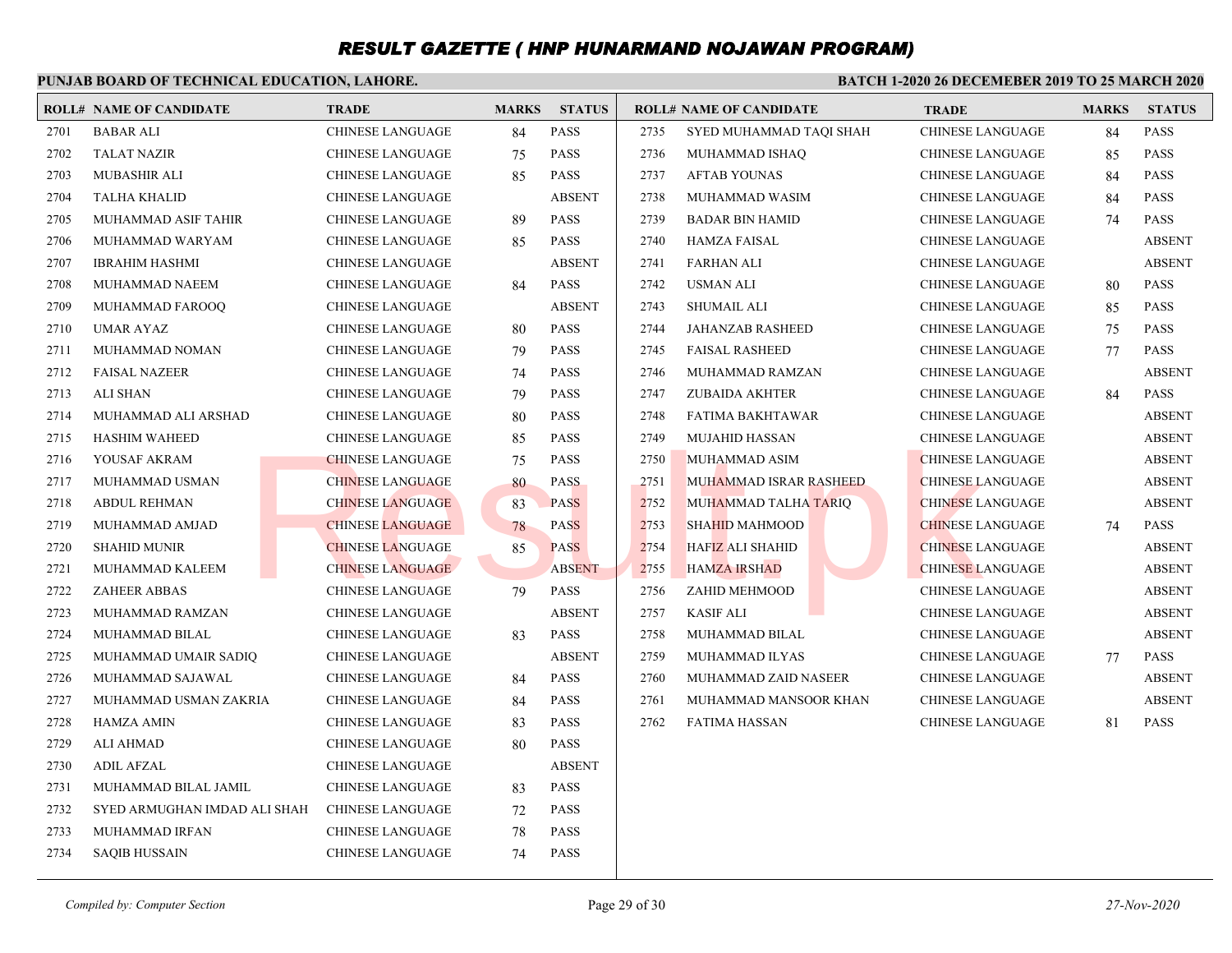#### **PUNJAB BOARD OF TECHNICAL EDUCATION, LAHORE. BATCH 1-2020 26 DECEMEBER 2019 TO 25 MARCH 2020 ROLL# NAME OF CANDIDATE TRADE MARKS STATUS ROLL# NAME OF CANDIDATE TRADE MARKS STATUS** 2701 BABAR ALI CHINESE LANGUAGE 84 PASS 2702 TALAT NAZIR CHINESE LANGUAGE 75 PASS 2703 MUBASHIR ALI CHINESE LANGUAGE 85 PASS 2704 TALHA KHALID CHINESE LANGUAGE ABSENT 2705 MUHAMMAD ASIF TAHIR CHINESE LANGUAGE 89 PASS 2706 MUHAMMAD WARYAM CHINESE LANGUAGE 85 PASS 2707 IBRAHIM HASHMI CHINESE LANGUAGE ABSENT 2708 MUHAMMAD NAEEM CHINESE LANGUAGE 84 PASS 2709 MUHAMMAD FAROOQ CHINESE LANGUAGE ABSENT 2710 UMAR AYAZ CHINESE LANGUAGE 80 PASS 2711 MUHAMMAD NOMAN CHINESE LANGUAGE 79 PASS 2712 FAISAL NAZEER CHINESE LANGUAGE 74 PASS 2713 ALI SHAN CHINESE LANGUAGE 79 PASS 2714 MUHAMMAD ALI ARSHAD CHINESE LANGUAGE 80 PASS 2715 HASHIM WAHEED CHINESE LANGUAGE 85 PASS 2716 YOUSAF AKRAM CHINESE LANGUAGE 75 PASS 2717 MUHAMMAD USMAN CHINESE LANGUAGE 80 PASS 2718 ABDUL REHMAN CHINESE LANGUAGE 83 PASS 2719 MUHAMMAD AMJAD CHINESE LANGUAGE 78 PASS 2720 SHAHID MUNIR CHINESE LANGUAGE 85 PASS 2721 MUHAMMAD KALEEM CHINESE LANGUAGE ABSENT 2722 ZAHEER ABBAS CHINESE LANGUAGE 79 PASS 2723 MUHAMMAD RAMZAN CHINESE LANGUAGE ABSENT 2724 MUHAMMAD BILAL CHINESE LANGUAGE 83 PASS 2725 MUHAMMAD UMAIR SADIQ CHINESE LANGUAGE ABSENT 2726 MUHAMMAD SAJAWAL CHINESE LANGUAGE 84 PASS 2727 MUHAMMAD USMAN ZAKRIA CHINESE LANGUAGE 84 PASS 2728 HAMZA AMIN CHINESE LANGUAGE 83 PASS 2729 ALI AHMAD CHINESE LANGUAGE 80 PASS 2730 ADIL AFZAL CHINESE LANGUAGE ABSENT 2735 SYED MUHAMMAD TAQI SHAH CHINESE LANGUAGE 84 PASS 2736 MUHAMMAD ISHAQ CHINESE LANGUAGE 85 PASS 2737 AFTAB YOUNAS CHINESE LANGUAGE 84 PASS 2738 MUHAMMAD WASIM CHINESE LANGUAGE 84 PASS 2739 BADAR BIN HAMID CHINESE LANGUAGE 74 PASS 2740 HAMZA FAISAL CHINESE LANGUAGE ABSENT 2741 FARHAN ALI CHINESE LANGUAGE ABSENT 2742 USMAN ALI CHINESE LANGUAGE 80 PASS 2743 SHUMAIL ALI CHINESE LANGUAGE 85 PASS 2744 JAHANZAB RASHEED CHINESE LANGUAGE 75 PASS 2745 FAISAL RASHEED CHINESE LANGUAGE 77 PASS 2746 MUHAMMAD RAMZAN CHINESE LANGUAGE ABSENT 2747 ZUBAIDA AKHTER CHINESE LANGUAGE 84 PASS 2748 FATIMA BAKHTAWAR CHINESE LANGUAGE ABSENT 2749 MUJAHID HASSAN CHINESE LANGUAGE ABSENT 2750 MUHAMMAD ASIM CHINESE LANGUAGE ABSENT 2751 MUHAMMAD ISRAR RASHEED CHINESE LANGUAGE ABSENT 2752 MUHAMMAD TALHA TARIQ CHINESE LANGUAGE ABSENT 2753 SHAHID MAHMOOD CHINESE LANGUAGE 74 PASS 2754 HAFIZ ALI SHAHID CHINESE LANGUAGE ABSENT 2755 HAMZA IRSHAD CHINESE LANGUAGE ABSENT 2756 ZAHID MEHMOOD CHINESE LANGUAGE ABSENT 2757 KASIF ALI CHINESE LANGUAGE ABSENT 2758 MUHAMMAD BILAL CHINESE LANGUAGE ABSENT 2759 MUHAMMAD ILYAS CHINESE LANGUAGE 77 PASS 2760 MUHAMMAD ZAID NASEER CHINESE LANGUAGE ABSENT 2761 MUHAMMAD MANSOOR KHAN CHINESE LANGUAGE ABSENT 2762 FATIMA HASSAN CHINESE LANGUAGE 81 PASS CHINESE LANGUAGE (PINESE LANGUAGE 75 PASS 2750 MUHAMMAD ASIM CHINESE LANGUAGE 80 PASS 2750 MUHAMMAD ASIM CHINESE LANGUAGE 80 PASS 2751 MUHAMMAD ISRAR RASHEED CHINESE LANGUAGE 78 PASS 2751 MUHAMMAD TALIA TARIQ CHINESE LANGU

2731 MUHAMMAD BILAL JAMIL CHINESE LANGUAGE 83 PASS 2732 SYED ARMUGHAN IMDAD ALI SHAH CHINESE LANGUAGE 72 PASS 2733 MUHAMMAD IRFAN CHINESE LANGUAGE 78 PASS 2734 SAQIB HUSSAIN CHINESE LANGUAGE 74 PASS